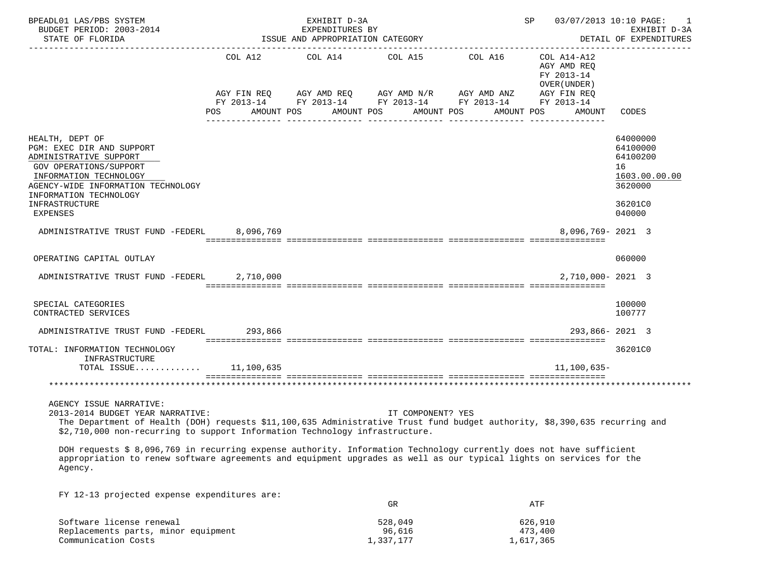| BPEADL01 LAS/PBS SYSTEM<br>BUDGET PERIOD: 2003-2014<br>STATE OF FLORIDA                                                                                                                                                                                                  |         | EXHIBIT D-3A<br>EXPENDITURES BY<br>ISSUE AND APPROPRIATION CATEGORY |                                                                                                                                                                                                                                 | 03/07/2013 10:10 PAGE:<br>SP                             | EXHIBIT D-3A<br>DETAIL OF EXPENDITURES                                                  |
|--------------------------------------------------------------------------------------------------------------------------------------------------------------------------------------------------------------------------------------------------------------------------|---------|---------------------------------------------------------------------|---------------------------------------------------------------------------------------------------------------------------------------------------------------------------------------------------------------------------------|----------------------------------------------------------|-----------------------------------------------------------------------------------------|
|                                                                                                                                                                                                                                                                          |         |                                                                     | COL A12 COL A14 COL A15 COL A16<br>$AGY \text{ FIN REQ} \qquad AGY \text{ AMD REQ} \qquad AGY \text{ AMD } N/R \qquad AGY \text{ AMD ANZ} \qquad AGY \text{ FIN REQ}$<br>FY 2013-14 FY 2013-14 FY 2013-14 FY 2013-14 FY 2013-14 | COL A14-A12<br>AGY AMD REQ<br>FY 2013-14<br>OVER (UNDER) |                                                                                         |
|                                                                                                                                                                                                                                                                          | POS FOR | AMOUNT POS                                                          | AMOUNT POS AMOUNT POS                                                                                                                                                                                                           | AMOUNT POS<br>AMOUNT                                     | CODES                                                                                   |
| HEALTH, DEPT OF<br>PGM: EXEC DIR AND SUPPORT<br>ADMINISTRATIVE SUPPORT<br>GOV OPERATIONS/SUPPORT<br>INFORMATION TECHNOLOGY<br>AGENCY-WIDE INFORMATION TECHNOLOGY<br>INFORMATION TECHNOLOGY<br>INFRASTRUCTURE<br><b>EXPENSES</b>                                          |         |                                                                     |                                                                                                                                                                                                                                 |                                                          | 64000000<br>64100000<br>64100200<br>16<br>1603.00.00.00<br>3620000<br>36201C0<br>040000 |
| ADMINISTRATIVE TRUST FUND -FEDERL 8,096,769                                                                                                                                                                                                                              |         |                                                                     |                                                                                                                                                                                                                                 | $8.096.769 - 2021$ 3                                     |                                                                                         |
| OPERATING CAPITAL OUTLAY                                                                                                                                                                                                                                                 |         |                                                                     |                                                                                                                                                                                                                                 |                                                          | 060000                                                                                  |
| ADMINISTRATIVE TRUST FUND -FEDERL 2,710,000                                                                                                                                                                                                                              |         |                                                                     |                                                                                                                                                                                                                                 | 2,710,000-2021 3                                         |                                                                                         |
| SPECIAL CATEGORIES<br>CONTRACTED SERVICES                                                                                                                                                                                                                                |         |                                                                     |                                                                                                                                                                                                                                 |                                                          | 100000<br>100777                                                                        |
| ADMINISTRATIVE TRUST FUND -FEDERL 293,866                                                                                                                                                                                                                                |         |                                                                     |                                                                                                                                                                                                                                 | $293.866 - 2021$ 3                                       |                                                                                         |
| TOTAL: INFORMATION TECHNOLOGY<br>INFRASTRUCTURE<br>TOTAL ISSUE $11,100,635$                                                                                                                                                                                              |         |                                                                     |                                                                                                                                                                                                                                 | $11, 100, 635 -$                                         | 36201C0                                                                                 |
|                                                                                                                                                                                                                                                                          |         |                                                                     |                                                                                                                                                                                                                                 |                                                          |                                                                                         |
| AGENCY ISSUE NARRATIVE:<br>2013-2014 BUDGET YEAR NARRATIVE:<br>The Department of Health (DOH) requests \$11,100,635 Administrative Trust fund budget authority, \$8,390,635 recurring and<br>\$2,710,000 non-recurring to support Information Technology infrastructure. |         |                                                                     | IT COMPONENT? YES                                                                                                                                                                                                               |                                                          |                                                                                         |
| DOH requests \$ 8,096,769 in recurring expense authority. Information Technology currently does not have sufficient<br>appropriation to renew software agreements and equipment upgrades as well as our typical lights on services for the<br>Agency.                    |         |                                                                     |                                                                                                                                                                                                                                 |                                                          |                                                                                         |

FY 12-13 projected expense expenditures are:

|                                     | GR        | ATF       |
|-------------------------------------|-----------|-----------|
| Software license renewal            | 528,049   | 626,910   |
| Replacements parts, minor equipment | 96,616    | 473,400   |
| Communication Costs                 | 1,337,177 | 1,617,365 |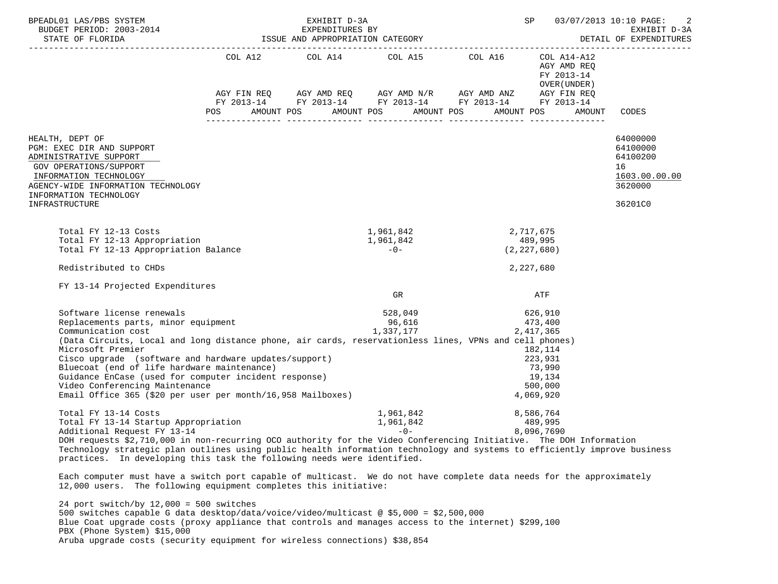| BPEADL01 LAS/PBS SYSTEM ${\tt EXHIBIT~D-3A} {\tt EXPENDITURES~BY} {\tt EXPENDITURES~BY} {\tt EXFIDIT} {\tt OR FLORID:~2003-2014} {\tt EXFIBIT} {\tt OR FLORID:~2003-2014} {\tt EXPENDITURES~BY} {\tt EXPENDI:~2003-2014} {\tt EXPENDI:~2003-2014} {\tt OR SPPNORIATION~CATEGORY} {\tt OR TACI:~2013-2014} {\tt OR SPPNORI:~2014} {\tt OR SPPNORI:~2013-2014}$ |  |                                                                                                                       | 03/07/2013 10:10 PAGE:<br>2<br>EXHIBIT D-3A<br>DETAIL OF EXPENDITURES |                                            |                                  |
|---------------------------------------------------------------------------------------------------------------------------------------------------------------------------------------------------------------------------------------------------------------------------------------------------------------------------------------------------------------|--|-----------------------------------------------------------------------------------------------------------------------|-----------------------------------------------------------------------|--------------------------------------------|----------------------------------|
|                                                                                                                                                                                                                                                                                                                                                               |  | COL A12 $\qquad$ COL A14 $\qquad$ COL A15 $\qquad$ COL A16 $\qquad$ COL A14-A12                                       |                                                                       | AGY AMD REQ<br>FY 2013-14<br>OVER (UNDER ) |                                  |
|                                                                                                                                                                                                                                                                                                                                                               |  | AGY FIN REQ AGY AMD REQ AGY AMD N/R AGY AMD ANZ AGY FIN REQ<br>FY 2013-14 FY 2013-14 FY 2013-14 FY 2013-14 FY 2013-14 |                                                                       |                                            |                                  |
|                                                                                                                                                                                                                                                                                                                                                               |  |                                                                                                                       |                                                                       |                                            |                                  |
|                                                                                                                                                                                                                                                                                                                                                               |  | POS AMOUNT POS AMOUNT POS AMOUNT POS AMOUNT POS                                                                       |                                                                       |                                            | AMOUNT CODES                     |
| HEALTH, DEPT OF<br>PGM: EXEC DIR AND SUPPORT<br>ADMINISTRATIVE SUPPORT                                                                                                                                                                                                                                                                                        |  |                                                                                                                       |                                                                       |                                            | 64000000<br>64100000<br>64100200 |
| <b>GOV OPERATIONS/SUPPORT</b><br>INFORMATION TECHNOLOGY                                                                                                                                                                                                                                                                                                       |  |                                                                                                                       |                                                                       |                                            | 16<br>1603.00.00.00              |
| AGENCY-WIDE INFORMATION TECHNOLOGY<br>INFORMATION TECHNOLOGY                                                                                                                                                                                                                                                                                                  |  |                                                                                                                       |                                                                       |                                            | 3620000                          |
| INFRASTRUCTURE                                                                                                                                                                                                                                                                                                                                                |  |                                                                                                                       |                                                                       |                                            | 36201C0                          |
| Total FY 12-13 Costs                                                                                                                                                                                                                                                                                                                                          |  | 1,961,842                                                                                                             |                                                                       | 2,717,675                                  |                                  |
| Total FY 12-13 Appropriation                                                                                                                                                                                                                                                                                                                                  |  | 1,961,842                                                                                                             |                                                                       | 489,995                                    |                                  |
| Total FY 12-13 Appropriation Balance                                                                                                                                                                                                                                                                                                                          |  | $-0-$                                                                                                                 |                                                                       | (2, 227, 680)                              |                                  |
| Redistributed to CHDs                                                                                                                                                                                                                                                                                                                                         |  |                                                                                                                       |                                                                       | 2,227,680                                  |                                  |
| FY 13-14 Projected Expenditures                                                                                                                                                                                                                                                                                                                               |  | GR                                                                                                                    |                                                                       | ATF                                        |                                  |
| Software license renewals                                                                                                                                                                                                                                                                                                                                     |  |                                                                                                                       |                                                                       |                                            |                                  |
| Replacements parts, minor equipment                                                                                                                                                                                                                                                                                                                           |  | $528,049$<br>96,616<br>96,616<br>1,337,177<br>2,417,365                                                               |                                                                       |                                            |                                  |
| Communication cost                                                                                                                                                                                                                                                                                                                                            |  |                                                                                                                       |                                                                       |                                            |                                  |
| (Data Circuits, Local and long distance phone, air cards, reservationless lines, VPNs and cell phones)                                                                                                                                                                                                                                                        |  |                                                                                                                       |                                                                       |                                            |                                  |
| Microsoft Premier                                                                                                                                                                                                                                                                                                                                             |  |                                                                                                                       |                                                                       | 182,114                                    |                                  |
| Cisco upgrade (software and hardware updates/support)                                                                                                                                                                                                                                                                                                         |  |                                                                                                                       |                                                                       | 223,931                                    |                                  |
| Bluecoat (end of life hardware maintenance)                                                                                                                                                                                                                                                                                                                   |  |                                                                                                                       |                                                                       | 73,990                                     |                                  |
| Guidance EnCase (used for computer incident response)                                                                                                                                                                                                                                                                                                         |  |                                                                                                                       |                                                                       | 19,134                                     |                                  |
| Video Conferencing Maintenance<br>Email Office 365 (\$20 per user per month/16,958 Mailboxes)                                                                                                                                                                                                                                                                 |  |                                                                                                                       |                                                                       | 500,000<br>4,069,920                       |                                  |
| Total FY 13-14 Costs<br>Total FY 13-14 Startup Appropriation<br>Additional Request FY 13-14<br>Additional Request FY 13-14<br>Additional Request FY 13-14<br>Additional Request FY 13-14                                                                                                                                                                      |  |                                                                                                                       |                                                                       |                                            |                                  |
|                                                                                                                                                                                                                                                                                                                                                               |  |                                                                                                                       |                                                                       |                                            |                                  |
|                                                                                                                                                                                                                                                                                                                                                               |  |                                                                                                                       |                                                                       |                                            |                                  |
| DOH requests \$2,710,000 in non-recurring OCO authority for the Video Conferencing Initiative. The DOH Information<br>Technology strategic plan outlines using public health information technology and systems to efficiently improve business                                                                                                               |  |                                                                                                                       |                                                                       |                                            |                                  |
| practices. In developing this task the following needs were identified.                                                                                                                                                                                                                                                                                       |  |                                                                                                                       |                                                                       |                                            |                                  |

 Each computer must have a switch port capable of multicast. We do not have complete data needs for the approximately 12,000 users. The following equipment completes this initiative:

 24 port switch/by 12,000 = 500 switches 500 switches capable G data desktop/data/voice/video/multicast @ \$5,000 = \$2,500,000 Blue Coat upgrade costs (proxy appliance that controls and manages access to the internet) \$299,100 PBX (Phone System) \$15,000 Aruba upgrade costs (security equipment for wireless connections) \$38,854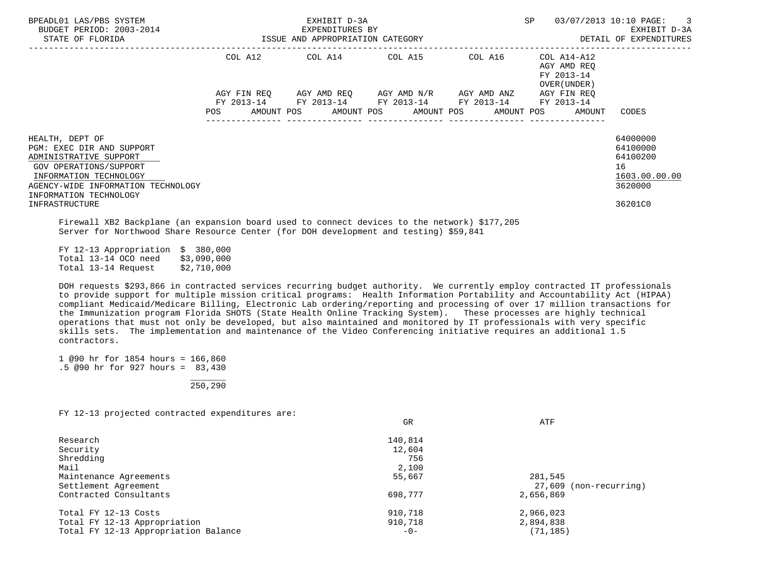| BPEADL01 LAS/PBS SYSTEM<br>BUDGET PERIOD: 2003-2014<br>STATE OF FLORIDA                                                                                                                    | <b>SP</b><br>EXHIBIT D-3A<br>EXPENDITURES BY<br>ISSUE AND APPROPRIATION CATEGORY |                                  |                                                             |             |                                                          | $\overline{\phantom{a}}$ 3<br>03/07/2013 10:10 PAGE:<br>EXHIBIT D-3A<br>DETAIL OF EXPENDITURES |
|--------------------------------------------------------------------------------------------------------------------------------------------------------------------------------------------|----------------------------------------------------------------------------------|----------------------------------|-------------------------------------------------------------|-------------|----------------------------------------------------------|------------------------------------------------------------------------------------------------|
|                                                                                                                                                                                            | COL A12                                                                          | COL A14 COL A15                  |                                                             | COL A16     | COL A14-A12<br>AGY AMD REO<br>FY 2013-14<br>OVER (UNDER) |                                                                                                |
|                                                                                                                                                                                            | AGY FIN REO<br>FY 2013-14<br>POS                                                 | AMOUNT POS AMOUNT POS AMOUNT POS | AGY AMD REO AGY AMD N/R<br>FY 2013-14 FY 2013-14 FY 2013-14 | AGY AMD ANZ | AGY FIN REO<br>FY 2013-14<br>AMOUNT POS<br>AMOUNT        | CODES                                                                                          |
| HEALTH, DEPT OF<br>PGM: EXEC DIR AND SUPPORT<br>ADMINISTRATIVE SUPPORT<br>GOV OPERATIONS/SUPPORT<br>INFORMATION TECHNOLOGY<br>AGENCY-WIDE INFORMATION TECHNOLOGY<br>INFORMATION TECHNOLOGY |                                                                                  |                                  |                                                             |             |                                                          | 64000000<br>64100000<br>64100200<br>16<br>1603.00.00.00<br>3620000                             |
| INFRASTRUCTURE                                                                                                                                                                             |                                                                                  |                                  |                                                             |             |                                                          | 36201C0                                                                                        |

 Firewall XB2 Backplane (an expansion board used to connect devices to the network) \$177,205 Server for Northwood Share Resource Center (for DOH development and testing) \$59,841

 FY 12-13 Appropriation \$ 380,000 Total 13-14 OCO need Total 13-14 Request \$2,710,000

 DOH requests \$293,866 in contracted services recurring budget authority. We currently employ contracted IT professionals to provide support for multiple mission critical programs: Health Information Portability and Accountability Act (HIPAA) compliant Medicaid/Medicare Billing, Electronic Lab ordering/reporting and processing of over 17 million transactions for the Immunization program Florida SHOTS (State Health Online Tracking System). These processes are highly technical operations that must not only be developed, but also maintained and monitored by IT professionals with very specific skills sets. The implementation and maintenance of the Video Conferencing initiative requires an additional 1.5 contractors.

 1 @90 hr for 1854 hours = 166,860 .5 @90 hr for 927 hours = 83,430

 \_\_\_\_\_\_\_  $250.290$ 

FY 12-13 projected contracted expenditures are:

| GR      | ATF                    |  |  |
|---------|------------------------|--|--|
| 140,814 |                        |  |  |
| 12,604  |                        |  |  |
| 756     |                        |  |  |
| 2,100   |                        |  |  |
| 55,667  | 281,545                |  |  |
|         | 27,609 (non-recurring) |  |  |
| 698,777 | 2,656,869              |  |  |
| 910,718 | 2,966,023              |  |  |
| 910,718 | 2,894,838              |  |  |
| $-0-$   | (71, 185)              |  |  |
|         |                        |  |  |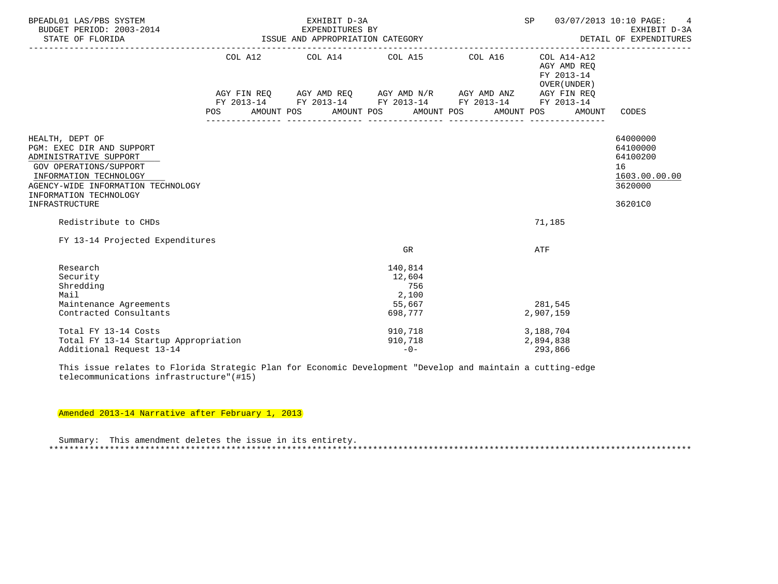| BPEADL01 LAS/PBS SYSTEM<br>BUDGET PERIOD: 2003-2014<br>STATE OF FLORIDA                                                                                          | EXHIBIT D-3A<br>03/07/2013 10:10 PAGE:<br>SP<br>3-2014 EXPENDITURES BY<br>ISSUE AND APPROPRIATION CATEGORY<br>EXHIBIT D-3A<br>DETAIL OF EXPENDITURES |                                  |         |                                                                                                                                                                                                                                                                                                                                                                                                                                                             |                                           |                                                                    |  |
|------------------------------------------------------------------------------------------------------------------------------------------------------------------|------------------------------------------------------------------------------------------------------------------------------------------------------|----------------------------------|---------|-------------------------------------------------------------------------------------------------------------------------------------------------------------------------------------------------------------------------------------------------------------------------------------------------------------------------------------------------------------------------------------------------------------------------------------------------------------|-------------------------------------------|--------------------------------------------------------------------|--|
|                                                                                                                                                                  |                                                                                                                                                      |                                  |         | COL A12 COL A14 COL A15 COL A16 COL A14-A12                                                                                                                                                                                                                                                                                                                                                                                                                 | AGY AMD REO<br>FY 2013-14<br>OVER (UNDER) |                                                                    |  |
|                                                                                                                                                                  |                                                                                                                                                      |                                  |         | $\verb AGY FIN REQ  \qquad \verb AGY AMD REQ  \qquad \verb AGY AMD N/R  \qquad \verb AGY AMD ANZ  \qquad \verb AGY FIN REQ  \qquad \verb AGY AMD ANZ  \qquad \verb AGY FIN REQ  \qquad \verb AGY AMD ANZ  \qquad \verb AGY EN REQ  \qquad \verb AGY AMD ANZ  \qquad \verb AGY EN REQ  \qquad \verb AGY AMD ANZ  \qquad \verb AGY EN REQ  \qquad \verb AdS3  \qquad \verb AdS3  \qquad \verb AdS3  \qquad \verb AdS3  \qquad \verb AdS3  \qquad \verb AdS3 $ |                                           |                                                                    |  |
|                                                                                                                                                                  | <b>POS</b>                                                                                                                                           | AMOUNT POS AMOUNT POS AMOUNT POS |         | FY 2013-14 FY 2013-14 FY 2013-14 FY 2013-14 FY 2013-14                                                                                                                                                                                                                                                                                                                                                                                                      | AMOUNT<br>AMOUNT POS                      | CODES                                                              |  |
|                                                                                                                                                                  |                                                                                                                                                      |                                  |         |                                                                                                                                                                                                                                                                                                                                                                                                                                                             |                                           |                                                                    |  |
| HEALTH, DEPT OF<br>PGM: EXEC DIR AND SUPPORT<br>ADMINISTRATIVE SUPPORT<br>GOV OPERATIONS/SUPPORT<br>INFORMATION TECHNOLOGY<br>AGENCY-WIDE INFORMATION TECHNOLOGY |                                                                                                                                                      |                                  |         |                                                                                                                                                                                                                                                                                                                                                                                                                                                             |                                           | 64000000<br>64100000<br>64100200<br>16<br>1603.00.00.00<br>3620000 |  |
| INFORMATION TECHNOLOGY<br>INFRASTRUCTURE                                                                                                                         |                                                                                                                                                      |                                  |         |                                                                                                                                                                                                                                                                                                                                                                                                                                                             |                                           | 36201C0                                                            |  |
| Redistribute to CHDs                                                                                                                                             |                                                                                                                                                      |                                  |         |                                                                                                                                                                                                                                                                                                                                                                                                                                                             | 71,185                                    |                                                                    |  |
| FY 13-14 Projected Expenditures                                                                                                                                  |                                                                                                                                                      |                                  |         |                                                                                                                                                                                                                                                                                                                                                                                                                                                             |                                           |                                                                    |  |
|                                                                                                                                                                  |                                                                                                                                                      |                                  | GR      |                                                                                                                                                                                                                                                                                                                                                                                                                                                             | ATF                                       |                                                                    |  |
| Research                                                                                                                                                         |                                                                                                                                                      |                                  | 140,814 |                                                                                                                                                                                                                                                                                                                                                                                                                                                             |                                           |                                                                    |  |
| Security                                                                                                                                                         |                                                                                                                                                      |                                  | 12,604  |                                                                                                                                                                                                                                                                                                                                                                                                                                                             |                                           |                                                                    |  |
| Shredding                                                                                                                                                        |                                                                                                                                                      |                                  | 756     |                                                                                                                                                                                                                                                                                                                                                                                                                                                             |                                           |                                                                    |  |
| Mail                                                                                                                                                             |                                                                                                                                                      |                                  | 2,100   |                                                                                                                                                                                                                                                                                                                                                                                                                                                             |                                           |                                                                    |  |
| Maintenance Agreements                                                                                                                                           |                                                                                                                                                      |                                  | 55,667  |                                                                                                                                                                                                                                                                                                                                                                                                                                                             | 281,545                                   |                                                                    |  |
| Contracted Consultants                                                                                                                                           |                                                                                                                                                      |                                  | 698,777 |                                                                                                                                                                                                                                                                                                                                                                                                                                                             | 2,907,159                                 |                                                                    |  |
| Total FY 13-14 Costs                                                                                                                                             |                                                                                                                                                      |                                  | 910,718 |                                                                                                                                                                                                                                                                                                                                                                                                                                                             | 3,188,704                                 |                                                                    |  |
| Total FY 13-14 Startup Appropriation                                                                                                                             |                                                                                                                                                      |                                  | 910,718 |                                                                                                                                                                                                                                                                                                                                                                                                                                                             | 2,894,838                                 |                                                                    |  |
| Additional Request 13-14                                                                                                                                         |                                                                                                                                                      |                                  | $-0-$   |                                                                                                                                                                                                                                                                                                                                                                                                                                                             | 293,866                                   |                                                                    |  |

 This issue relates to Florida Strategic Plan for Economic Development "Develop and maintain a cutting-edge telecommunications infrastructure"(#15)

Amended 2013-14 Narrative after February 1, 2013

 Summary: This amendment deletes the issue in its entirety. \*\*\*\*\*\*\*\*\*\*\*\*\*\*\*\*\*\*\*\*\*\*\*\*\*\*\*\*\*\*\*\*\*\*\*\*\*\*\*\*\*\*\*\*\*\*\*\*\*\*\*\*\*\*\*\*\*\*\*\*\*\*\*\*\*\*\*\*\*\*\*\*\*\*\*\*\*\*\*\*\*\*\*\*\*\*\*\*\*\*\*\*\*\*\*\*\*\*\*\*\*\*\*\*\*\*\*\*\*\*\*\*\*\*\*\*\*\*\*\*\*\*\*\*\*\*\*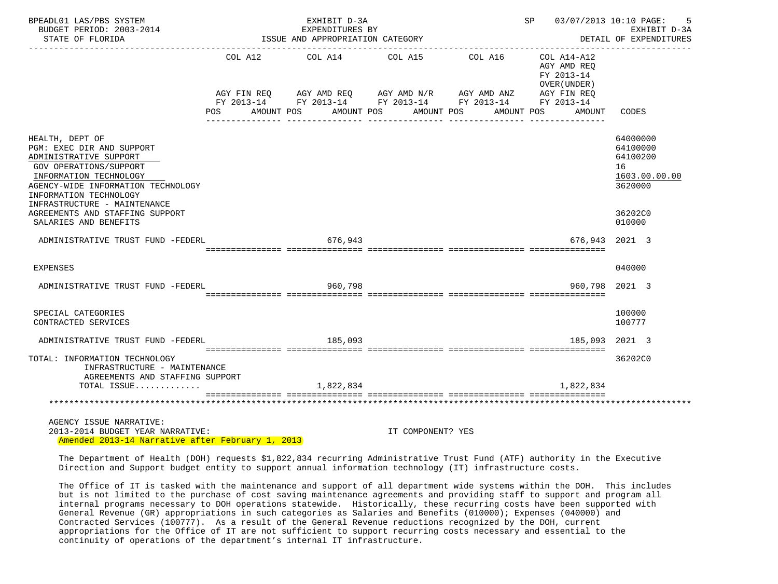| BPEADL01 LAS/PBS SYSTEM<br>BUDGET PERIOD: 2003-2014<br>STATE OF FLORIDA                                                                                                                                                           |                        | EXHIBIT D-3A<br>EXPENDITURES BY<br>ISSUE AND APPROPRIATION CATEGORY                                                                              | <b>SP</b>                |            | 03/07/2013 10:10 PAGE:<br>5<br>EXHIBIT D-3A<br>DETAIL OF EXPENDITURES   |                                                                    |
|-----------------------------------------------------------------------------------------------------------------------------------------------------------------------------------------------------------------------------------|------------------------|--------------------------------------------------------------------------------------------------------------------------------------------------|--------------------------|------------|-------------------------------------------------------------------------|--------------------------------------------------------------------|
|                                                                                                                                                                                                                                   | AGY FIN REQ<br>POS FOR | COL A12 COL A14 COL A15 COL A16<br>AGY AMD REQ AGY AMD $N/R$ AGY AMD ANZ<br>FY 2013-14 FY 2013-14 FY 2013-14 FY 2013-14 FY 2013-14<br>AMOUNT POS | AMOUNT POS<br>AMOUNT POS | AMOUNT POS | COL A14-A12<br>AGY AMD REQ<br>FY 2013-14<br>OVER (UNDER)<br>AGY FIN REQ | AMOUNT CODES                                                       |
| HEALTH, DEPT OF<br>PGM: EXEC DIR AND SUPPORT<br>ADMINISTRATIVE SUPPORT<br><b>GOV OPERATIONS/SUPPORT</b><br>INFORMATION TECHNOLOGY<br>AGENCY-WIDE INFORMATION TECHNOLOGY<br>INFORMATION TECHNOLOGY<br>INFRASTRUCTURE - MAINTENANCE |                        |                                                                                                                                                  |                          |            |                                                                         | 64000000<br>64100000<br>64100200<br>16<br>1603.00.00.00<br>3620000 |
| AGREEMENTS AND STAFFING SUPPORT<br>SALARIES AND BENEFITS                                                                                                                                                                          |                        |                                                                                                                                                  |                          |            |                                                                         | 36202C0<br>010000                                                  |
| ADMINISTRATIVE TRUST FUND -FEDERL                                                                                                                                                                                                 |                        | 676,943                                                                                                                                          |                          |            |                                                                         | 676.943 2021 3                                                     |
| <b>EXPENSES</b>                                                                                                                                                                                                                   |                        |                                                                                                                                                  |                          |            |                                                                         | 040000                                                             |
| ADMINISTRATIVE TRUST FUND -FEDERL                                                                                                                                                                                                 |                        | 960,798                                                                                                                                          |                          |            | 960.798                                                                 | 2021 3                                                             |
| SPECIAL CATEGORIES<br>CONTRACTED SERVICES                                                                                                                                                                                         |                        |                                                                                                                                                  |                          |            |                                                                         | 100000<br>100777                                                   |
| ADMINISTRATIVE TRUST FUND -FEDERL                                                                                                                                                                                                 |                        | 185,093                                                                                                                                          |                          |            |                                                                         | 185,093 2021 3                                                     |
| TOTAL: INFORMATION TECHNOLOGY<br>INFRASTRUCTURE - MAINTENANCE<br>AGREEMENTS AND STAFFING SUPPORT<br>TOTAL ISSUE                                                                                                                   |                        | 1,822,834                                                                                                                                        |                          |            | 1,822,834                                                               | 36202C0                                                            |
|                                                                                                                                                                                                                                   |                        |                                                                                                                                                  |                          |            |                                                                         |                                                                    |
|                                                                                                                                                                                                                                   |                        |                                                                                                                                                  |                          |            |                                                                         |                                                                    |
| AGENCY ISSUE NARRATIVE:<br>2013-2014 BUDGET YEAR NARRATIVE:<br>Amended 2013-14 Narrative after February 1, 2013                                                                                                                   |                        |                                                                                                                                                  | IT COMPONENT? YES        |            |                                                                         |                                                                    |

 The Department of Health (DOH) requests \$1,822,834 recurring Administrative Trust Fund (ATF) authority in the Executive Direction and Support budget entity to support annual information technology (IT) infrastructure costs.

 The Office of IT is tasked with the maintenance and support of all department wide systems within the DOH. This includes but is not limited to the purchase of cost saving maintenance agreements and providing staff to support and program all internal programs necessary to DOH operations statewide. Historically, these recurring costs have been supported with General Revenue (GR) appropriations in such categories as Salaries and Benefits (010000); Expenses (040000) and Contracted Services (100777). As a result of the General Revenue reductions recognized by the DOH, current appropriations for the Office of IT are not sufficient to support recurring costs necessary and essential to the continuity of operations of the department's internal IT infrastructure.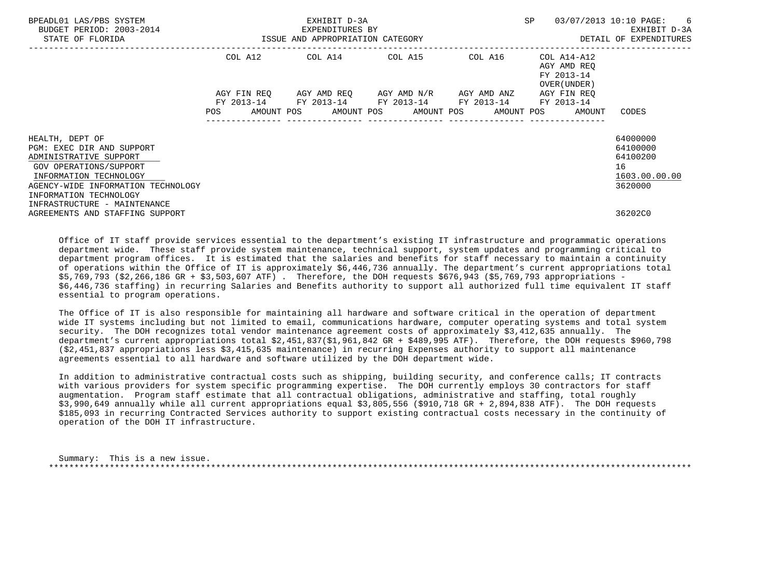| BPEADL01 LAS/PBS SYSTEM<br>BUDGET PERIOD: 2003-2014<br>STATE OF FLORIDA                                                         | ISSUE AND APPROPRIATION CATEGORY | EXHIBIT D-3A<br>EXPENDITURES BY |  | <b>SP</b>                                                                                        | 03/07/2013 10:10 PAGE: 6<br>EXHIBIT D-3A<br>DETAIL OF EXPENDITURES                  |                                                         |
|---------------------------------------------------------------------------------------------------------------------------------|----------------------------------|---------------------------------|--|--------------------------------------------------------------------------------------------------|-------------------------------------------------------------------------------------|---------------------------------------------------------|
|                                                                                                                                 |                                  |                                 |  | COL A12 COL A14 COL A15 COL A16                                                                  | COL A14-A12<br>AGY AMD REO<br>FY 2013-14<br>OVER (UNDER )                           |                                                         |
|                                                                                                                                 | AGY FIN REO                      |                                 |  | AGY AMD REQ        AGY AMD N/R        AGY AMD ANZ<br>FY 2013-14 FY 2013-14 FY 2013-14 FY 2013-14 | AGY FIN REO<br>FY 2013-14<br>POS AMOUNT POS AMOUNT POS AMOUNT POS AMOUNT POS AMOUNT | CODES                                                   |
| HEALTH, DEPT OF<br>PGM: EXEC DIR AND SUPPORT<br>ADMINISTRATIVE SUPPORT<br>GOV OPERATIONS/SUPPORT<br>INFORMATION TECHNOLOGY      |                                  |                                 |  |                                                                                                  |                                                                                     | 64000000<br>64100000<br>64100200<br>16<br>1603.00.00.00 |
| AGENCY-WIDE INFORMATION TECHNOLOGY<br>INFORMATION TECHNOLOGY<br>INFRASTRUCTURE - MAINTENANCE<br>AGREEMENTS AND STAFFING SUPPORT |                                  |                                 |  |                                                                                                  |                                                                                     | 3620000<br>36202C0                                      |

 Office of IT staff provide services essential to the department's existing IT infrastructure and programmatic operations department wide. These staff provide system maintenance, technical support, system updates and programming critical to department program offices. It is estimated that the salaries and benefits for staff necessary to maintain a continuity of operations within the Office of IT is approximately \$6,446,736 annually. The department's current appropriations total \$5,769,793 (\$2,266,186 GR + \$3,503,607 ATF) . Therefore, the DOH requests \$676,943 (\$5,769,793 appropriations - \$6,446,736 staffing) in recurring Salaries and Benefits authority to support all authorized full time equivalent IT staff essential to program operations.

 The Office of IT is also responsible for maintaining all hardware and software critical in the operation of department wide IT systems including but not limited to email, communications hardware, computer operating systems and total system security. The DOH recognizes total vendor maintenance agreement costs of approximately \$3,412,635 annually. The department's current appropriations total \$2,451,837(\$1,961,842 GR + \$489,995 ATF). Therefore, the DOH requests \$960,798 (\$2,451,837 appropriations less \$3,415,635 maintenance) in recurring Expenses authority to support all maintenance agreements essential to all hardware and software utilized by the DOH department wide.

 In addition to administrative contractual costs such as shipping, building security, and conference calls; IT contracts with various providers for system specific programming expertise. The DOH currently employs 30 contractors for staff augmentation. Program staff estimate that all contractual obligations, administrative and staffing, total roughly \$3,990,649 annually while all current appropriations equal \$3,805,556 (\$910,718 GR + 2,894,838 ATF). The DOH requests \$185,093 in recurring Contracted Services authority to support existing contractual costs necessary in the continuity of operation of the DOH IT infrastructure.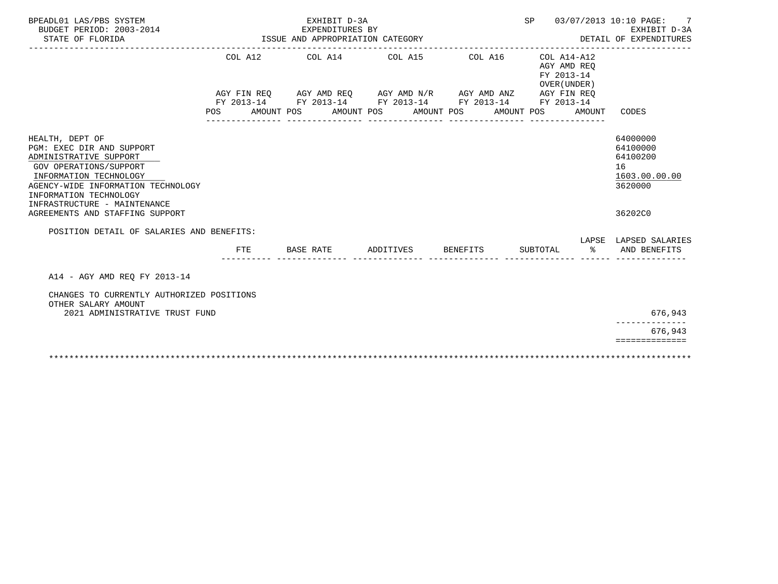|     | EXHIBIT D-3A<br>EXPENDITURES BY                                      |                                                                                        |  |                         |  |                                                                          | SP                    |          | 03/07/2013 10:10 PAGE:<br>7<br>EXHIBIT D-3A<br>DETAIL OF EXPENDITURES |                                                                                                                                                                 |
|-----|----------------------------------------------------------------------|----------------------------------------------------------------------------------------|--|-------------------------|--|--------------------------------------------------------------------------|-----------------------|----------|-----------------------------------------------------------------------|-----------------------------------------------------------------------------------------------------------------------------------------------------------------|
| POS |                                                                      |                                                                                        |  |                         |  |                                                                          |                       |          | AMOUNT                                                                | CODES                                                                                                                                                           |
|     |                                                                      |                                                                                        |  |                         |  |                                                                          |                       |          |                                                                       | 64000000<br>64100000<br>64100200<br>16<br>1603.00.00.00<br>3620000<br>36202C0                                                                                   |
|     | <b>FTE</b>                                                           |                                                                                        |  |                         |  |                                                                          |                       |          | ፠                                                                     | LAPSE LAPSED SALARIES<br>AND BENEFITS                                                                                                                           |
|     |                                                                      |                                                                                        |  |                         |  |                                                                          |                       |          |                                                                       | 676,943<br>676,943<br>==============                                                                                                                            |
|     | AGENCY-WIDE INFORMATION TECHNOLOGY<br>2021 ADMINISTRATIVE TRUST FUND | POSITION DETAIL OF SALARIES AND BENEFITS:<br>CHANGES TO CURRENTLY AUTHORIZED POSITIONS |  | AMOUNT POS<br>BASE RATE |  | ISSUE AND APPROPRIATION CATEGORY<br>COL A12 COL A14 COL A15<br>ADDITIVES | AMOUNT POS AMOUNT POS | BENEFITS | COL A16<br>FY 2013-14 FY 2013-14 FY 2013-14 FY 2013-14                | COL A14-A12<br>AGY AMD REO<br>FY 2013-14<br>OVER (UNDER)<br>AGY FIN REO AGY AMD REO AGY AMD N/R AGY AMD ANZ AGY FIN REO<br>FY 2013-14<br>AMOUNT POS<br>SUBTOTAL |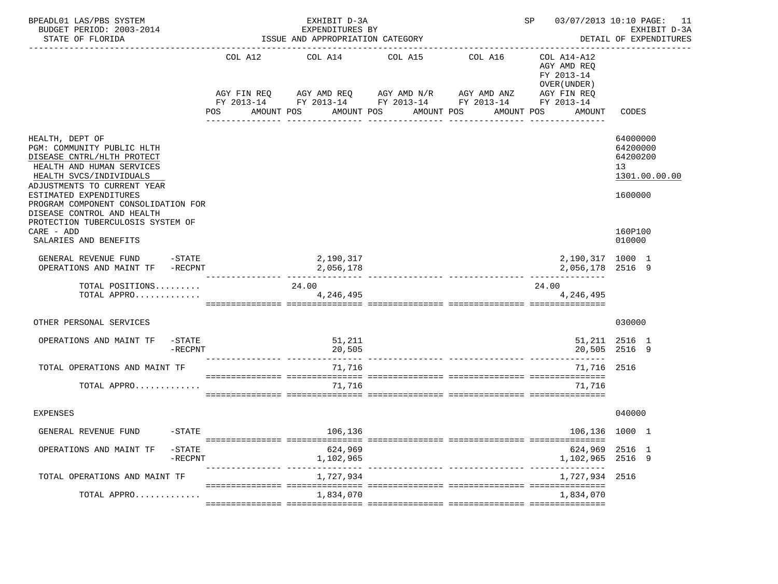| COL A12 COL A14 COL A15 COL A16<br>COL A14-A12<br>AGY AMD REQ<br>FY 2013-14<br>OVER (UNDER)<br>AGY FIN REQ AGY AMD REQ AGY AMD $N/R$ AGY AMD ANZ<br>AGY FIN REQ<br>FY 2013-14 FY 2013-14 FY 2013-14 FY 2013-14 FY 2013-14<br>POS<br>AMOUNT POS<br>AMOUNT POS<br>AMOUNT POS<br>AMOUNT POS<br>CODES<br>AMOUNT<br>64000000<br>HEALTH, DEPT OF<br>PGM: COMMUNITY PUBLIC HLTH<br>64200000<br>64200200<br>DISEASE CNTRL/HLTH PROTECT<br>HEALTH AND HUMAN SERVICES<br>13<br>HEALTH SVCS/INDIVIDUALS<br>1301.00.00.00<br>ADJUSTMENTS TO CURRENT YEAR<br>ESTIMATED EXPENDITURES<br>1600000<br>PROGRAM COMPONENT CONSOLIDATION FOR<br>DISEASE CONTROL AND HEALTH<br>PROTECTION TUBERCULOSIS SYSTEM OF<br>CARE - ADD<br>160P100<br>SALARIES AND BENEFITS<br>010000<br>2,190,317<br>GENERAL REVENUE FUND -STATE<br>2,190,317 1000 1<br>OPERATIONS AND MAINT TF -RECPNT<br>2,056,178<br>2,056,178 2516 9<br>______________________________________<br>TOTAL POSITIONS<br>24.00<br>24.00<br>TOTAL APPRO<br>4,246,495<br>4,246,495<br>030000<br>OTHER PERSONAL SERVICES<br>OPERATIONS AND MAINT TF<br>-STATE<br>51,211<br>51,211 2516 1<br>20,505<br>20,505 2516 9<br>-RECPNT<br>TOTAL OPERATIONS AND MAINT TF<br>71,716<br>71,716 2516<br>71,716<br>TOTAL APPRO<br>71,716<br>040000<br>EXPENSES<br>$-STATE$<br>106,136<br>106,136 1000 1<br>GENERAL REVENUE FUND<br>624,969<br>624,969 2516 1<br>OPERATIONS AND MAINT TF<br>$-$ STATE<br>1,102,965<br>2516 9<br>-RECPNT<br>1,102,965<br>1,727,934<br>TOTAL OPERATIONS AND MAINT TF<br>1,727,934 2516<br>1,834,070<br>1,834,070<br>TOTAL APPRO | BPEADL01 LAS/PBS SYSTEM<br>BUDGET PERIOD: 2003-2014<br>STATE OF FLORIDA |  | EXHIBIT D-3A<br>EXPENDITURES BY<br>ISSUE AND APPROPRIATION CATEGORY | 03/07/2013 10:10 PAGE: 11<br>SP<br>EXHIBIT D-3A<br>DETAIL OF EXPENDITURES |  |  |  |
|---------------------------------------------------------------------------------------------------------------------------------------------------------------------------------------------------------------------------------------------------------------------------------------------------------------------------------------------------------------------------------------------------------------------------------------------------------------------------------------------------------------------------------------------------------------------------------------------------------------------------------------------------------------------------------------------------------------------------------------------------------------------------------------------------------------------------------------------------------------------------------------------------------------------------------------------------------------------------------------------------------------------------------------------------------------------------------------------------------------------------------------------------------------------------------------------------------------------------------------------------------------------------------------------------------------------------------------------------------------------------------------------------------------------------------------------------------------------------------------------------------------------------------------------------------------------------------|-------------------------------------------------------------------------|--|---------------------------------------------------------------------|---------------------------------------------------------------------------|--|--|--|
|                                                                                                                                                                                                                                                                                                                                                                                                                                                                                                                                                                                                                                                                                                                                                                                                                                                                                                                                                                                                                                                                                                                                                                                                                                                                                                                                                                                                                                                                                                                                                                                 |                                                                         |  |                                                                     |                                                                           |  |  |  |
|                                                                                                                                                                                                                                                                                                                                                                                                                                                                                                                                                                                                                                                                                                                                                                                                                                                                                                                                                                                                                                                                                                                                                                                                                                                                                                                                                                                                                                                                                                                                                                                 |                                                                         |  |                                                                     |                                                                           |  |  |  |
|                                                                                                                                                                                                                                                                                                                                                                                                                                                                                                                                                                                                                                                                                                                                                                                                                                                                                                                                                                                                                                                                                                                                                                                                                                                                                                                                                                                                                                                                                                                                                                                 |                                                                         |  |                                                                     |                                                                           |  |  |  |
|                                                                                                                                                                                                                                                                                                                                                                                                                                                                                                                                                                                                                                                                                                                                                                                                                                                                                                                                                                                                                                                                                                                                                                                                                                                                                                                                                                                                                                                                                                                                                                                 |                                                                         |  |                                                                     |                                                                           |  |  |  |
|                                                                                                                                                                                                                                                                                                                                                                                                                                                                                                                                                                                                                                                                                                                                                                                                                                                                                                                                                                                                                                                                                                                                                                                                                                                                                                                                                                                                                                                                                                                                                                                 |                                                                         |  |                                                                     |                                                                           |  |  |  |
|                                                                                                                                                                                                                                                                                                                                                                                                                                                                                                                                                                                                                                                                                                                                                                                                                                                                                                                                                                                                                                                                                                                                                                                                                                                                                                                                                                                                                                                                                                                                                                                 |                                                                         |  |                                                                     |                                                                           |  |  |  |
|                                                                                                                                                                                                                                                                                                                                                                                                                                                                                                                                                                                                                                                                                                                                                                                                                                                                                                                                                                                                                                                                                                                                                                                                                                                                                                                                                                                                                                                                                                                                                                                 |                                                                         |  |                                                                     |                                                                           |  |  |  |
|                                                                                                                                                                                                                                                                                                                                                                                                                                                                                                                                                                                                                                                                                                                                                                                                                                                                                                                                                                                                                                                                                                                                                                                                                                                                                                                                                                                                                                                                                                                                                                                 |                                                                         |  |                                                                     |                                                                           |  |  |  |
|                                                                                                                                                                                                                                                                                                                                                                                                                                                                                                                                                                                                                                                                                                                                                                                                                                                                                                                                                                                                                                                                                                                                                                                                                                                                                                                                                                                                                                                                                                                                                                                 |                                                                         |  |                                                                     |                                                                           |  |  |  |
|                                                                                                                                                                                                                                                                                                                                                                                                                                                                                                                                                                                                                                                                                                                                                                                                                                                                                                                                                                                                                                                                                                                                                                                                                                                                                                                                                                                                                                                                                                                                                                                 |                                                                         |  |                                                                     |                                                                           |  |  |  |
|                                                                                                                                                                                                                                                                                                                                                                                                                                                                                                                                                                                                                                                                                                                                                                                                                                                                                                                                                                                                                                                                                                                                                                                                                                                                                                                                                                                                                                                                                                                                                                                 |                                                                         |  |                                                                     |                                                                           |  |  |  |
|                                                                                                                                                                                                                                                                                                                                                                                                                                                                                                                                                                                                                                                                                                                                                                                                                                                                                                                                                                                                                                                                                                                                                                                                                                                                                                                                                                                                                                                                                                                                                                                 |                                                                         |  |                                                                     |                                                                           |  |  |  |
|                                                                                                                                                                                                                                                                                                                                                                                                                                                                                                                                                                                                                                                                                                                                                                                                                                                                                                                                                                                                                                                                                                                                                                                                                                                                                                                                                                                                                                                                                                                                                                                 |                                                                         |  |                                                                     |                                                                           |  |  |  |
|                                                                                                                                                                                                                                                                                                                                                                                                                                                                                                                                                                                                                                                                                                                                                                                                                                                                                                                                                                                                                                                                                                                                                                                                                                                                                                                                                                                                                                                                                                                                                                                 |                                                                         |  |                                                                     |                                                                           |  |  |  |
|                                                                                                                                                                                                                                                                                                                                                                                                                                                                                                                                                                                                                                                                                                                                                                                                                                                                                                                                                                                                                                                                                                                                                                                                                                                                                                                                                                                                                                                                                                                                                                                 |                                                                         |  |                                                                     |                                                                           |  |  |  |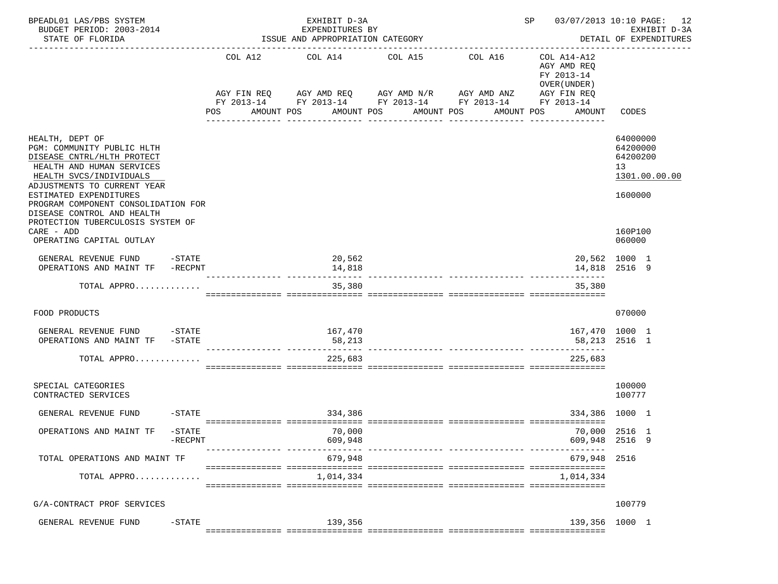| BPEADL01 LAS/PBS SYSTEM<br>BUDGET PERIOD: 2003-2014<br>STATE OF FLORIDA                                                                                                                                                                                                                                |                      | 03/07/2013 10:10 PAGE: 12<br>SP<br>EXHIBIT D-3A<br>EXPENDITURES BY<br>ISSUE AND APPROPRIATION CATEGORY<br>DETAIL OF EXPENDITURES                   |                          |                       |                                                                                   |                                 |                                                                    |  |  |
|--------------------------------------------------------------------------------------------------------------------------------------------------------------------------------------------------------------------------------------------------------------------------------------------------------|----------------------|----------------------------------------------------------------------------------------------------------------------------------------------------|--------------------------|-----------------------|-----------------------------------------------------------------------------------|---------------------------------|--------------------------------------------------------------------|--|--|
|                                                                                                                                                                                                                                                                                                        | POS                  | COL A12 COL A14 COL A15<br>AGY FIN REQ AGY AMD REQ AGY AMD N/R AGY AMD ANZ<br>FY 2013-14 FY 2013-14 FY 2013-14 FY 2013-14 FY 2013-14<br>AMOUNT POS | AMOUNT POS<br>AMOUNT POS | COL A16<br>AMOUNT POS | COL A14-A12<br>AGY AMD REQ<br>FY 2013-14<br>OVER (UNDER)<br>AGY FIN REQ<br>AMOUNT | CODES                           |                                                                    |  |  |
| HEALTH, DEPT OF<br>PGM: COMMUNITY PUBLIC HLTH<br>DISEASE CNTRL/HLTH PROTECT<br>HEALTH AND HUMAN SERVICES<br>HEALTH SVCS/INDIVIDUALS<br>ADJUSTMENTS TO CURRENT YEAR<br>ESTIMATED EXPENDITURES<br>PROGRAM COMPONENT CONSOLIDATION FOR<br>DISEASE CONTROL AND HEALTH<br>PROTECTION TUBERCULOSIS SYSTEM OF |                      |                                                                                                                                                    |                          |                       |                                                                                   |                                 | 64000000<br>64200000<br>64200200<br>13<br>1301.00.00.00<br>1600000 |  |  |
| CARE - ADD<br>OPERATING CAPITAL OUTLAY                                                                                                                                                                                                                                                                 |                      |                                                                                                                                                    |                          |                       |                                                                                   |                                 | 160P100<br>060000                                                  |  |  |
| GENERAL REVENUE FUND -STATE<br>OPERATIONS AND MAINT TF -RECPNT                                                                                                                                                                                                                                         |                      |                                                                                                                                                    | 20,562<br>14,818         |                       |                                                                                   |                                 | 20,562 1000 1<br>14,818 2516 9                                     |  |  |
| TOTAL APPRO                                                                                                                                                                                                                                                                                            |                      |                                                                                                                                                    | 35,380                   |                       |                                                                                   | 35,380                          |                                                                    |  |  |
| FOOD PRODUCTS                                                                                                                                                                                                                                                                                          |                      |                                                                                                                                                    |                          |                       |                                                                                   |                                 | 070000                                                             |  |  |
| GENERAL REVENUE FUND -STATE<br>OPERATIONS AND MAINT TF -STATE                                                                                                                                                                                                                                          |                      |                                                                                                                                                    | 167,470<br>58,213        |                       |                                                                                   | 167,470 1000 1<br>58,213 2516 1 |                                                                    |  |  |
| TOTAL APPRO                                                                                                                                                                                                                                                                                            |                      |                                                                                                                                                    | 225,683                  |                       |                                                                                   | 225,683                         |                                                                    |  |  |
| SPECIAL CATEGORIES<br>CONTRACTED SERVICES                                                                                                                                                                                                                                                              |                      |                                                                                                                                                    |                          |                       |                                                                                   |                                 | 100000<br>100777                                                   |  |  |
| GENERAL REVENUE FUND                                                                                                                                                                                                                                                                                   | $-$ STATE            |                                                                                                                                                    | 334,386                  |                       |                                                                                   | 334,386 1000 1                  |                                                                    |  |  |
| OPERATIONS AND MAINT TF                                                                                                                                                                                                                                                                                | -STATE<br>$-$ RECPNT |                                                                                                                                                    | 70,000<br>609,948        |                       |                                                                                   |                                 | 70,000 2516 1<br>609,948 2516 9                                    |  |  |
| TOTAL OPERATIONS AND MAINT TF                                                                                                                                                                                                                                                                          |                      |                                                                                                                                                    | 679,948                  |                       |                                                                                   | 679,948                         | 2516                                                               |  |  |
| TOTAL APPRO                                                                                                                                                                                                                                                                                            |                      |                                                                                                                                                    | 1,014,334                |                       |                                                                                   | 1,014,334                       |                                                                    |  |  |
| G/A-CONTRACT PROF SERVICES                                                                                                                                                                                                                                                                             |                      |                                                                                                                                                    |                          |                       |                                                                                   |                                 | 100779                                                             |  |  |
| GENERAL REVENUE FUND                                                                                                                                                                                                                                                                                   | $-$ STATE            |                                                                                                                                                    | 139,356                  |                       |                                                                                   | 139,356 1000 1                  |                                                                    |  |  |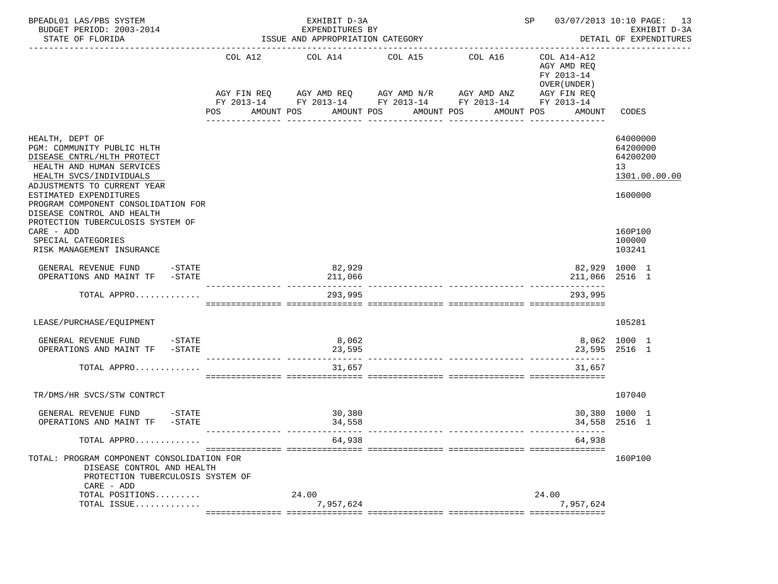| BPEADL01 LAS/PBS SYSTEM<br>BUDGET PERIOD: 2003-2014<br>STATE OF FLORIDA                                                                                            |            | EXHIBIT D-3A<br>EXPENDITURES BY<br>ISSUE AND APPROPRIATION CATEGORY |                       | SP 03/07/2013 10:10 PAGE: 13<br>EXHIBIT D-3A<br>DETAIL OF EXPENDITURES                                                           |                                                                                   |                                                         |
|--------------------------------------------------------------------------------------------------------------------------------------------------------------------|------------|---------------------------------------------------------------------|-----------------------|----------------------------------------------------------------------------------------------------------------------------------|-----------------------------------------------------------------------------------|---------------------------------------------------------|
|                                                                                                                                                                    | <b>POS</b> | COL A12 COL A14 COL A15<br>AMOUNT POS                               | AMOUNT POS AMOUNT POS | COL A16<br>AGY FIN REQ AGY AMD REQ AGY AMD N/R AGY AMD ANZ AGY FIN REQ<br>FY 2013-14 FY 2013-14 FY 2013-14 FY 2013-14 FY 2013-14 | COL A14-A12<br>AGY AMD REQ<br>FY 2013-14<br>OVER (UNDER )<br>AMOUNT POS<br>AMOUNT | CODES                                                   |
|                                                                                                                                                                    |            |                                                                     |                       |                                                                                                                                  |                                                                                   |                                                         |
| HEALTH, DEPT OF<br>PGM: COMMUNITY PUBLIC HLTH<br>DISEASE CNTRL/HLTH PROTECT<br>HEALTH AND HUMAN SERVICES<br>HEALTH SVCS/INDIVIDUALS<br>ADJUSTMENTS TO CURRENT YEAR |            |                                                                     |                       |                                                                                                                                  |                                                                                   | 64000000<br>64200000<br>64200200<br>13<br>1301.00.00.00 |
| ESTIMATED EXPENDITURES<br>PROGRAM COMPONENT CONSOLIDATION FOR<br>DISEASE CONTROL AND HEALTH<br>PROTECTION TUBERCULOSIS SYSTEM OF                                   |            |                                                                     |                       |                                                                                                                                  |                                                                                   | 1600000                                                 |
| CARE - ADD<br>SPECIAL CATEGORIES<br>RISK MANAGEMENT INSURANCE                                                                                                      |            |                                                                     |                       |                                                                                                                                  |                                                                                   | 160P100<br>100000<br>103241                             |
| GENERAL REVENUE FUND -STATE<br>OPERATIONS AND MAINT TF -STATE                                                                                                      |            | 82,929<br>211,066                                                   |                       |                                                                                                                                  | 82,929 1000 1<br>211,066 2516 1                                                   |                                                         |
| TOTAL APPRO                                                                                                                                                        |            | 293,995                                                             |                       |                                                                                                                                  | 293,995                                                                           |                                                         |
| LEASE/PURCHASE/EQUIPMENT                                                                                                                                           |            |                                                                     |                       |                                                                                                                                  |                                                                                   | 105281                                                  |
| GENERAL REVENUE FUND -STATE<br>OPERATIONS AND MAINT TF -STATE                                                                                                      |            | 8,062<br>23,595                                                     |                       |                                                                                                                                  |                                                                                   | 8,062 1000 1<br>23,595 2516 1                           |
| TOTAL APPRO                                                                                                                                                        |            | 31,657                                                              |                       |                                                                                                                                  | 31,657                                                                            |                                                         |
| TR/DMS/HR SVCS/STW CONTRCT                                                                                                                                         |            |                                                                     |                       |                                                                                                                                  |                                                                                   | 107040                                                  |
| GENERAL REVENUE FUND -STATE<br>OPERATIONS AND MAINT TF -STATE                                                                                                      |            | 30,380<br>34,558                                                    |                       |                                                                                                                                  |                                                                                   | 30,380 1000 1<br>34,558 2516 1                          |
| TOTAL APPRO                                                                                                                                                        |            | 64,938                                                              |                       |                                                                                                                                  | 64,938                                                                            |                                                         |
| TOTAL: PROGRAM COMPONENT CONSOLIDATION FOR<br>DISEASE CONTROL AND HEALTH<br>PROTECTION TUBERCULOSIS SYSTEM OF<br>CARE - ADD                                        |            |                                                                     |                       |                                                                                                                                  |                                                                                   | 160P100                                                 |
| TOTAL POSITIONS                                                                                                                                                    |            | 24.00<br>7,957,624                                                  |                       |                                                                                                                                  | 24.00<br>7.957.624                                                                |                                                         |
| TOTAL ISSUE                                                                                                                                                        |            |                                                                     |                       |                                                                                                                                  |                                                                                   |                                                         |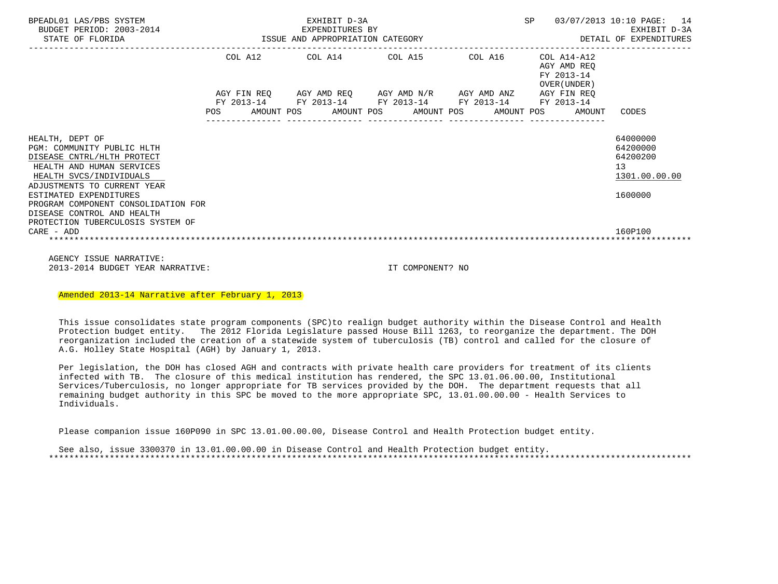| BPEADL01 LAS/PBS SYSTEM<br>BUDGET PERIOD: 2003-2014<br>STATE OF FLORIDA                                                                                                                                                                                                                                                | EXHIBIT D-3A<br>SP<br>EXPENDITURES BY<br>3-2014 EXPENDITURES BY<br>ISSUE AND APPROPRIATION CATEGORY |  |  |  |  |                                                                                                       |  |  |  |                                                           | 03/07/2013 10:10 PAGE: 14<br>EXHIBIT D-3A<br>DETAIL OF EXPENDITURES                        |
|------------------------------------------------------------------------------------------------------------------------------------------------------------------------------------------------------------------------------------------------------------------------------------------------------------------------|-----------------------------------------------------------------------------------------------------|--|--|--|--|-------------------------------------------------------------------------------------------------------|--|--|--|-----------------------------------------------------------|--------------------------------------------------------------------------------------------|
|                                                                                                                                                                                                                                                                                                                        |                                                                                                     |  |  |  |  | COL A12 COL A14 COL A15 COL A16<br>AGY FIN REQ AGY AMD REQ AGY AMD N/R AGY AMD ANZ AGY FIN REQ        |  |  |  | COL A14-A12<br>AGY AMD REO<br>FY 2013-14<br>OVER (UNDER ) |                                                                                            |
|                                                                                                                                                                                                                                                                                                                        | POS                                                                                                 |  |  |  |  | FY 2013-14 FY 2013-14 FY 2013-14 FY 2013-14 FY 2013-14<br>AMOUNT POS AMOUNT POS AMOUNT POS AMOUNT POS |  |  |  | AMOUNT                                                    | CODES                                                                                      |
| HEALTH, DEPT OF<br>PGM: COMMUNITY PUBLIC HLTH<br>DISEASE CNTRL/HLTH PROTECT<br>HEALTH AND HUMAN SERVICES<br>HEALTH SVCS/INDIVIDUALS<br>ADJUSTMENTS TO CURRENT YEAR<br>ESTIMATED EXPENDITURES<br>PROGRAM COMPONENT CONSOLIDATION FOR<br>DISEASE CONTROL AND HEALTH<br>PROTECTION TUBERCULOSIS SYSTEM OF<br>$CARE - ADD$ |                                                                                                     |  |  |  |  |                                                                                                       |  |  |  |                                                           | 64000000<br>64200000<br>64200200<br>13 <sup>°</sup><br>1301.00.00.00<br>1600000<br>160P100 |
|                                                                                                                                                                                                                                                                                                                        |                                                                                                     |  |  |  |  |                                                                                                       |  |  |  |                                                           |                                                                                            |

 AGENCY ISSUE NARRATIVE: 2013-2014 BUDGET YEAR NARRATIVE: IT COMPONENT? NO

Amended 2013-14 Narrative after February 1, 2013

 This issue consolidates state program components (SPC)to realign budget authority within the Disease Control and Health Protection budget entity. The 2012 Florida Legislature passed House Bill 1263, to reorganize the department. The DOH reorganization included the creation of a statewide system of tuberculosis (TB) control and called for the closure of A.G. Holley State Hospital (AGH) by January 1, 2013.

 Per legislation, the DOH has closed AGH and contracts with private health care providers for treatment of its clients infected with TB. The closure of this medical institution has rendered, the SPC 13.01.06.00.00, Institutional Services/Tuberculosis, no longer appropriate for TB services provided by the DOH. The department requests that all remaining budget authority in this SPC be moved to the more appropriate SPC, 13.01.00.00.00 - Health Services to Individuals.

Please companion issue 160P090 in SPC 13.01.00.00.00, Disease Control and Health Protection budget entity.

 See also, issue 3300370 in 13.01.00.00.00 in Disease Control and Health Protection budget entity. \*\*\*\*\*\*\*\*\*\*\*\*\*\*\*\*\*\*\*\*\*\*\*\*\*\*\*\*\*\*\*\*\*\*\*\*\*\*\*\*\*\*\*\*\*\*\*\*\*\*\*\*\*\*\*\*\*\*\*\*\*\*\*\*\*\*\*\*\*\*\*\*\*\*\*\*\*\*\*\*\*\*\*\*\*\*\*\*\*\*\*\*\*\*\*\*\*\*\*\*\*\*\*\*\*\*\*\*\*\*\*\*\*\*\*\*\*\*\*\*\*\*\*\*\*\*\*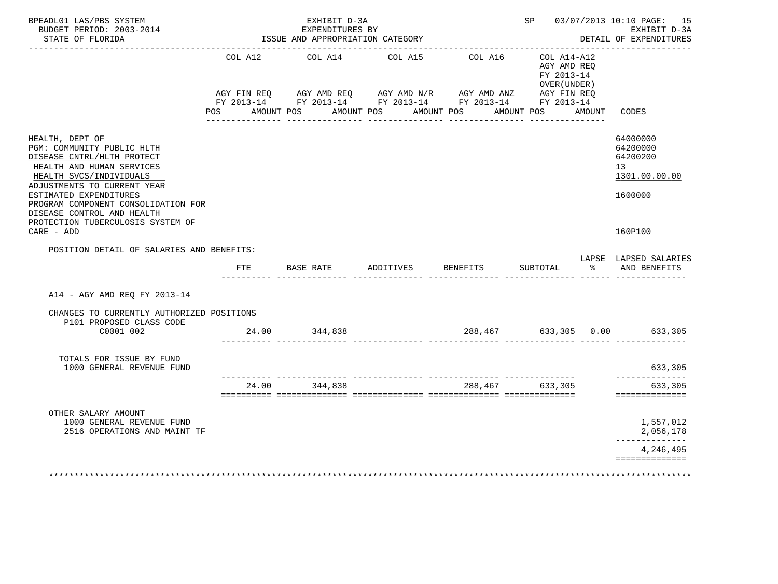| BPEADL01 LAS/PBS SYSTEM<br>BUDGET PERIOD: 2003-2014<br>STATE OF FLORIDA                                                                                                                                                                                                                                              |                | EXHIBIT D-3A<br>EXPENDITURES BY<br>ISSUE AND APPROPRIATION CATEGORY                                                                            |                                  |          | SP 03/07/2013 10:10 PAGE: 15<br>EXHIBIT D-3A<br>DETAIL OF EXPENDITURES |        |                                                                                            |
|----------------------------------------------------------------------------------------------------------------------------------------------------------------------------------------------------------------------------------------------------------------------------------------------------------------------|----------------|------------------------------------------------------------------------------------------------------------------------------------------------|----------------------------------|----------|------------------------------------------------------------------------|--------|--------------------------------------------------------------------------------------------|
|                                                                                                                                                                                                                                                                                                                      | COL A12<br>POS | COL A14<br>AGY FIN REQ AGY AMD REQ AGY AMD N/R AGY AMD ANZ AGY FIN REQ<br>FY 2013-14 FY 2013-14 FY 2013-14 FY 2013-14 FY 2013-14<br>AMOUNT POS | COL A15<br>AMOUNT POS AMOUNT POS | COL A16  | COL A14-A12<br>AGY AMD REO<br>FY 2013-14<br>OVER (UNDER)<br>AMOUNT POS | AMOUNT | CODES                                                                                      |
| HEALTH, DEPT OF<br>PGM: COMMUNITY PUBLIC HLTH<br>DISEASE CNTRL/HLTH PROTECT<br>HEALTH AND HUMAN SERVICES<br>HEALTH SVCS/INDIVIDUALS<br>ADJUSTMENTS TO CURRENT YEAR<br>ESTIMATED EXPENDITURES<br>PROGRAM COMPONENT CONSOLIDATION FOR<br>DISEASE CONTROL AND HEALTH<br>PROTECTION TUBERCULOSIS SYSTEM OF<br>CARE - ADD |                |                                                                                                                                                |                                  |          |                                                                        |        | 64000000<br>64200000<br>64200200<br>13 <sup>7</sup><br>1301.00.00.00<br>1600000<br>160P100 |
| POSITION DETAIL OF SALARIES AND BENEFITS:                                                                                                                                                                                                                                                                            | FTE            | BASE RATE ADDITIVES                                                                                                                            |                                  | BENEFITS | SUBTOTAL                                                               | ႜೢ     | LAPSE LAPSED SALARIES<br>AND BENEFITS                                                      |
| A14 - AGY AMD REQ FY 2013-14                                                                                                                                                                                                                                                                                         |                |                                                                                                                                                |                                  |          |                                                                        |        |                                                                                            |
| CHANGES TO CURRENTLY AUTHORIZED POSITIONS<br>P101 PROPOSED CLASS CODE<br>C0001 002                                                                                                                                                                                                                                   |                | 24.00 344,838                                                                                                                                  |                                  | 288,467  |                                                                        |        | 633,305 0.00 633,305                                                                       |
| TOTALS FOR ISSUE BY FUND<br>1000 GENERAL REVENUE FUND                                                                                                                                                                                                                                                                |                |                                                                                                                                                |                                  |          |                                                                        |        | 633,305<br>--------------                                                                  |
|                                                                                                                                                                                                                                                                                                                      | 24.00          | 344,838                                                                                                                                        |                                  | 288,467  | 633,305                                                                |        | 633,305<br>==============                                                                  |
| OTHER SALARY AMOUNT<br>1000 GENERAL REVENUE FUND<br>2516 OPERATIONS AND MAINT TF                                                                                                                                                                                                                                     |                |                                                                                                                                                |                                  |          |                                                                        |        | 1,557,012<br>2,056,178                                                                     |
|                                                                                                                                                                                                                                                                                                                      |                |                                                                                                                                                |                                  |          |                                                                        |        | --------------<br>4,246,495<br>==============                                              |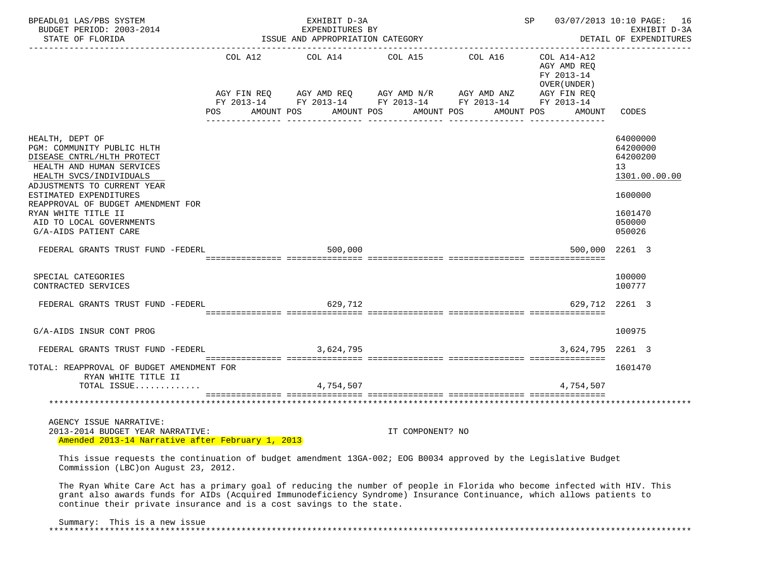| BPEADL01 LAS/PBS SYSTEM<br>BUDGET PERIOD: 2003-2014 EXPENDITURES BY<br>STATE OF FLORIDA STATE OF STATE OF STATE OF STATE OF STATE OF STATE AND APPROPRIATION CATEGORY                                                                                                                                          |  | <b>SP</b> | 03/07/2013 10:10 PAGE: 16<br>EXHIBIT D-3A<br>DETAIL OF EXPENDITURES |                                                                                                                       |                                           |                                                                                                   |
|----------------------------------------------------------------------------------------------------------------------------------------------------------------------------------------------------------------------------------------------------------------------------------------------------------------|--|-----------|---------------------------------------------------------------------|-----------------------------------------------------------------------------------------------------------------------|-------------------------------------------|---------------------------------------------------------------------------------------------------|
|                                                                                                                                                                                                                                                                                                                |  |           |                                                                     | $COL A12 \hspace{1.2cm} COL A14 \hspace{1.2cm} COL A15 \hspace{1.2cm} COL A16 \hspace{1.2cm} COL A14-A12$             | AGY AMD REQ<br>FY 2013-14<br>OVER (UNDER) |                                                                                                   |
|                                                                                                                                                                                                                                                                                                                |  |           |                                                                     | AGY FIN REQ AGY AMD REQ AGY AMD N/R AGY AMD ANZ AGY FIN REQ<br>FY 2013-14 FY 2013-14 FY 2013-14 FY 2013-14 FY 2013-14 |                                           |                                                                                                   |
|                                                                                                                                                                                                                                                                                                                |  |           |                                                                     | POS AMOUNT POS AMOUNT POS AMOUNT POS AMOUNT POS                                                                       | AMOUNT                                    | CODES                                                                                             |
| HEALTH, DEPT OF<br>PGM: COMMUNITY PUBLIC HLTH<br>DISEASE CNTRL/HLTH PROTECT<br>HEALTH AND HUMAN SERVICES<br>HEALTH SVCS/INDIVIDUALS<br>ADJUSTMENTS TO CURRENT YEAR<br>ESTIMATED EXPENDITURES<br>REAPPROVAL OF BUDGET AMENDMENT FOR<br>RYAN WHITE TITLE II<br>AID TO LOCAL GOVERNMENTS<br>G/A-AIDS PATIENT CARE |  |           |                                                                     |                                                                                                                       |                                           | 64000000<br>64200000<br>64200200<br>13<br>1301.00.00.00<br>1600000<br>1601470<br>050000<br>050026 |
| FEDERAL GRANTS TRUST FUND -FEDERL                                                                                                                                                                                                                                                                              |  | 500,000   |                                                                     |                                                                                                                       | 500,000                                   | 2261 3                                                                                            |
| SPECIAL CATEGORIES<br>CONTRACTED SERVICES                                                                                                                                                                                                                                                                      |  |           |                                                                     |                                                                                                                       |                                           | 100000<br>100777                                                                                  |
| FEDERAL GRANTS TRUST FUND -FEDERL                                                                                                                                                                                                                                                                              |  | 629,712   |                                                                     |                                                                                                                       | 629.712 2261 3                            |                                                                                                   |
| G/A-AIDS INSUR CONT PROG                                                                                                                                                                                                                                                                                       |  |           |                                                                     |                                                                                                                       |                                           | 100975                                                                                            |
| FEDERAL GRANTS TRUST FUND -FEDERL 3,624,795                                                                                                                                                                                                                                                                    |  |           |                                                                     |                                                                                                                       | 3,624,795 2261 3                          |                                                                                                   |
| TOTAL: REAPPROVAL OF BUDGET AMENDMENT FOR<br>RYAN WHITE TITLE II                                                                                                                                                                                                                                               |  |           |                                                                     |                                                                                                                       |                                           | 1601470                                                                                           |
| TOTAL ISSUE                                                                                                                                                                                                                                                                                                    |  | 4,754,507 |                                                                     |                                                                                                                       | 4,754,507                                 |                                                                                                   |
|                                                                                                                                                                                                                                                                                                                |  |           |                                                                     |                                                                                                                       |                                           |                                                                                                   |
| AGENCY ISSUE NARRATIVE:<br>2013-2014 BUDGET YEAR NARRATIVE:<br>Amended 2013-14 Narrative after February 1, 2013                                                                                                                                                                                                |  |           | IT COMPONENT? NO                                                    |                                                                                                                       |                                           |                                                                                                   |
| This issue requests the continuation of budget amendment 13GA-002; EOG B0034 approved by the Legislative Budget<br>Commission (LBC) on August 23, 2012.                                                                                                                                                        |  |           |                                                                     |                                                                                                                       |                                           |                                                                                                   |

 The Ryan White Care Act has a primary goal of reducing the number of people in Florida who become infected with HIV. This grant also awards funds for AIDs (Acquired Immunodeficiency Syndrome) Insurance Continuance, which allows patients to continue their private insurance and is a cost savings to the state.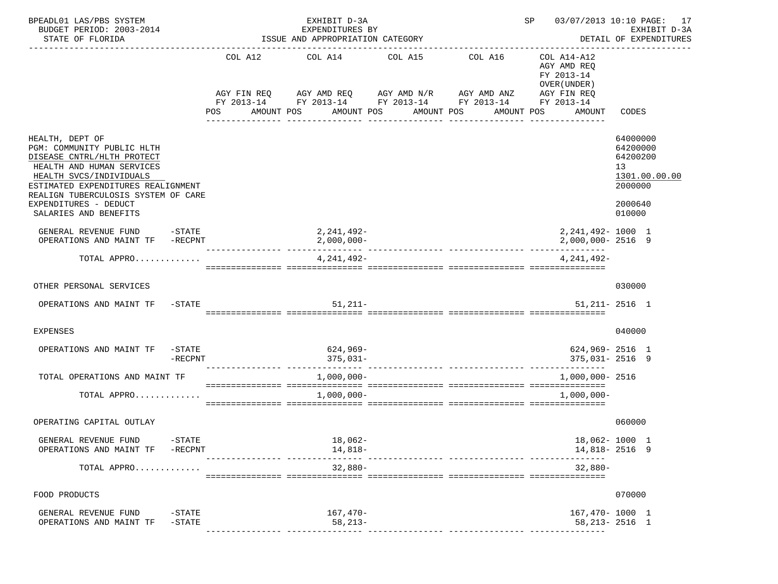| BPEADL01 LAS/PBS SYSTEM<br>BUDGET PERIOD: 2003-2014<br>STATE OF FLORIDA<br>-----------------------                                                                                                                                                                 | ISSUE AND APPROPRIATION CATEGORY                                                                                                                                 | EXHIBIT D-3A<br>EXPENDITURES BY | SP                    | 03/07/2013 10:10 PAGE: 17<br>EXHIBIT D-3A<br>DETAIL OF EXPENDITURES<br>------------------ |                                                                                   |                                                                        |               |
|--------------------------------------------------------------------------------------------------------------------------------------------------------------------------------------------------------------------------------------------------------------------|------------------------------------------------------------------------------------------------------------------------------------------------------------------|---------------------------------|-----------------------|-------------------------------------------------------------------------------------------|-----------------------------------------------------------------------------------|------------------------------------------------------------------------|---------------|
|                                                                                                                                                                                                                                                                    | COL A12 COL A14 COL A15<br>AGY FIN REQ AGY AMD REQ AGY AMD N/R AGY AMD ANZ<br>FY 2013-14 FY 2013-14 FY 2013-14 FY 2013-14 FY 2013-14<br><b>POS</b><br>AMOUNT POS |                                 | AMOUNT POS AMOUNT POS | COL A16<br>AMOUNT POS                                                                     | COL A14-A12<br>AGY AMD REO<br>FY 2013-14<br>OVER (UNDER)<br>AGY FIN REQ<br>AMOUNT | CODES                                                                  |               |
| HEALTH, DEPT OF<br>PGM: COMMUNITY PUBLIC HLTH<br>DISEASE CNTRL/HLTH PROTECT<br>HEALTH AND HUMAN SERVICES<br>HEALTH SVCS/INDIVIDUALS<br>ESTIMATED EXPENDITURES REALIGNMENT<br>REALIGN TUBERCULOSIS SYSTEM OF CARE<br>EXPENDITURES - DEDUCT<br>SALARIES AND BENEFITS |                                                                                                                                                                  |                                 |                       |                                                                                           |                                                                                   | 64000000<br>64200000<br>64200200<br>13<br>2000000<br>2000640<br>010000 | 1301.00.00.00 |
| $-STATE$<br>GENERAL REVENUE FUND<br>OPERATIONS AND MAINT TF -RECPNT                                                                                                                                                                                                |                                                                                                                                                                  | 2,241,492-<br>$2,000,000-$      |                       |                                                                                           | 2, 241, 492- 1000 1<br>2,000,000-2516 9                                           |                                                                        |               |
| TOTAL APPRO                                                                                                                                                                                                                                                        |                                                                                                                                                                  | 4,241,492-                      |                       |                                                                                           | 4.241.492-                                                                        |                                                                        |               |
| OTHER PERSONAL SERVICES                                                                                                                                                                                                                                            |                                                                                                                                                                  |                                 |                       |                                                                                           |                                                                                   | 030000                                                                 |               |
| OPERATIONS AND MAINT TF -STATE                                                                                                                                                                                                                                     |                                                                                                                                                                  | $51,211-$                       |                       |                                                                                           | $51,211 - 2516$ 1                                                                 |                                                                        |               |
| <b>EXPENSES</b>                                                                                                                                                                                                                                                    |                                                                                                                                                                  |                                 |                       |                                                                                           |                                                                                   | 040000                                                                 |               |
| OPERATIONS AND MAINT TF<br>$-\mathtt{STATE}$<br>-RECPNT                                                                                                                                                                                                            |                                                                                                                                                                  | 624,969-<br>$375,031-$          |                       |                                                                                           | 624,969-2516 1<br>375,031-2516 9                                                  |                                                                        |               |
| TOTAL OPERATIONS AND MAINT TF                                                                                                                                                                                                                                      |                                                                                                                                                                  | $1,000,000-$                    |                       |                                                                                           | 1,000,000- 2516                                                                   |                                                                        |               |
| TOTAL APPRO                                                                                                                                                                                                                                                        |                                                                                                                                                                  | 1,000,000-                      |                       |                                                                                           | $1,000,000-$                                                                      |                                                                        |               |
| OPERATING CAPITAL OUTLAY                                                                                                                                                                                                                                           |                                                                                                                                                                  |                                 |                       |                                                                                           |                                                                                   | 060000                                                                 |               |
| GENERAL REVENUE FUND<br>$-$ STATE<br>OPERATIONS AND MAINT TF<br>-RECPNT                                                                                                                                                                                            |                                                                                                                                                                  | 18,062-<br>14,818-              |                       |                                                                                           | 18,062- 1000 1<br>14,818-2516 9                                                   |                                                                        |               |
| TOTAL APPRO                                                                                                                                                                                                                                                        |                                                                                                                                                                  | $32,880-$                       |                       |                                                                                           | $32,880-$                                                                         |                                                                        |               |
| FOOD PRODUCTS                                                                                                                                                                                                                                                      |                                                                                                                                                                  |                                 |                       |                                                                                           |                                                                                   | 070000                                                                 |               |
| GENERAL REVENUE FUND<br>$-$ STATE<br>OPERATIONS AND MAINT TF<br>$-$ STATE                                                                                                                                                                                          |                                                                                                                                                                  | $167,470-$<br>$58, 213 -$       |                       |                                                                                           | 167,470-1000 1<br>$58,213 - 2516$ 1                                               |                                                                        |               |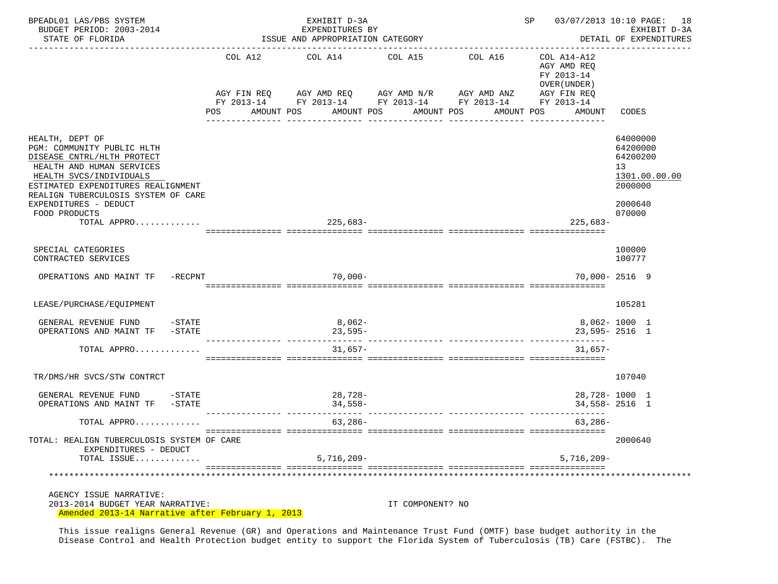| BPEADL01 LAS/PBS SYSTEM<br>BUDGET PERIOD: 2003-2014<br>STATE OF FLORIDA                                                                                                                                                                                    |         | EXHIBIT D-3A<br>EXPENDITURES BY<br>ISSUE AND APPROPRIATION CATEGORY<br>------------------------------------                                            |                                  | SP                    | 03/07/2013 10:10 PAGE: 18<br>EXHIBIT D-3A<br>DETAIL OF EXPENDITURES |                                                                                         |
|------------------------------------------------------------------------------------------------------------------------------------------------------------------------------------------------------------------------------------------------------------|---------|--------------------------------------------------------------------------------------------------------------------------------------------------------|----------------------------------|-----------------------|---------------------------------------------------------------------|-----------------------------------------------------------------------------------------|
|                                                                                                                                                                                                                                                            | POS FOR | COL A12 COL A14<br>AGY FIN REQ AGY AMD REQ AGY AMD N/R AGY AMD ANZ AGY FIN REQ<br>FY 2013-14 FY 2013-14 FY 2013-14 FY 2013-14 FY 2013-14<br>AMOUNT POS | COL A15<br>AMOUNT POS AMOUNT POS | COL A16<br>AMOUNT POS | COL A14-A12<br>AGY AMD REO<br>FY 2013-14<br>OVER (UNDER)<br>AMOUNT  | CODES                                                                                   |
| HEALTH, DEPT OF<br>PGM: COMMUNITY PUBLIC HLTH<br>DISEASE CNTRL/HLTH PROTECT<br>HEALTH AND HUMAN SERVICES<br>HEALTH SVCS/INDIVIDUALS<br>ESTIMATED EXPENDITURES REALIGNMENT<br>REALIGN TUBERCULOSIS SYSTEM OF CARE<br>EXPENDITURES - DEDUCT<br>FOOD PRODUCTS |         |                                                                                                                                                        |                                  |                       |                                                                     | 64000000<br>64200000<br>64200200<br>13<br>1301.00.00.00<br>2000000<br>2000640<br>070000 |
| TOTAL APPRO                                                                                                                                                                                                                                                |         | 225,683-                                                                                                                                               |                                  |                       | $225,683-$                                                          |                                                                                         |
| SPECIAL CATEGORIES<br>CONTRACTED SERVICES                                                                                                                                                                                                                  |         |                                                                                                                                                        |                                  |                       |                                                                     | 100000<br>100777                                                                        |
| OPERATIONS AND MAINT TF -RECPNT                                                                                                                                                                                                                            |         | $70,000-$                                                                                                                                              |                                  |                       |                                                                     | 70,000-2516 9                                                                           |
| LEASE/PURCHASE/EQUIPMENT                                                                                                                                                                                                                                   |         |                                                                                                                                                        |                                  |                       |                                                                     | 105281                                                                                  |
| GENERAL REVENUE FUND -STATE<br>OPERATIONS AND MAINT TF -STATE                                                                                                                                                                                              |         | $8,062-$<br>23,595-                                                                                                                                    |                                  |                       |                                                                     | 8,062-1000 1<br>23,595-2516 1                                                           |
| TOTAL APPRO                                                                                                                                                                                                                                                |         | $31.657-$                                                                                                                                              |                                  |                       | $31.657-$                                                           |                                                                                         |
| TR/DMS/HR SVCS/STW CONTRCT                                                                                                                                                                                                                                 |         |                                                                                                                                                        |                                  |                       |                                                                     | 107040                                                                                  |
| GENERAL REVENUE FUND<br>$-STATE$<br>OPERATIONS AND MAINT TF -STATE                                                                                                                                                                                         |         | 28,728-<br>$34,558-$                                                                                                                                   | ___________________________      |                       | -----------                                                         | 28,728-1000 1<br>$34,558 - 2516$ 1                                                      |
| TOTAL APPRO                                                                                                                                                                                                                                                |         | $63,286-$                                                                                                                                              |                                  |                       | $63,286-$                                                           |                                                                                         |
| TOTAL: REALIGN TUBERCULOSIS SYSTEM OF CARE<br>EXPENDITURES - DEDUCT<br>TOTAL ISSUE                                                                                                                                                                         |         | $5,716,209-$                                                                                                                                           |                                  |                       | $5,716,209-$                                                        | 2000640                                                                                 |
|                                                                                                                                                                                                                                                            |         |                                                                                                                                                        |                                  |                       |                                                                     |                                                                                         |
| AGENCY ISSUE NARRATIVE:<br>2013-2014 BUDGET YEAR NARRATIVE:<br>Amended 2013-14 Narrative after February 1, 2013                                                                                                                                            |         |                                                                                                                                                        | IT COMPONENT? NO                 |                       |                                                                     |                                                                                         |

 This issue realigns General Revenue (GR) and Operations and Maintenance Trust Fund (OMTF) base budget authority in the Disease Control and Health Protection budget entity to support the Florida System of Tuberculosis (TB) Care (FSTBC). The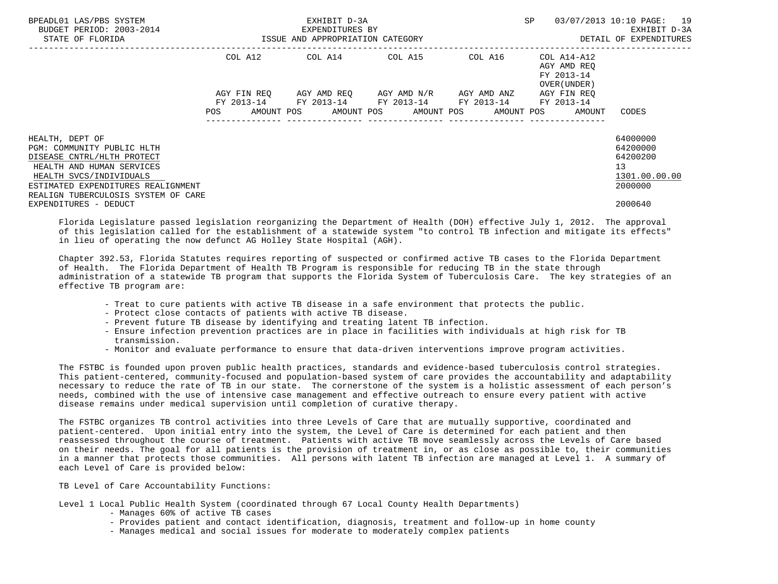| BPEADL01 LAS/PBS SYSTEM<br>BUDGET PERIOD: 2003-2014<br>STATE OF FLORIDA                                                           | ISSUE AND APPROPRIATION CATEGORY | EXHIBIT D-3A<br>EXPENDITURES BY | <b>SP</b>                                                                                                    | 03/07/2013 10:10 PAGE: 19<br>EXHIBIT D-3A<br>DETAIL OF EXPENDITURES |                                                          |                                  |
|-----------------------------------------------------------------------------------------------------------------------------------|----------------------------------|---------------------------------|--------------------------------------------------------------------------------------------------------------|---------------------------------------------------------------------|----------------------------------------------------------|----------------------------------|
|                                                                                                                                   | COL A12                          |                                 | COL A14 COL A15                                                                                              | COL A16                                                             | COL A14-A12<br>AGY AMD REO<br>FY 2013-14<br>OVER (UNDER) |                                  |
|                                                                                                                                   | AGY FIN REO                      |                                 | AGY AMD REQ       AGY AMD N/R       AGY AMD ANZ                                                              |                                                                     | AGY FIN REO                                              |                                  |
|                                                                                                                                   | <b>POS</b>                       |                                 | FY 2013-14 FY 2013-14 FY 2013-14 FY 2013-14 FY 2013-14<br>AMOUNT POS AMOUNT POS AMOUNT POS AMOUNT POS AMOUNT |                                                                     |                                                          | CODES                            |
| HEALTH, DEPT OF<br>PGM: COMMUNITY PUBLIC HLTH<br>DISEASE CNTRL/HLTH PROTECT                                                       |                                  |                                 |                                                                                                              |                                                                     |                                                          | 64000000<br>64200000<br>64200200 |
| HEALTH AND HUMAN SERVICES<br>HEALTH SVCS/INDIVIDUALS<br>ESTIMATED EXPENDITURES REALIGNMENT<br>REALIGN TUBERCULOSIS SYSTEM OF CARE |                                  |                                 |                                                                                                              |                                                                     |                                                          | 13<br>1301.00.00.00<br>2000000   |
| EXPENDITURES - DEDUCT                                                                                                             |                                  |                                 |                                                                                                              |                                                                     |                                                          | 2000640                          |

 Florida Legislature passed legislation reorganizing the Department of Health (DOH) effective July 1, 2012. The approval of this legislation called for the establishment of a statewide system "to control TB infection and mitigate its effects" in lieu of operating the now defunct AG Holley State Hospital (AGH).

 Chapter 392.53, Florida Statutes requires reporting of suspected or confirmed active TB cases to the Florida Department of Health. The Florida Department of Health TB Program is responsible for reducing TB in the state through administration of a statewide TB program that supports the Florida System of Tuberculosis Care. The key strategies of an effective TB program are:

- Treat to cure patients with active TB disease in a safe environment that protects the public.
- Protect close contacts of patients with active TB disease.
- Prevent future TB disease by identifying and treating latent TB infection.
- Ensure infection prevention practices are in place in facilities with individuals at high risk for TB transmission.
- Monitor and evaluate performance to ensure that data-driven interventions improve program activities.

 The FSTBC is founded upon proven public health practices, standards and evidence-based tuberculosis control strategies. This patient-centered, community-focused and population-based system of care provides the accountability and adaptability necessary to reduce the rate of TB in our state. The cornerstone of the system is a holistic assessment of each person's needs, combined with the use of intensive case management and effective outreach to ensure every patient with active disease remains under medical supervision until completion of curative therapy.

 The FSTBC organizes TB control activities into three Levels of Care that are mutually supportive, coordinated and patient-centered. Upon initial entry into the system, the Level of Care is determined for each patient and then reassessed throughout the course of treatment. Patients with active TB move seamlessly across the Levels of Care based on their needs. The goal for all patients is the provision of treatment in, or as close as possible to, their communities in a manner that protects those communities. All persons with latent TB infection are managed at Level 1. A summary of each Level of Care is provided below:

## TB Level of Care Accountability Functions:

Level 1 Local Public Health System (coordinated through 67 Local County Health Departments)

- Manages 60% of active TB cases
- Provides patient and contact identification, diagnosis, treatment and follow-up in home county
- Manages medical and social issues for moderate to moderately complex patients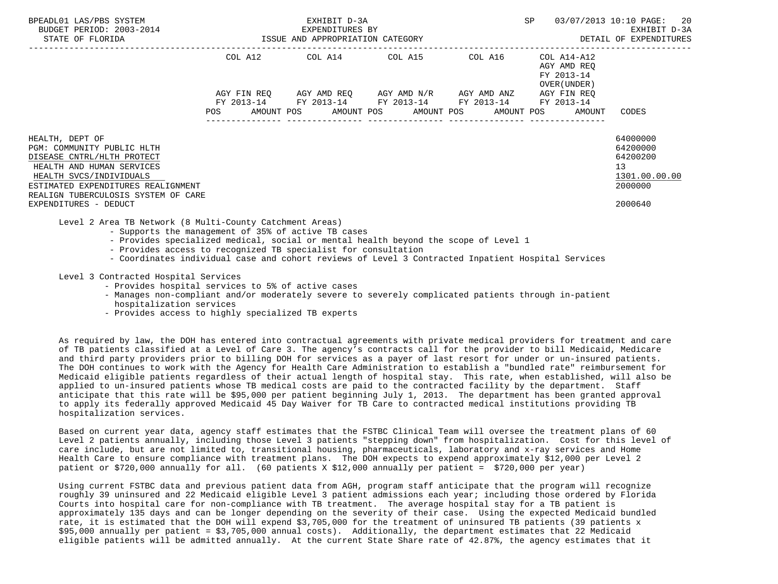| BPEADL01 LAS/PBS SYSTEM<br>BUDGET PERIOD: 2003-2014<br>STATE OF FLORIDA                                  | EXHIBIT D-3A<br>EXPENDITURES BY<br>ISSUE AND APPROPRIATION CATEGORY |             |  |                                                                                                       |  |  |  |         | SP |                                                          | 03/07/2013 10:10 PAGE: 20<br>EXHIBIT D-3A<br>DETAIL OF EXPENDITURES |
|----------------------------------------------------------------------------------------------------------|---------------------------------------------------------------------|-------------|--|-------------------------------------------------------------------------------------------------------|--|--|--|---------|----|----------------------------------------------------------|---------------------------------------------------------------------|
|                                                                                                          |                                                                     | COL A12     |  | COL A14 COL A15                                                                                       |  |  |  | COL A16 |    | COL A14-A12<br>AGY AMD REO<br>FY 2013-14<br>OVER (UNDER) |                                                                     |
|                                                                                                          |                                                                     | AGY FIN REO |  | AGY AMD REO      AGY AMD N/R      AGY AMD ANZ                                                         |  |  |  |         |    | AGY FIN REO                                              |                                                                     |
|                                                                                                          | POS                                                                 |             |  | FY 2013-14 FY 2013-14 FY 2013-14 FY 2013-14 FY 2013-14<br>AMOUNT POS AMOUNT POS AMOUNT POS AMOUNT POS |  |  |  |         |    | AMOUNT                                                   | CODES                                                               |
| HEALTH, DEPT OF<br>PGM: COMMUNITY PUBLIC HLTH<br>DISEASE CNTRL/HLTH PROTECT<br>HEALTH AND HUMAN SERVICES |                                                                     |             |  |                                                                                                       |  |  |  |         |    |                                                          | 64000000<br>64200000<br>64200200<br>13                              |
| HEALTH SVCS/INDIVIDUALS<br>ESTIMATED EXPENDITURES REALIGNMENT<br>REALIGN TUBERCULOSIS SYSTEM OF CARE     |                                                                     |             |  |                                                                                                       |  |  |  |         |    |                                                          | 1301.00.00.00<br>2000000                                            |
| EXPENDITURES - DEDUCT                                                                                    |                                                                     |             |  |                                                                                                       |  |  |  |         |    |                                                          | 2000640                                                             |

Level 2 Area TB Network (8 Multi-County Catchment Areas)

- Supports the management of 35% of active TB cases
- Provides specialized medical, social or mental health beyond the scope of Level 1
- Provides access to recognized TB specialist for consultation
- Coordinates individual case and cohort reviews of Level 3 Contracted Inpatient Hospital Services

Level 3 Contracted Hospital Services

- Provides hospital services to 5% of active cases
- Manages non-compliant and/or moderately severe to severely complicated patients through in-patient hospitalization services
- Provides access to highly specialized TB experts

 As required by law, the DOH has entered into contractual agreements with private medical providers for treatment and care of TB patients classified at a Level of Care 3. The agency's contracts call for the provider to bill Medicaid, Medicare and third party providers prior to billing DOH for services as a payer of last resort for under or un-insured patients. The DOH continues to work with the Agency for Health Care Administration to establish a "bundled rate" reimbursement for Medicaid eligible patients regardless of their actual length of hospital stay. This rate, when established, will also be applied to un-insured patients whose TB medical costs are paid to the contracted facility by the department. Staff anticipate that this rate will be \$95,000 per patient beginning July 1, 2013. The department has been granted approval to apply its federally approved Medicaid 45 Day Waiver for TB Care to contracted medical institutions providing TB hospitalization services.

 Based on current year data, agency staff estimates that the FSTBC Clinical Team will oversee the treatment plans of 60 Level 2 patients annually, including those Level 3 patients "stepping down" from hospitalization. Cost for this level of care include, but are not limited to, transitional housing, pharmaceuticals, laboratory and x-ray services and Home Health Care to ensure compliance with treatment plans. The DOH expects to expend approximately \$12,000 per Level 2 patient or \$720,000 annually for all. (60 patients X \$12,000 annually per patient = \$720,000 per year)

 Using current FSTBC data and previous patient data from AGH, program staff anticipate that the program will recognize roughly 39 uninsured and 22 Medicaid eligible Level 3 patient admissions each year; including those ordered by Florida Courts into hospital care for non-compliance with TB treatment. The average hospital stay for a TB patient is approximately 135 days and can be longer depending on the severity of their case. Using the expected Medicaid bundled rate, it is estimated that the DOH will expend \$3,705,000 for the treatment of uninsured TB patients (39 patients x \$95,000 annually per patient = \$3,705,000 annual costs). Additionally, the department estimates that 22 Medicaid eligible patients will be admitted annually. At the current State Share rate of 42.87%, the agency estimates that it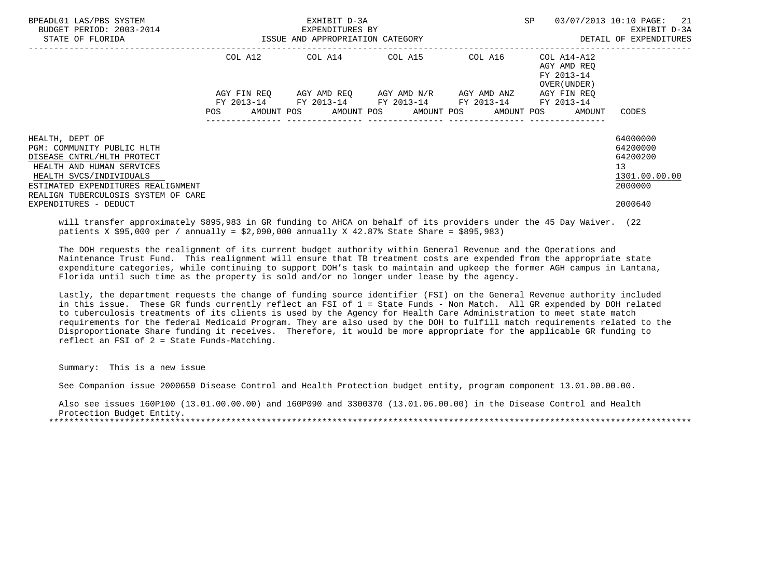| BPEADL01 LAS/PBS SYSTEM<br>BUDGET PERIOD: 2003-2014<br>STATE OF FLORIDA                                                                                                                                          | EXHIBIT D-3A<br>EXPENDITURES BY<br>ISSUE AND APPROPRIATION CATEGORY |             |  |                                                                                                           |  |  |  |         | SP |                                                                   | 03/07/2013 10:10 PAGE: 21<br>EXHIBIT D-3A<br>DETAIL OF EXPENDITURES             |
|------------------------------------------------------------------------------------------------------------------------------------------------------------------------------------------------------------------|---------------------------------------------------------------------|-------------|--|-----------------------------------------------------------------------------------------------------------|--|--|--|---------|----|-------------------------------------------------------------------|---------------------------------------------------------------------------------|
|                                                                                                                                                                                                                  |                                                                     |             |  | COL A12 COL A14 COL A15                                                                                   |  |  |  | COL A16 |    | COL A14-A12<br>AGY AMD REO<br>FY 2013-14<br>OVER (UNDER)          |                                                                                 |
|                                                                                                                                                                                                                  | <b>POS</b>                                                          | AGY FIN REO |  | AGY AMD REQ       AGY AMD N/R       AGY AMD ANZ<br>FY 2013-14 FY 2013-14 FY 2013-14 FY 2013-14 FY 2013-14 |  |  |  |         |    | AGY FIN REO<br>AMOUNT POS AMOUNT POS AMOUNT POS AMOUNT POS AMOUNT | CODES                                                                           |
| HEALTH, DEPT OF<br>PGM: COMMUNITY PUBLIC HLTH<br>DISEASE CNTRL/HLTH PROTECT<br>HEALTH AND HUMAN SERVICES<br>HEALTH SVCS/INDIVIDUALS<br>ESTIMATED EXPENDITURES REALIGNMENT<br>REALIGN TUBERCULOSIS SYSTEM OF CARE |                                                                     |             |  |                                                                                                           |  |  |  |         |    |                                                                   | 64000000<br>64200000<br>64200200<br>13 <sup>°</sup><br>1301.00.00.00<br>2000000 |
| EXPENDITURES - DEDUCT                                                                                                                                                                                            |                                                                     |             |  |                                                                                                           |  |  |  |         |    |                                                                   | 2000640                                                                         |

 will transfer approximately \$895,983 in GR funding to AHCA on behalf of its providers under the 45 Day Waiver. (22 patients X \$95,000 per / annually = \$2,090,000 annually X 42.87% State Share = \$895,983)

 The DOH requests the realignment of its current budget authority within General Revenue and the Operations and Maintenance Trust Fund. This realignment will ensure that TB treatment costs are expended from the appropriate state expenditure categories, while continuing to support DOH's task to maintain and upkeep the former AGH campus in Lantana, Florida until such time as the property is sold and/or no longer under lease by the agency.

 Lastly, the department requests the change of funding source identifier (FSI) on the General Revenue authority included in this issue. These GR funds currently reflect an FSI of 1 = State Funds - Non Match. All GR expended by DOH related to tuberculosis treatments of its clients is used by the Agency for Health Care Administration to meet state match requirements for the federal Medicaid Program. They are also used by the DOH to fulfill match requirements related to the Disproportionate Share funding it receives. Therefore, it would be more appropriate for the applicable GR funding to reflect an FSI of 2 = State Funds-Matching.

Summary: This is a new issue

See Companion issue 2000650 Disease Control and Health Protection budget entity, program component 13.01.00.00.00.

 Also see issues 160P100 (13.01.00.00.00) and 160P090 and 3300370 (13.01.06.00.00) in the Disease Control and Health Protection Budget Entity. \*\*\*\*\*\*\*\*\*\*\*\*\*\*\*\*\*\*\*\*\*\*\*\*\*\*\*\*\*\*\*\*\*\*\*\*\*\*\*\*\*\*\*\*\*\*\*\*\*\*\*\*\*\*\*\*\*\*\*\*\*\*\*\*\*\*\*\*\*\*\*\*\*\*\*\*\*\*\*\*\*\*\*\*\*\*\*\*\*\*\*\*\*\*\*\*\*\*\*\*\*\*\*\*\*\*\*\*\*\*\*\*\*\*\*\*\*\*\*\*\*\*\*\*\*\*\*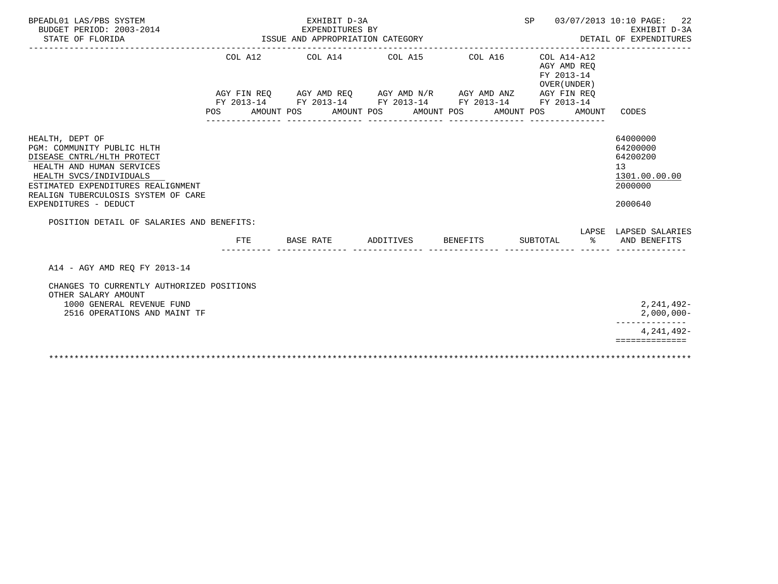| BPEADL01 LAS/PBS SYSTEM<br>BUDGET PERIOD: 2003-2014<br>STATE OF FLORIDA                                                                                                                                                                                                                |     |            |           | EXHIBIT D-3A<br>EXPENDITURES BY<br>ISSUE AND APPROPRIATION CATEGORY                                                                                                  |                       |          | SP 03/07/2013 10:10 PAGE:<br>22<br>EXHIBIT D-3A<br>DETAIL OF EXPENDITURES |            |                                                                    |                                                                               |  |
|----------------------------------------------------------------------------------------------------------------------------------------------------------------------------------------------------------------------------------------------------------------------------------------|-----|------------|-----------|----------------------------------------------------------------------------------------------------------------------------------------------------------------------|-----------------------|----------|---------------------------------------------------------------------------|------------|--------------------------------------------------------------------|-------------------------------------------------------------------------------|--|
|                                                                                                                                                                                                                                                                                        | POS | AMOUNT POS |           | COL A12 COL A14 COL A15<br>AGY FIN REO AGY AMD REO AGY AMD N/R AGY AMD ANZ AGY FIN REO<br>FY 2013-14 FY 2013-14 FY 2013-14 FY 2013-14 FY 2013-14<br>---------------- | AMOUNT POS AMOUNT POS |          | COL A16                                                                   | AMOUNT POS | COL A14-A12<br>AGY AMD REO<br>FY 2013-14<br>OVER (UNDER)<br>AMOUNT | CODES                                                                         |  |
| HEALTH, DEPT OF<br>PGM: COMMUNITY PUBLIC HLTH<br>DISEASE CNTRL/HLTH PROTECT<br>HEALTH AND HUMAN SERVICES<br>HEALTH SVCS/INDIVIDUALS<br>ESTIMATED EXPENDITURES REALIGNMENT<br>REALIGN TUBERCULOSIS SYSTEM OF CARE<br>EXPENDITURES - DEDUCT<br>POSITION DETAIL OF SALARIES AND BENEFITS: |     |            |           |                                                                                                                                                                      |                       |          |                                                                           |            |                                                                    | 64000000<br>64200000<br>64200200<br>13<br>1301.00.00.00<br>2000000<br>2000640 |  |
|                                                                                                                                                                                                                                                                                        |     | FTE        | BASE RATE |                                                                                                                                                                      | ADDITIVES             | BENEFITS |                                                                           | SUBTOTAL   | ႜೢ                                                                 | LAPSE LAPSED SALARIES<br>AND BENEFITS                                         |  |
| A14 - AGY AMD REO FY 2013-14<br>CHANGES TO CURRENTLY AUTHORIZED POSITIONS<br>OTHER SALARY AMOUNT<br>1000 GENERAL REVENUE FUND<br>2516 OPERATIONS AND MAINT TF                                                                                                                          |     |            |           |                                                                                                                                                                      |                       |          |                                                                           |            |                                                                    | 2, 241, 492-<br>$2,000,000-$<br>--------------                                |  |
|                                                                                                                                                                                                                                                                                        |     |            |           |                                                                                                                                                                      |                       |          |                                                                           |            |                                                                    | 4, 241, 492-<br>==============                                                |  |
|                                                                                                                                                                                                                                                                                        |     |            |           |                                                                                                                                                                      |                       |          |                                                                           |            |                                                                    |                                                                               |  |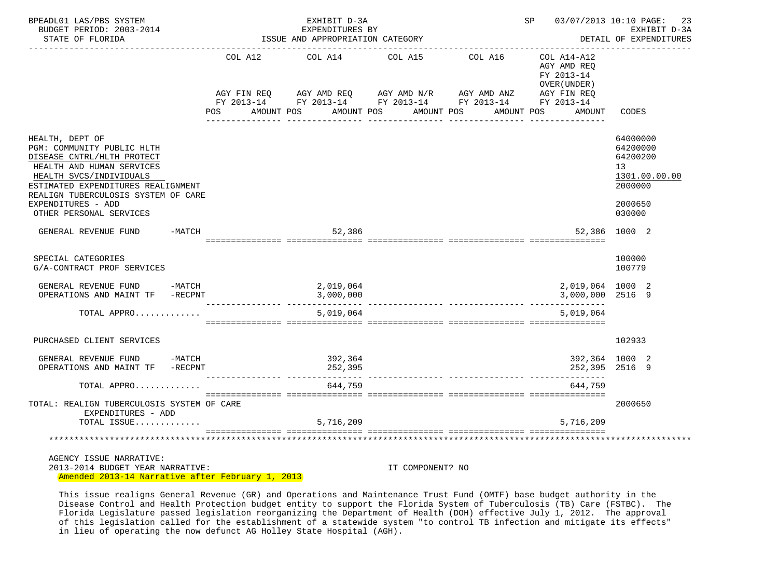| BPEADL01 LAS/PBS SYSTEM<br>BUDGET PERIOD: 2003-2014<br>STATE OF FLORIDA                                                                                                                                                                                           | ISSUE AND APPROPRIATION CATEGORY | SP 03/07/2013 10:10 PAGE:                                                                                                                              | 23<br>EXHIBIT D-3A<br>DETAIL OF EXPENDITURES |         |                                                                                  |                                                                                         |
|-------------------------------------------------------------------------------------------------------------------------------------------------------------------------------------------------------------------------------------------------------------------|----------------------------------|--------------------------------------------------------------------------------------------------------------------------------------------------------|----------------------------------------------|---------|----------------------------------------------------------------------------------|-----------------------------------------------------------------------------------------|
|                                                                                                                                                                                                                                                                   | COL A12<br>POS                   | COL A14<br>AGY FIN REQ AGY AMD REQ AGY AMD N/R AGY AMD ANZ AGY FIN REQ FIN REQ AGY AMD N/R AGY AMD ANZ AGY FIN REQ<br>AMOUNT POS AMOUNT POS AMOUNT POS | COL A15                                      | COL A16 | COL A14-A12<br>AGY AMD REO<br>FY 2013-14<br>OVER (UNDER)<br>AMOUNT POS<br>AMOUNT | CODES                                                                                   |
| HEALTH, DEPT OF<br>PGM: COMMUNITY PUBLIC HLTH<br>DISEASE CNTRL/HLTH PROTECT<br>HEALTH AND HUMAN SERVICES<br>HEALTH SVCS/INDIVIDUALS<br>ESTIMATED EXPENDITURES REALIGNMENT<br>REALIGN TUBERCULOSIS SYSTEM OF CARE<br>EXPENDITURES - ADD<br>OTHER PERSONAL SERVICES |                                  |                                                                                                                                                        |                                              |         |                                                                                  | 64000000<br>64200000<br>64200200<br>13<br>1301.00.00.00<br>2000000<br>2000650<br>030000 |
| GENERAL REVENUE FUND -MATCH                                                                                                                                                                                                                                       |                                  | 52,386                                                                                                                                                 |                                              |         |                                                                                  | 52,386 1000 2                                                                           |
| SPECIAL CATEGORIES<br>G/A-CONTRACT PROF SERVICES                                                                                                                                                                                                                  |                                  |                                                                                                                                                        |                                              |         |                                                                                  | 100000<br>100779                                                                        |
| GENERAL REVENUE FUND -MATCH<br>OPERATIONS AND MAINT TF -RECPNT                                                                                                                                                                                                    |                                  | 2,019,064<br>3,000,000                                                                                                                                 |                                              |         | 2,019,064 1000 2<br>3,000,000 2516 9                                             |                                                                                         |
| TOTAL APPRO                                                                                                                                                                                                                                                       |                                  | 5,019,064                                                                                                                                              |                                              |         | ----------<br>5,019,064                                                          |                                                                                         |
| PURCHASED CLIENT SERVICES                                                                                                                                                                                                                                         |                                  |                                                                                                                                                        |                                              |         |                                                                                  | 102933                                                                                  |
| GENERAL REVENUE FUND -MATCH<br>OPERATIONS AND MAINT TF -RECPNT                                                                                                                                                                                                    |                                  | 392,364<br>252,395                                                                                                                                     |                                              |         |                                                                                  | 392,364 1000 2<br>252,395 2516 9                                                        |
| TOTAL APPRO                                                                                                                                                                                                                                                       |                                  | 644,759                                                                                                                                                |                                              |         | 644,759                                                                          |                                                                                         |
| TOTAL: REALIGN TUBERCULOSIS SYSTEM OF CARE<br>EXPENDITURES - ADD<br>TOTAL ISSUE                                                                                                                                                                                   |                                  | 5,716,209                                                                                                                                              |                                              |         | 5,716,209                                                                        | 2000650                                                                                 |
|                                                                                                                                                                                                                                                                   |                                  |                                                                                                                                                        |                                              |         |                                                                                  |                                                                                         |
| AGENCY ISSUE NARRATIVE:<br>2013-2014 BUDGET YEAR NARRATIVE:<br>Amended 2013-14 Narrative after February 1, 2013                                                                                                                                                   |                                  |                                                                                                                                                        | IT COMPONENT? NO                             |         |                                                                                  |                                                                                         |

 This issue realigns General Revenue (GR) and Operations and Maintenance Trust Fund (OMTF) base budget authority in the Disease Control and Health Protection budget entity to support the Florida System of Tuberculosis (TB) Care (FSTBC). The Florida Legislature passed legislation reorganizing the Department of Health (DOH) effective July 1, 2012. The approval of this legislation called for the establishment of a statewide system "to control TB infection and mitigate its effects" in lieu of operating the now defunct AG Holley State Hospital (AGH).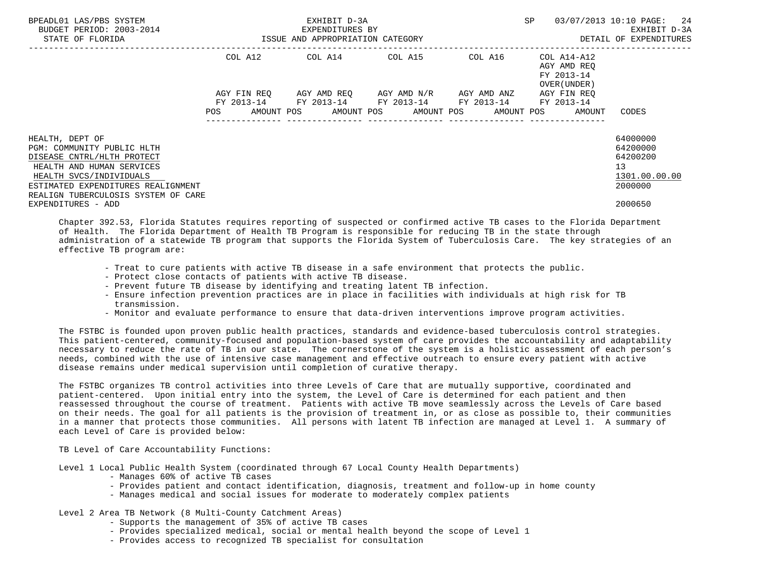| BPEADL01 LAS/PBS SYSTEM<br>BUDGET PERIOD: 2003-2014<br>STATE OF FLORIDA                                                             |                           | EXHIBIT D-3A<br>EXPENDITURES BY<br>ISSUE AND APPROPRIATION CATEGORY | <b>SP</b>               | 03/07/2013 10:10 PAGE: 24<br>EXHIBIT D-3A<br>DETAIL OF EXPENDITURES |                                                                                 |                                                         |
|-------------------------------------------------------------------------------------------------------------------------------------|---------------------------|---------------------------------------------------------------------|-------------------------|---------------------------------------------------------------------|---------------------------------------------------------------------------------|---------------------------------------------------------|
|                                                                                                                                     | COL A12                   | COL A14 COL A15                                                     |                         | COL A16                                                             | COL A14-A12<br>AGY AMD REO<br>FY 2013-14<br>OVER (UNDER)                        |                                                         |
|                                                                                                                                     | AGY FIN REO<br><b>POS</b> | FY 2013-14 FY 2013-14 FY 2013-14 FY 2013-14                         | AGY AMD REO AGY AMD N/R | AGY AMD ANZ                                                         | AGY FIN REO<br>FY 2013-14<br>AMOUNT POS AMOUNT POS AMOUNT POS AMOUNT POS AMOUNT | CODES                                                   |
| HEALTH, DEPT OF<br>PGM: COMMUNITY PUBLIC HLTH<br>DISEASE CNTRL/HLTH PROTECT<br>HEALTH AND HUMAN SERVICES<br>HEALTH SVCS/INDIVIDUALS |                           |                                                                     |                         |                                                                     |                                                                                 | 64000000<br>64200000<br>64200200<br>13<br>1301.00.00.00 |
| ESTIMATED EXPENDITURES REALIGNMENT<br>REALIGN TUBERCULOSIS SYSTEM OF CARE<br>EXPENDITURES - ADD                                     |                           |                                                                     |                         |                                                                     |                                                                                 | 2000000<br>2000650                                      |

 Chapter 392.53, Florida Statutes requires reporting of suspected or confirmed active TB cases to the Florida Department of Health. The Florida Department of Health TB Program is responsible for reducing TB in the state through administration of a statewide TB program that supports the Florida System of Tuberculosis Care. The key strategies of an effective TB program are:

- Treat to cure patients with active TB disease in a safe environment that protects the public.
- Protect close contacts of patients with active TB disease.
- Prevent future TB disease by identifying and treating latent TB infection.
- Ensure infection prevention practices are in place in facilities with individuals at high risk for TB transmission.
- Monitor and evaluate performance to ensure that data-driven interventions improve program activities.

 The FSTBC is founded upon proven public health practices, standards and evidence-based tuberculosis control strategies. This patient-centered, community-focused and population-based system of care provides the accountability and adaptability necessary to reduce the rate of TB in our state. The cornerstone of the system is a holistic assessment of each person's needs, combined with the use of intensive case management and effective outreach to ensure every patient with active disease remains under medical supervision until completion of curative therapy.

 The FSTBC organizes TB control activities into three Levels of Care that are mutually supportive, coordinated and patient-centered. Upon initial entry into the system, the Level of Care is determined for each patient and then reassessed throughout the course of treatment. Patients with active TB move seamlessly across the Levels of Care based on their needs. The goal for all patients is the provision of treatment in, or as close as possible to, their communities in a manner that protects those communities. All persons with latent TB infection are managed at Level 1. A summary of each Level of Care is provided below:

TB Level of Care Accountability Functions:

Level 1 Local Public Health System (coordinated through 67 Local County Health Departments)

- Manages 60% of active TB cases
- Provides patient and contact identification, diagnosis, treatment and follow-up in home county
- Manages medical and social issues for moderate to moderately complex patients

## Level 2 Area TB Network (8 Multi-County Catchment Areas)

- Supports the management of 35% of active TB cases
- Provides specialized medical, social or mental health beyond the scope of Level 1
- Provides access to recognized TB specialist for consultation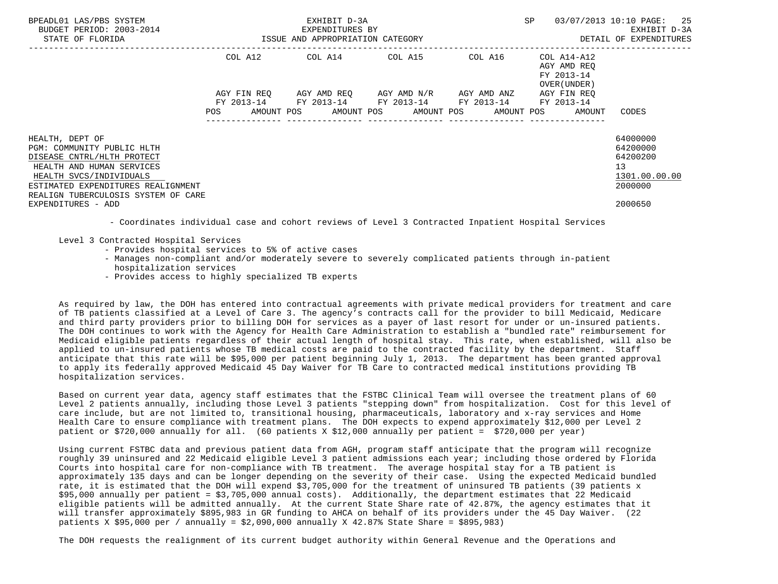| BPEADL01 LAS/PBS SYSTEM<br>BUDGET PERIOD: 2003-2014<br>STATE OF FLORIDA                                                                                                   | EXHIBIT D-3A<br>EXPENDITURES BY<br>ISSUE AND APPROPRIATION CATEGORY |             |  |                                                                                               |  |  |  | SP      | 03/07/2013 10:10 PAGE: 25<br>EXHIBIT D-3A<br>DETAIL OF EXPENDITURES     |                                                                    |
|---------------------------------------------------------------------------------------------------------------------------------------------------------------------------|---------------------------------------------------------------------|-------------|--|-----------------------------------------------------------------------------------------------|--|--|--|---------|-------------------------------------------------------------------------|--------------------------------------------------------------------|
|                                                                                                                                                                           |                                                                     |             |  | COL A12 COL A14 COL A15                                                                       |  |  |  | COL A16 | COL A14-A12<br>AGY AMD REO<br>FY 2013-14<br>OVER (UNDER)                |                                                                    |
|                                                                                                                                                                           | POS                                                                 | AGY FIN REO |  | AGY AMD REQ AGY AMD N/R AGY AMD ANZ<br>FY 2013-14 FY 2013-14 FY 2013-14 FY 2013-14 FY 2013-14 |  |  |  |         | AGY FIN REO<br>AMOUNT POS AMOUNT POS AMOUNT POS AMOUNT POS AMOUNT CODES |                                                                    |
| HEALTH, DEPT OF<br>PGM: COMMUNITY PUBLIC HLTH<br>DISEASE CNTRL/HLTH PROTECT<br>HEALTH AND HUMAN SERVICES<br>HEALTH SVCS/INDIVIDUALS<br>ESTIMATED EXPENDITURES REALIGNMENT |                                                                     |             |  |                                                                                               |  |  |  |         |                                                                         | 64000000<br>64200000<br>64200200<br>13<br>1301.00.00.00<br>2000000 |
| REALIGN TUBERCULOSIS SYSTEM OF CARE<br>EXPENDITURES - ADD                                                                                                                 |                                                                     |             |  |                                                                                               |  |  |  |         |                                                                         | 2000650                                                            |

- Coordinates individual case and cohort reviews of Level 3 Contracted Inpatient Hospital Services

Level 3 Contracted Hospital Services

- Provides hospital services to 5% of active cases
- Manages non-compliant and/or moderately severe to severely complicated patients through in-patient hospitalization services
- Provides access to highly specialized TB experts

 As required by law, the DOH has entered into contractual agreements with private medical providers for treatment and care of TB patients classified at a Level of Care 3. The agency's contracts call for the provider to bill Medicaid, Medicare and third party providers prior to billing DOH for services as a payer of last resort for under or un-insured patients. The DOH continues to work with the Agency for Health Care Administration to establish a "bundled rate" reimbursement for Medicaid eligible patients regardless of their actual length of hospital stay. This rate, when established, will also be applied to un-insured patients whose TB medical costs are paid to the contracted facility by the department. Staff anticipate that this rate will be \$95,000 per patient beginning July 1, 2013. The department has been granted approval to apply its federally approved Medicaid 45 Day Waiver for TB Care to contracted medical institutions providing TB hospitalization services.

 Based on current year data, agency staff estimates that the FSTBC Clinical Team will oversee the treatment plans of 60 Level 2 patients annually, including those Level 3 patients "stepping down" from hospitalization. Cost for this level of care include, but are not limited to, transitional housing, pharmaceuticals, laboratory and x-ray services and Home Health Care to ensure compliance with treatment plans. The DOH expects to expend approximately \$12,000 per Level 2 patient or \$720,000 annually for all. (60 patients X \$12,000 annually per patient = \$720,000 per year)

 Using current FSTBC data and previous patient data from AGH, program staff anticipate that the program will recognize roughly 39 uninsured and 22 Medicaid eligible Level 3 patient admissions each year; including those ordered by Florida Courts into hospital care for non-compliance with TB treatment. The average hospital stay for a TB patient is approximately 135 days and can be longer depending on the severity of their case. Using the expected Medicaid bundled rate, it is estimated that the DOH will expend \$3,705,000 for the treatment of uninsured TB patients (39 patients x \$95,000 annually per patient = \$3,705,000 annual costs). Additionally, the department estimates that 22 Medicaid eligible patients will be admitted annually. At the current State Share rate of 42.87%, the agency estimates that it will transfer approximately \$895,983 in GR funding to AHCA on behalf of its providers under the 45 Day Waiver. (22 patients X \$95,000 per / annually = \$2,090,000 annually X 42.87% State Share = \$895,983)

The DOH requests the realignment of its current budget authority within General Revenue and the Operations and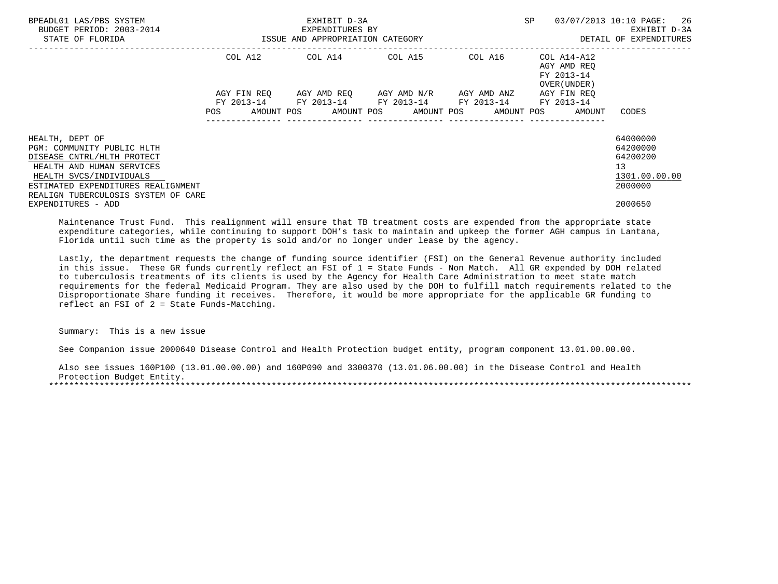| BPEADL01 LAS/PBS SYSTEM<br>BUDGET PERIOD: 2003-2014<br>STATE OF FLORIDA                    | EXHIBIT D-3A<br>EXPENDITURES BY<br>ISSUE AND APPROPRIATION CATEGORY                                       |  |  |                         |  |  |  |         | SP |                                                          | 03/07/2013 10:10 PAGE: 26<br>EXHIBIT D-3A<br>DETAIL OF EXPENDITURES |
|--------------------------------------------------------------------------------------------|-----------------------------------------------------------------------------------------------------------|--|--|-------------------------|--|--|--|---------|----|----------------------------------------------------------|---------------------------------------------------------------------|
|                                                                                            |                                                                                                           |  |  | COL A12 COL A14 COL A15 |  |  |  | COL A16 |    | COL A14-A12<br>AGY AMD REO<br>FY 2013-14<br>OVER (UNDER) |                                                                     |
|                                                                                            | AGY FIN REQ AGY AMD REQ AGY AMD N/R AGY AMD ANZ<br>FY 2013-14 FY 2013-14 FY 2013-14 FY 2013-14 FY 2013-14 |  |  |                         |  |  |  |         |    | AGY FIN REO                                              |                                                                     |
|                                                                                            | POS                                                                                                       |  |  |                         |  |  |  |         |    | AMOUNT POS AMOUNT POS AMOUNT POS AMOUNT POS AMOUNT       | CODES                                                               |
| HEALTH, DEPT OF<br>PGM: COMMUNITY PUBLIC HLTH<br>DISEASE CNTRL/HLTH PROTECT                |                                                                                                           |  |  |                         |  |  |  |         |    |                                                          | 64000000<br>64200000<br>64200200                                    |
| HEALTH AND HUMAN SERVICES<br>HEALTH SVCS/INDIVIDUALS<br>ESTIMATED EXPENDITURES REALIGNMENT |                                                                                                           |  |  |                         |  |  |  |         |    |                                                          | 13<br>1301.00.00.00<br>2000000                                      |
| REALIGN TUBERCULOSIS SYSTEM OF CARE<br>EXPENDITURES - ADD                                  |                                                                                                           |  |  |                         |  |  |  |         |    |                                                          | 2000650                                                             |

 Maintenance Trust Fund. This realignment will ensure that TB treatment costs are expended from the appropriate state expenditure categories, while continuing to support DOH's task to maintain and upkeep the former AGH campus in Lantana, Florida until such time as the property is sold and/or no longer under lease by the agency.

 Lastly, the department requests the change of funding source identifier (FSI) on the General Revenue authority included in this issue. These GR funds currently reflect an FSI of 1 = State Funds - Non Match. All GR expended by DOH related to tuberculosis treatments of its clients is used by the Agency for Health Care Administration to meet state match requirements for the federal Medicaid Program. They are also used by the DOH to fulfill match requirements related to the Disproportionate Share funding it receives. Therefore, it would be more appropriate for the applicable GR funding to reflect an FSI of 2 = State Funds-Matching.

Summary: This is a new issue

See Companion issue 2000640 Disease Control and Health Protection budget entity, program component 13.01.00.00.00.

 Also see issues 160P100 (13.01.00.00.00) and 160P090 and 3300370 (13.01.06.00.00) in the Disease Control and Health Protection Budget Entity. \*\*\*\*\*\*\*\*\*\*\*\*\*\*\*\*\*\*\*\*\*\*\*\*\*\*\*\*\*\*\*\*\*\*\*\*\*\*\*\*\*\*\*\*\*\*\*\*\*\*\*\*\*\*\*\*\*\*\*\*\*\*\*\*\*\*\*\*\*\*\*\*\*\*\*\*\*\*\*\*\*\*\*\*\*\*\*\*\*\*\*\*\*\*\*\*\*\*\*\*\*\*\*\*\*\*\*\*\*\*\*\*\*\*\*\*\*\*\*\*\*\*\*\*\*\*\*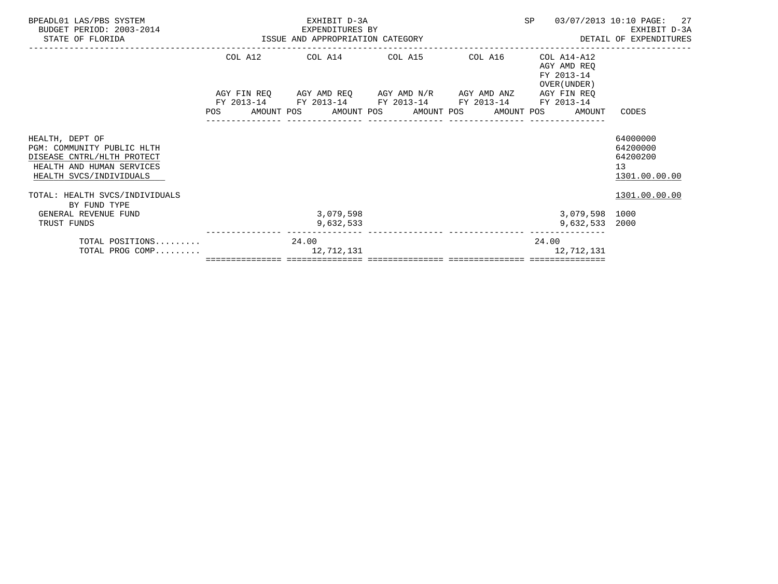| BPEADL01 LAS/PBS SYSTEM<br>BUDGET PERIOD: 2003-2014<br>STATE OF FLORIDA                                                             | EXHIBIT D-3A<br>EXPENDITURES BY<br>ISSUE AND APPROPRIATION CATEGORY<br>. <u>.</u> |  |       |                                                                                                                        |  |  |  | SP              |       | 03/07/2013 10:10 PAGE: 27<br>EXHIBIT D-3A<br>DETAIL OF EXPENDITURES |                                                                      |
|-------------------------------------------------------------------------------------------------------------------------------------|-----------------------------------------------------------------------------------|--|-------|------------------------------------------------------------------------------------------------------------------------|--|--|--|-----------------|-------|---------------------------------------------------------------------|----------------------------------------------------------------------|
|                                                                                                                                     |                                                                                   |  |       | COL A12 COL A14 COL A15 COL A16                                                                                        |  |  |  |                 |       | $COL A14 - A12$<br>AGY AMD REO<br>FY 2013-14<br>OVER (UNDER)        |                                                                      |
|                                                                                                                                     |                                                                                   |  |       | AGY FIN REQ AGY AMD REQ AGY AMD N/R AGY AMD ANZ AGY FIN REQ                                                            |  |  |  |                 |       |                                                                     |                                                                      |
|                                                                                                                                     |                                                                                   |  |       | FY 2013-14 FY 2013-14 FY 2013-14 FY 2013-14 FY 2013-14<br>POS AMOUNT POS AMOUNT POS AMOUNT POS AMOUNT POS AMOUNT CODES |  |  |  | _______________ |       |                                                                     |                                                                      |
| HEALTH, DEPT OF<br>PGM: COMMUNITY PUBLIC HLTH<br>DISEASE CNTRL/HLTH PROTECT<br>HEALTH AND HUMAN SERVICES<br>HEALTH SVCS/INDIVIDUALS |                                                                                   |  |       |                                                                                                                        |  |  |  |                 |       |                                                                     | 64000000<br>64200000<br>64200200<br>13 <sup>°</sup><br>1301.00.00.00 |
| TOTAL: HEALTH SVCS/INDIVIDUALS<br>BY FUND TYPE                                                                                      |                                                                                   |  |       |                                                                                                                        |  |  |  |                 |       |                                                                     | 1301.00.00.00                                                        |
| GENERAL REVENUE FUND<br>TRUST FUNDS                                                                                                 |                                                                                   |  |       | 3,079,598<br>9,632,533                                                                                                 |  |  |  |                 |       | 3,079,598 1000<br>9,632,533                                         | 2000                                                                 |
| TOTAL POSITIONS<br>TOTAL PROG COMP                                                                                                  |                                                                                   |  | 24.00 | 12,712,131                                                                                                             |  |  |  |                 | 24.00 | 12,712,131                                                          |                                                                      |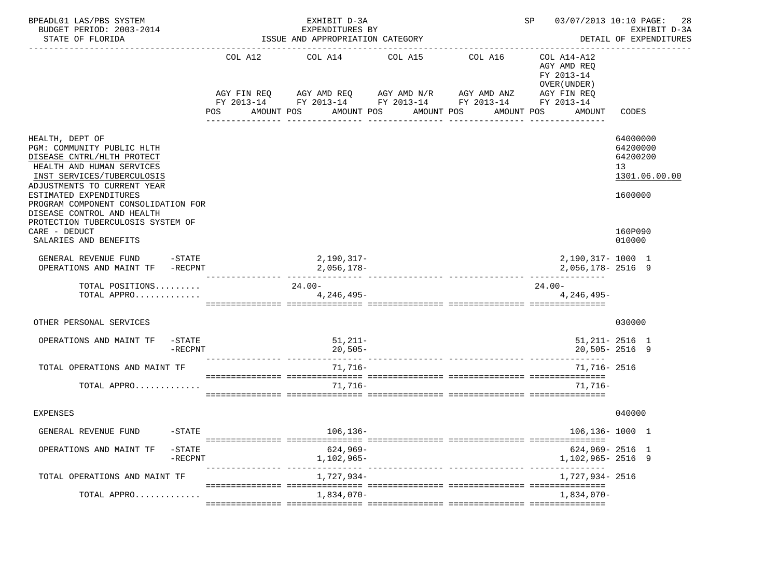| BPEADL01 LAS/PBS SYSTEM<br>BUDGET PERIOD: 2003-2014<br>STATE OF FLORIDA                                                                                                                                                                                              |                      | EXHIBIT D-3A<br>EXPENDITURES BY<br>ISSUE AND APPROPRIATION CATEGORY                              |            |                                                                      | 03/07/2013 10:10 PAGE:<br>SP<br>28<br>EXHIBIT D-3A<br>DETAIL OF EXPENDITURES      |                                                                    |  |
|----------------------------------------------------------------------------------------------------------------------------------------------------------------------------------------------------------------------------------------------------------------------|----------------------|--------------------------------------------------------------------------------------------------|------------|----------------------------------------------------------------------|-----------------------------------------------------------------------------------|--------------------------------------------------------------------|--|
|                                                                                                                                                                                                                                                                      | POS<br>AMOUNT POS    | COL A12 COL A14 COL A15 COL A16<br>AGY FIN REQ AGY AMD REQ AGY AMD N/R AGY AMD ANZ<br>AMOUNT POS | AMOUNT POS | FY 2013-14 FY 2013-14 FY 2013-14 FY 2013-14 FY 2013-14<br>AMOUNT POS | COL A14-A12<br>AGY AMD REQ<br>FY 2013-14<br>OVER (UNDER)<br>AGY FIN REQ<br>AMOUNT | CODES                                                              |  |
| HEALTH, DEPT OF<br>PGM: COMMUNITY PUBLIC HLTH<br>DISEASE CNTRL/HLTH PROTECT<br>HEALTH AND HUMAN SERVICES<br>INST SERVICES/TUBERCULOSIS<br>ADJUSTMENTS TO CURRENT YEAR<br>ESTIMATED EXPENDITURES<br>PROGRAM COMPONENT CONSOLIDATION FOR<br>DISEASE CONTROL AND HEALTH |                      |                                                                                                  |            |                                                                      |                                                                                   | 64000000<br>64200000<br>64200200<br>13<br>1301.06.00.00<br>1600000 |  |
| PROTECTION TUBERCULOSIS SYSTEM OF<br>CARE - DEDUCT<br>SALARIES AND BENEFITS                                                                                                                                                                                          |                      |                                                                                                  |            |                                                                      |                                                                                   | 160P090<br>010000                                                  |  |
| GENERAL REVENUE FUND -STATE<br>OPERATIONS AND MAINT TF -RECPNT                                                                                                                                                                                                       |                      | 2,190,317-<br>2,056,178-                                                                         |            |                                                                      | 2,190,317-1000 1<br>2,056,178-2516 9                                              |                                                                    |  |
| TOTAL POSITIONS<br>TOTAL APPRO                                                                                                                                                                                                                                       |                      | $24.00 -$<br>4,246,495-                                                                          |            |                                                                      | 24.00-<br>4,246,495-                                                              |                                                                    |  |
| OTHER PERSONAL SERVICES                                                                                                                                                                                                                                              |                      |                                                                                                  |            |                                                                      |                                                                                   | 030000                                                             |  |
| OPERATIONS AND MAINT TF<br>$-$ STATE<br>-RECPNT                                                                                                                                                                                                                      |                      | $51,211-$<br>$20,505-$                                                                           |            |                                                                      |                                                                                   | $51,211 - 2516$ 1<br>$20,505 - 2516$ 9                             |  |
| TOTAL OPERATIONS AND MAINT TF                                                                                                                                                                                                                                        |                      | 71,716-                                                                                          |            |                                                                      | 71,716- 2516                                                                      |                                                                    |  |
| TOTAL APPRO                                                                                                                                                                                                                                                          |                      | $71.716 -$                                                                                       |            |                                                                      | $71.716-$                                                                         |                                                                    |  |
| <b>EXPENSES</b>                                                                                                                                                                                                                                                      |                      |                                                                                                  |            |                                                                      |                                                                                   | 040000                                                             |  |
| $-STATE$<br>GENERAL REVENUE FUND                                                                                                                                                                                                                                     |                      | 106,136-                                                                                         |            |                                                                      | $106, 136 - 1000$ 1                                                               |                                                                    |  |
| OPERATIONS AND MAINT TF<br>$-$ STATE<br>-RECPNT                                                                                                                                                                                                                      | ---------- --------- | 624,969-<br>1,102,965-                                                                           |            |                                                                      | $624,969 - 2516$ 1<br>1,102,965-2516 9                                            |                                                                    |  |
| TOTAL OPERATIONS AND MAINT TF                                                                                                                                                                                                                                        |                      | 1,727,934-                                                                                       |            |                                                                      | 1,727,934- 2516                                                                   |                                                                    |  |
| TOTAL APPRO                                                                                                                                                                                                                                                          |                      | 1,834,070-                                                                                       |            |                                                                      | 1,834,070-                                                                        |                                                                    |  |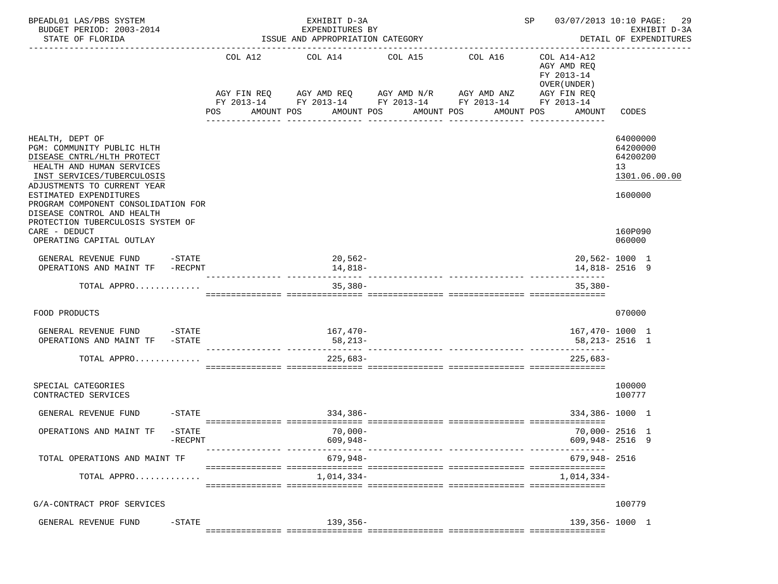| BPEADL01 LAS/PBS SYSTEM<br>BUDGET PERIOD: 2003-2014<br>STATE OF FLORIDA                                                                                                       |                      |                | EXHIBIT D-3A<br>EXPENDITURES BY<br>ISSUE AND APPROPRIATION CATEGORY                                                     |                                                   | 03/07/2013 10:10 PAGE:<br>SP | 29<br>EXHIBIT D-3A<br>DETAIL OF EXPENDITURES                                                    |                                                         |  |
|-------------------------------------------------------------------------------------------------------------------------------------------------------------------------------|----------------------|----------------|-------------------------------------------------------------------------------------------------------------------------|---------------------------------------------------|------------------------------|-------------------------------------------------------------------------------------------------|---------------------------------------------------------|--|
|                                                                                                                                                                               |                      | COL A12<br>POS | COL A14<br>AGY FIN REQ AGY AMD REQ AGY AMD N/R AGY AMD ANZ<br>FY 2013-14 FY 2013-14 FY 2013-14 FY 2013-14<br>AMOUNT POS | COL A15<br>AMOUNT POS AMOUNT POS<br>------------- | COL A16<br>AMOUNT POS        | COL A14-A12<br>AGY AMD REQ<br>FY 2013-14<br>OVER (UNDER)<br>AGY FIN REQ<br>FY 2013-14<br>AMOUNT | CODES                                                   |  |
| HEALTH, DEPT OF<br>PGM: COMMUNITY PUBLIC HLTH<br>DISEASE CNTRL/HLTH PROTECT<br>HEALTH AND HUMAN SERVICES<br>INST SERVICES/TUBERCULOSIS<br>ADJUSTMENTS TO CURRENT YEAR         |                      |                |                                                                                                                         |                                                   |                              |                                                                                                 | 64000000<br>64200000<br>64200200<br>13<br>1301.06.00.00 |  |
| ESTIMATED EXPENDITURES<br>PROGRAM COMPONENT CONSOLIDATION FOR<br>DISEASE CONTROL AND HEALTH<br>PROTECTION TUBERCULOSIS SYSTEM OF<br>CARE - DEDUCT<br>OPERATING CAPITAL OUTLAY |                      |                |                                                                                                                         |                                                   |                              |                                                                                                 | 1600000<br>160P090<br>060000                            |  |
| GENERAL REVENUE FUND -STATE<br>OPERATIONS AND MAINT TF -RECPNT                                                                                                                |                      |                | 20,562-<br>14,818-                                                                                                      |                                                   |                              | --------                                                                                        | 20,562-1000 1<br>14,818-2516 9                          |  |
| TOTAL APPRO                                                                                                                                                                   |                      |                | $35,380-$                                                                                                               |                                                   |                              | $35.380 -$                                                                                      |                                                         |  |
| FOOD PRODUCTS                                                                                                                                                                 |                      |                |                                                                                                                         |                                                   |                              |                                                                                                 | 070000                                                  |  |
| GENERAL REVENUE FUND -STATE<br>OPERATIONS AND MAINT TF                                                                                                                        | $-$ STATE            |                | 167,470-<br>58,213-                                                                                                     |                                                   |                              | 167,470- 1000 1<br>58,213-2516 1                                                                |                                                         |  |
| TOTAL APPRO                                                                                                                                                                   |                      |                | $225,683-$                                                                                                              |                                                   |                              | $225.683-$                                                                                      |                                                         |  |
| SPECIAL CATEGORIES<br>CONTRACTED SERVICES                                                                                                                                     |                      |                |                                                                                                                         |                                                   |                              |                                                                                                 | 100000<br>100777                                        |  |
| GENERAL REVENUE FUND                                                                                                                                                          | $-STATE$             |                | 334,386-                                                                                                                |                                                   |                              | 334,386-1000 1                                                                                  |                                                         |  |
| OPERATIONS AND MAINT TF                                                                                                                                                       | $-$ STATE<br>-RECPNT |                | $70,000-$<br>$609,948-$                                                                                                 |                                                   |                              | $609,948 - 2516$ 9                                                                              | 70,000-2516 1                                           |  |
| TOTAL OPERATIONS AND MAINT TF                                                                                                                                                 |                      |                | 679,948-                                                                                                                |                                                   |                              | 679,948- 2516                                                                                   |                                                         |  |
| TOTAL APPRO                                                                                                                                                                   |                      |                | 1,014,334-                                                                                                              |                                                   |                              | 1,014,334-                                                                                      |                                                         |  |
| G/A-CONTRACT PROF SERVICES                                                                                                                                                    |                      |                |                                                                                                                         |                                                   |                              |                                                                                                 | 100779                                                  |  |
| GENERAL REVENUE FUND                                                                                                                                                          | -STATE               |                | $139,356-$                                                                                                              |                                                   |                              | 139,356-1000 1                                                                                  |                                                         |  |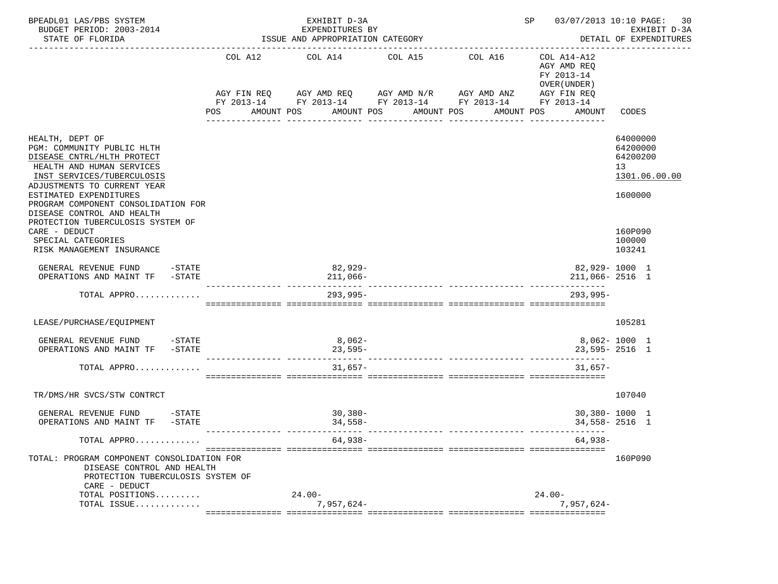| BPEADL01 LAS/PBS SYSTEM<br>BUDGET PERIOD: 2003-2014<br>STATE OF FLORIDA                                                                                                                                                                                              |                          | EXHIBIT D-3A<br>EXPENDITURES BY<br>ISSUE AND APPROPRIATION CATEGORY |            | SP 03/07/2013 10:10 PAGE:                                                                                                                      | 30<br>EXHIBIT D-3A<br>DETAIL OF EXPENDITURES                                     |                                                                    |
|----------------------------------------------------------------------------------------------------------------------------------------------------------------------------------------------------------------------------------------------------------------------|--------------------------|---------------------------------------------------------------------|------------|------------------------------------------------------------------------------------------------------------------------------------------------|----------------------------------------------------------------------------------|--------------------------------------------------------------------|
|                                                                                                                                                                                                                                                                      | <b>POS</b><br>AMOUNT POS | COL A12 COL A14 COL A15                                             | AMOUNT POS | COL A16<br>AGY FIN REQ AGY AMD REQ AGY AMD N/R AGY AMD ANZ AGY FIN REQ<br>FY 2013-14 FY 2013-14 FY 2013-14 FY 2013-14 FY 2013-14<br>AMOUNT POS | COL A14-A12<br>AGY AMD REO<br>FY 2013-14<br>OVER (UNDER)<br>AMOUNT POS<br>AMOUNT | CODES                                                              |
| HEALTH, DEPT OF<br>PGM: COMMUNITY PUBLIC HLTH<br>DISEASE CNTRL/HLTH PROTECT<br>HEALTH AND HUMAN SERVICES<br>INST SERVICES/TUBERCULOSIS<br>ADJUSTMENTS TO CURRENT YEAR<br>ESTIMATED EXPENDITURES<br>PROGRAM COMPONENT CONSOLIDATION FOR<br>DISEASE CONTROL AND HEALTH |                          |                                                                     |            |                                                                                                                                                |                                                                                  | 64000000<br>64200000<br>64200200<br>13<br>1301.06.00.00<br>1600000 |
| PROTECTION TUBERCULOSIS SYSTEM OF<br>CARE - DEDUCT<br>SPECIAL CATEGORIES<br>RISK MANAGEMENT INSURANCE                                                                                                                                                                |                          |                                                                     |            |                                                                                                                                                |                                                                                  | 160P090<br>100000<br>103241                                        |
| GENERAL REVENUE FUND -STATE<br>OPERATIONS AND MAINT TF -STATE                                                                                                                                                                                                        |                          | $82,929-$<br>$211,066-$                                             |            |                                                                                                                                                | 82,929-1000 1<br>211,066-2516 1                                                  |                                                                    |
| TOTAL APPRO                                                                                                                                                                                                                                                          |                          | $293,995-$                                                          |            |                                                                                                                                                | $293.995 -$                                                                      |                                                                    |
| LEASE/PURCHASE/EQUIPMENT                                                                                                                                                                                                                                             |                          |                                                                     |            |                                                                                                                                                |                                                                                  | 105281                                                             |
| GENERAL REVENUE FUND -STATE<br>OPERATIONS AND MAINT TF -STATE                                                                                                                                                                                                        |                          | 8,062-<br>$23,595-$                                                 |            |                                                                                                                                                |                                                                                  | $8,062 - 1000$ 1<br>$23,595 - 2516$ 1                              |
| TOTAL APPRO                                                                                                                                                                                                                                                          |                          | 31,657-                                                             |            |                                                                                                                                                | $31.657-$                                                                        |                                                                    |
| TR/DMS/HR SVCS/STW CONTRCT                                                                                                                                                                                                                                           |                          |                                                                     |            |                                                                                                                                                |                                                                                  | 107040                                                             |
| GENERAL REVENUE FUND -STATE<br>OPERATIONS AND MAINT TF -STATE                                                                                                                                                                                                        |                          | $30,380-$<br>$34,558-$                                              |            |                                                                                                                                                |                                                                                  | 30,380-1000 1<br>34,558-2516 1                                     |
| TOTAL APPRO                                                                                                                                                                                                                                                          |                          | $64,938-$                                                           |            |                                                                                                                                                | 64,938-                                                                          |                                                                    |
| TOTAL: PROGRAM COMPONENT CONSOLIDATION FOR<br>DISEASE CONTROL AND HEALTH<br>PROTECTION TUBERCULOSIS SYSTEM OF<br>CARE - DEDUCT                                                                                                                                       |                          |                                                                     |            |                                                                                                                                                |                                                                                  | 160P090                                                            |
| TOTAL POSITIONS                                                                                                                                                                                                                                                      |                          | $24.00 -$                                                           |            |                                                                                                                                                | $24.00 -$                                                                        |                                                                    |
| TOTAL ISSUE                                                                                                                                                                                                                                                          |                          | $7,957,624-$                                                        |            |                                                                                                                                                | $7,957,624-$                                                                     |                                                                    |
|                                                                                                                                                                                                                                                                      |                          |                                                                     |            |                                                                                                                                                |                                                                                  |                                                                    |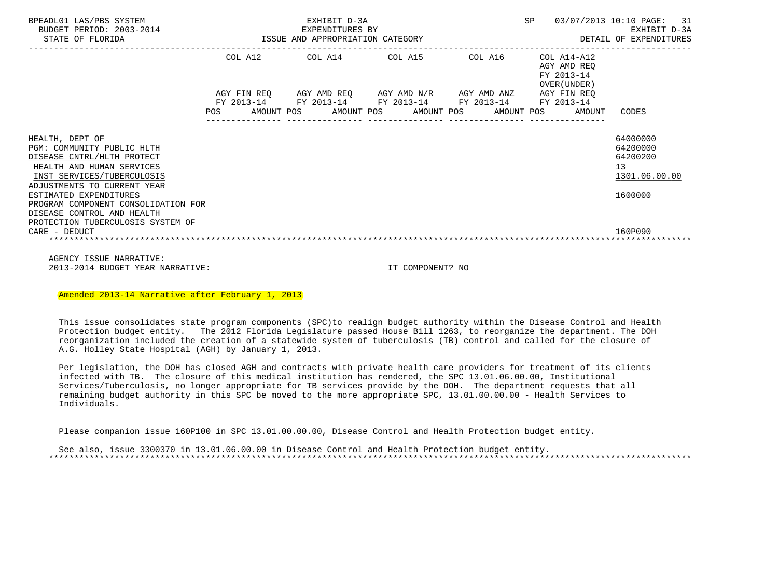| BPEADL01 LAS/PBS SYSTEM<br>BUDGET PERIOD: 2003-2014<br>STATE OF FLORIDA                                                                                                                                                                                                                                                    | EXHIBIT D-3A<br>EXPENDITURES BY<br>-2014 EXPENDITURES BY<br>ISSUE AND APPROPRIATION CATEGORY                   |                        |  |  |  |                                                                                                       |  | SP |  | 03/07/2013 10:10 PAGE: 31<br>EXHIBIT D-3A<br>DETAIL OF EXPENDITURES      |                                                                               |
|----------------------------------------------------------------------------------------------------------------------------------------------------------------------------------------------------------------------------------------------------------------------------------------------------------------------------|----------------------------------------------------------------------------------------------------------------|------------------------|--|--|--|-------------------------------------------------------------------------------------------------------|--|----|--|--------------------------------------------------------------------------|-------------------------------------------------------------------------------|
|                                                                                                                                                                                                                                                                                                                            |                                                                                                                | COL A12<br>AGY FIN REQ |  |  |  | COL A14 COL A15 COL A16<br>AGY AMD REQ        AGY AMD N/R        AGY AMD ANZ                          |  |    |  | COL A14-A12<br>AGY AMD REO<br>FY 2013-14<br>OVER (UNDER )<br>AGY FIN REO |                                                                               |
|                                                                                                                                                                                                                                                                                                                            | POS FOR THE POST OF THE POST OF THE POST OF THE POST OF THE POST OF THE POST OF THE POST OF THE POST OF THE PO |                        |  |  |  | FY 2013-14 FY 2013-14 FY 2013-14 FY 2013-14 FY 2013-14<br>AMOUNT POS AMOUNT POS AMOUNT POS AMOUNT POS |  |    |  | AMOUNT                                                                   | CODES                                                                         |
| HEALTH, DEPT OF<br>PGM: COMMUNITY PUBLIC HLTH<br>DISEASE CNTRL/HLTH PROTECT<br>HEALTH AND HUMAN SERVICES<br>INST SERVICES/TUBERCULOSIS<br>ADJUSTMENTS TO CURRENT YEAR<br>ESTIMATED EXPENDITURES<br>PROGRAM COMPONENT CONSOLIDATION FOR<br>DISEASE CONTROL AND HEALTH<br>PROTECTION TUBERCULOSIS SYSTEM OF<br>CARE - DEDUCT |                                                                                                                |                        |  |  |  |                                                                                                       |  |    |  |                                                                          | 64000000<br>64200000<br>64200200<br>13<br>1301.06.00.00<br>1600000<br>160P090 |

 AGENCY ISSUE NARRATIVE: 2013-2014 BUDGET YEAR NARRATIVE: IT COMPONENT? NO

Amended 2013-14 Narrative after February 1, 2013

 This issue consolidates state program components (SPC)to realign budget authority within the Disease Control and Health Protection budget entity. The 2012 Florida Legislature passed House Bill 1263, to reorganize the department. The DOH reorganization included the creation of a statewide system of tuberculosis (TB) control and called for the closure of A.G. Holley State Hospital (AGH) by January 1, 2013.

 Per legislation, the DOH has closed AGH and contracts with private health care providers for treatment of its clients infected with TB. The closure of this medical institution has rendered, the SPC 13.01.06.00.00, Institutional Services/Tuberculosis, no longer appropriate for TB services provide by the DOH. The department requests that all remaining budget authority in this SPC be moved to the more appropriate SPC, 13.01.00.00.00 - Health Services to Individuals.

Please companion issue 160P100 in SPC 13.01.00.00.00, Disease Control and Health Protection budget entity.

 See also, issue 3300370 in 13.01.06.00.00 in Disease Control and Health Protection budget entity. \*\*\*\*\*\*\*\*\*\*\*\*\*\*\*\*\*\*\*\*\*\*\*\*\*\*\*\*\*\*\*\*\*\*\*\*\*\*\*\*\*\*\*\*\*\*\*\*\*\*\*\*\*\*\*\*\*\*\*\*\*\*\*\*\*\*\*\*\*\*\*\*\*\*\*\*\*\*\*\*\*\*\*\*\*\*\*\*\*\*\*\*\*\*\*\*\*\*\*\*\*\*\*\*\*\*\*\*\*\*\*\*\*\*\*\*\*\*\*\*\*\*\*\*\*\*\*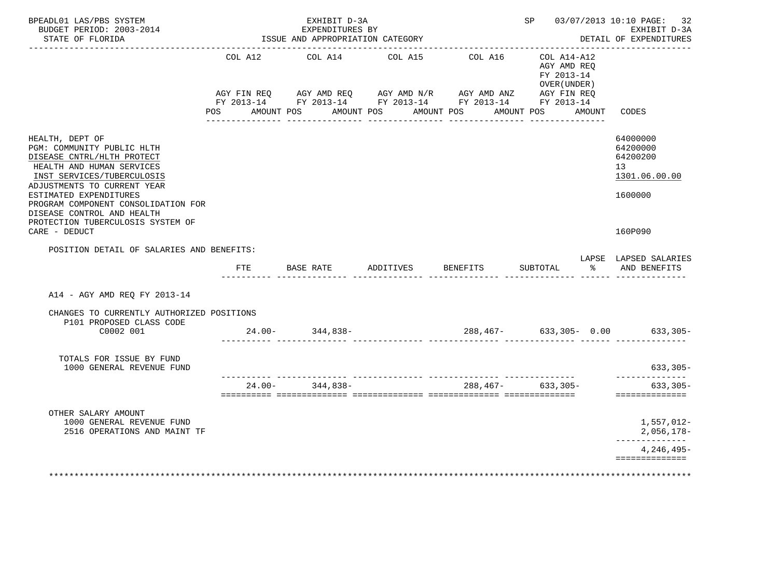| BPEADL01 LAS/PBS SYSTEM<br>BUDGET PERIOD: 2003-2014<br>STATE OF FLORIDA                                                                                                                                                                                                                                   |                   | EXHIBIT D-3A<br>EXPENDITURES BY<br>ISSUE AND APPROPRIATION CATEGORY    |                                          |          | SP 03/07/2013 10:10 PAGE: 32<br>EXHIBIT D-3A<br>DETAIL OF EXPENDITURES |        |                                                                    |
|-----------------------------------------------------------------------------------------------------------------------------------------------------------------------------------------------------------------------------------------------------------------------------------------------------------|-------------------|------------------------------------------------------------------------|------------------------------------------|----------|------------------------------------------------------------------------|--------|--------------------------------------------------------------------|
|                                                                                                                                                                                                                                                                                                           | COL A12           | COL A14<br>AGY FIN REQ AGY AMD REQ AGY AMD N/R AGY AMD ANZ AGY FIN REQ | COL A15                                  | COL A16  | COL A14-A12<br>AGY AMD REO<br>FY 2013-14<br>OVER (UNDER)               |        |                                                                    |
|                                                                                                                                                                                                                                                                                                           | AMOUNT POS<br>POS | FY 2013-14 FY 2013-14 FY 2013-14 FY 2013-14 FY 2013-14                 | AMOUNT POS AMOUNT POS<br>_______________ |          | AMOUNT POS                                                             | AMOUNT | CODES                                                              |
| HEALTH, DEPT OF<br>PGM: COMMUNITY PUBLIC HLTH<br>DISEASE CNTRL/HLTH PROTECT<br>HEALTH AND HUMAN SERVICES<br>INST SERVICES/TUBERCULOSIS<br>ADJUSTMENTS TO CURRENT YEAR<br>ESTIMATED EXPENDITURES<br>PROGRAM COMPONENT CONSOLIDATION FOR<br>DISEASE CONTROL AND HEALTH<br>PROTECTION TUBERCULOSIS SYSTEM OF |                   |                                                                        |                                          |          |                                                                        |        | 64000000<br>64200000<br>64200200<br>13<br>1301.06.00.00<br>1600000 |
| CARE - DEDUCT                                                                                                                                                                                                                                                                                             |                   |                                                                        |                                          |          |                                                                        |        | 160P090                                                            |
| POSITION DETAIL OF SALARIES AND BENEFITS:                                                                                                                                                                                                                                                                 | FTE               | BASE RATE ADDITIVES                                                    |                                          | BENEFITS | SUBTOTAL                                                               | ႜ      | LAPSE LAPSED SALARIES<br>AND BENEFITS                              |
| A14 - AGY AMD REQ FY 2013-14                                                                                                                                                                                                                                                                              |                   |                                                                        |                                          |          |                                                                        |        |                                                                    |
| CHANGES TO CURRENTLY AUTHORIZED POSITIONS<br>P101 PROPOSED CLASS CODE                                                                                                                                                                                                                                     |                   |                                                                        |                                          |          |                                                                        |        |                                                                    |
| C0002 001                                                                                                                                                                                                                                                                                                 |                   | $24.00 - 344.838 -$                                                    |                                          |          |                                                                        |        | 288,467- 633,305- 0.00 633,305-                                    |
| TOTALS FOR ISSUE BY FUND<br>1000 GENERAL REVENUE FUND                                                                                                                                                                                                                                                     |                   |                                                                        |                                          |          |                                                                        |        | $633, 305 -$<br>---------------                                    |
|                                                                                                                                                                                                                                                                                                           | $24.00 -$         | 344,838-                                                               |                                          | 288,467- | 633,305-                                                               |        | $633,305-$<br>==============                                       |
| OTHER SALARY AMOUNT<br>1000 GENERAL REVENUE FUND<br>2516 OPERATIONS AND MAINT TF                                                                                                                                                                                                                          |                   |                                                                        |                                          |          |                                                                        |        | 1,557,012-<br>$2,056,178-$                                         |
|                                                                                                                                                                                                                                                                                                           |                   |                                                                        |                                          |          |                                                                        |        | . _ _ _ _ _ _ _ _ _ _ _ _<br>$4,246,495-$                          |
|                                                                                                                                                                                                                                                                                                           |                   |                                                                        |                                          |          |                                                                        |        | ==============                                                     |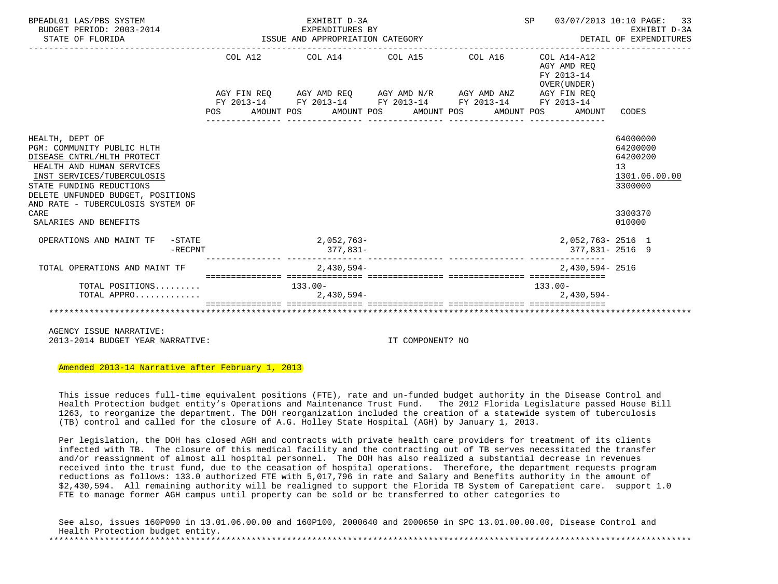| BPEADL01 LAS/PBS SYSTEM<br>BUDGET PERIOD: 2003-2014<br>STATE OF FLORIDA | EXHIBIT D-3A<br>EXPENDITURES BY<br>ISSUE AND APPROPRIATION CATEGORY | SP<br>DETAIL OF EXPENDITURES | 03/07/2013 10:10 PAGE: 33<br>EXHIBIT D-3A                |                     |
|-------------------------------------------------------------------------|---------------------------------------------------------------------|------------------------------|----------------------------------------------------------|---------------------|
|                                                                         | COL A12 COL A14 COL A15 COL A16                                     |                              | COL A14-A12<br>AGY AMD REO<br>FY 2013-14<br>OVER (UNDER) |                     |
|                                                                         | AGY FIN REQ AGY AMD REQ AGY AMD N/R AGY AMD ANZ AGY FIN REQ         |                              |                                                          |                     |
|                                                                         | FY 2013-14 FY 2013-14 FY 2013-14 FY 2013-14 FY 2013-14              |                              |                                                          |                     |
|                                                                         | POS AMOUNT POS AMOUNT POS AMOUNT POS                                |                              | AMOUNT POS<br>AMOUNT                                     | CODES               |
|                                                                         |                                                                     |                              |                                                          |                     |
| HEALTH, DEPT OF                                                         |                                                                     |                              |                                                          | 64000000            |
| PGM: COMMUNITY PUBLIC HLTH                                              |                                                                     |                              |                                                          | 64200000            |
| DISEASE CNTRL/HLTH PROTECT                                              |                                                                     |                              |                                                          | 64200200            |
| HEALTH AND HUMAN SERVICES<br>INST SERVICES/TUBERCULOSIS                 |                                                                     |                              |                                                          | 13<br>1301.06.00.00 |
| STATE FUNDING REDUCTIONS                                                |                                                                     |                              |                                                          | 3300000             |
| DELETE UNFUNDED BUDGET, POSITIONS                                       |                                                                     |                              |                                                          |                     |
| AND RATE - TUBERCULOSIS SYSTEM OF                                       |                                                                     |                              |                                                          |                     |
| CARE                                                                    |                                                                     |                              |                                                          | 3300370             |
| SALARIES AND BENEFITS                                                   |                                                                     |                              |                                                          | 010000              |
| OPERATIONS AND MAINT TF<br>$-$ STATE                                    | 2,052,763-                                                          |                              | 2,052,763-2516 1                                         |                     |
| $-RECPNT$                                                               | $377.831-$                                                          |                              | 377,831-2516 9                                           |                     |
| TOTAL OPERATIONS AND MAINT TF                                           | 2,430,594-                                                          |                              | 2,430,594-2516                                           |                     |
| TOTAL POSITIONS 133.00-                                                 |                                                                     |                              | $133.00 -$                                               |                     |
| TOTAL APPRO                                                             | 2,430,594-                                                          |                              | $2,430,594-$                                             |                     |
|                                                                         | sessessessesses essessesses                                         |                              |                                                          |                     |

 AGENCY ISSUE NARRATIVE: 2013-2014 BUDGET YEAR NARRATIVE: IT COMPONENT? NO

Amended 2013-14 Narrative after February 1, 2013

 This issue reduces full-time equivalent positions (FTE), rate and un-funded budget authority in the Disease Control and Health Protection budget entity's Operations and Maintenance Trust Fund. The 2012 Florida Legislature passed House Bill 1263, to reorganize the department. The DOH reorganization included the creation of a statewide system of tuberculosis (TB) control and called for the closure of A.G. Holley State Hospital (AGH) by January 1, 2013.

 Per legislation, the DOH has closed AGH and contracts with private health care providers for treatment of its clients infected with TB. The closure of this medical facility and the contracting out of TB serves necessitated the transfer and/or reassignment of almost all hospital personnel. The DOH has also realized a substantial decrease in revenues received into the trust fund, due to the ceasation of hospital operations. Therefore, the department requests program reductions as follows: 133.0 authorized FTE with 5,017,796 in rate and Salary and Benefits authority in the amount of \$2,430,594. All remaining authority will be realigned to support the Florida TB System of Carepatient care. support 1.0 FTE to manage former AGH campus until property can be sold or be transferred to other categories to

|                                  | See also, issues 160P090 in 13.01.06.00.00 and 160P100, 2000640 and 2000650 in SPC 13.01.00.00.00, Disease Control and |  |
|----------------------------------|------------------------------------------------------------------------------------------------------------------------|--|
| Health Protection budget entity. |                                                                                                                        |  |
|                                  |                                                                                                                        |  |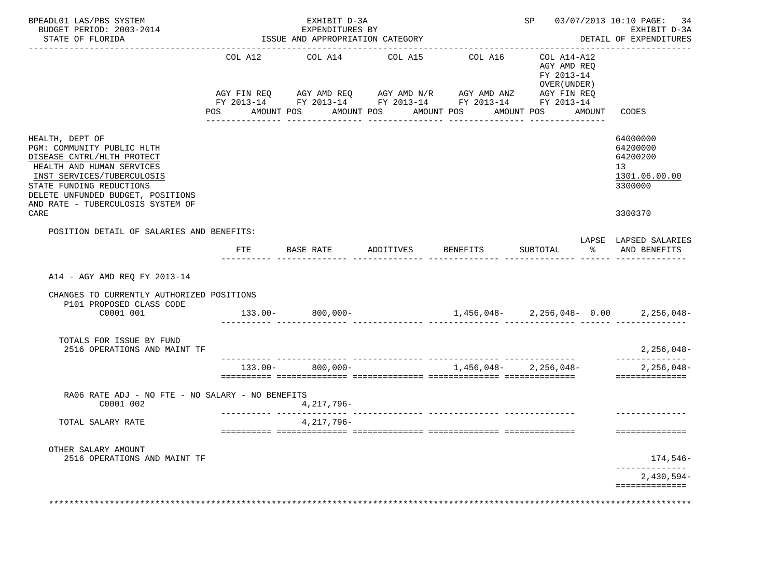| BPEADL01 LAS/PBS SYSTEM<br>BUDGET PERIOD: 2003-2014<br>STATE OF FLORIDA                                                                                                                                                                              |                                             | EXHIBIT D-3A<br>EXPENDITURES BY<br>ISSUE AND APPROPRIATION CATEGORY | 03/07/2013 10:10 PAGE: 34<br>SP<br>EXHIBIT D-3A<br>DETAIL OF EXPENDITURES |                                                                                                                                    |                                                                     |                                                                               |
|------------------------------------------------------------------------------------------------------------------------------------------------------------------------------------------------------------------------------------------------------|---------------------------------------------|---------------------------------------------------------------------|---------------------------------------------------------------------------|------------------------------------------------------------------------------------------------------------------------------------|---------------------------------------------------------------------|-------------------------------------------------------------------------------|
|                                                                                                                                                                                                                                                      |                                             |                                                                     |                                                                           |                                                                                                                                    |                                                                     |                                                                               |
|                                                                                                                                                                                                                                                      | COL A12<br>AGY FIN REO<br>POS<br>AMOUNT POS | COL A14<br>AMOUNT POS                                               | COL A15<br>AMOUNT POS                                                     | COL A16<br>AGY AMD REQ AGY AMD N/R AGY AMD ANZ AGY FIN REQ<br>FY 2013-14 FY 2013-14 FY 2013-14 FY 2013-14 FY 2013-14<br>AMOUNT POS | COL A14-A12<br>AGY AMD REQ<br>FY 2013-14<br>OVER (UNDER )<br>AMOUNT | CODES                                                                         |
| HEALTH, DEPT OF<br>PGM: COMMUNITY PUBLIC HLTH<br>DISEASE CNTRL/HLTH PROTECT<br>HEALTH AND HUMAN SERVICES<br>INST SERVICES/TUBERCULOSIS<br>STATE FUNDING REDUCTIONS<br>DELETE UNFUNDED BUDGET, POSITIONS<br>AND RATE - TUBERCULOSIS SYSTEM OF<br>CARE |                                             |                                                                     |                                                                           |                                                                                                                                    |                                                                     | 64000000<br>64200000<br>64200200<br>13<br>1301.06.00.00<br>3300000<br>3300370 |
| POSITION DETAIL OF SALARIES AND BENEFITS:                                                                                                                                                                                                            | FTE                                         | BASE RATE                                                           | ADDITIVES                                                                 | BENEFITS                                                                                                                           | $\frac{8}{6}$<br>SUBTOTAL                                           | LAPSE LAPSED SALARIES<br>AND BENEFITS                                         |
| A14 - AGY AMD REO FY 2013-14<br>CHANGES TO CURRENTLY AUTHORIZED POSITIONS<br>P101 PROPOSED CLASS CODE<br>C0001 001                                                                                                                                   |                                             | $133.00 - 800,000 -$                                                |                                                                           |                                                                                                                                    | $1,456,048-2,256,048-0.00$ $2,256,048-$                             |                                                                               |
| TOTALS FOR ISSUE BY FUND<br>2516 OPERATIONS AND MAINT TF                                                                                                                                                                                             |                                             |                                                                     |                                                                           |                                                                                                                                    |                                                                     | $2,256,048-$<br>______________                                                |
|                                                                                                                                                                                                                                                      | $133.00 -$                                  | $800,000 -$                                                         |                                                                           | $1,456,048-2,256,048-$                                                                                                             |                                                                     | $2,256,048-$<br>==============                                                |
| RA06 RATE ADJ - NO FTE - NO SALARY - NO BENEFITS<br>C0001 002                                                                                                                                                                                        |                                             | 4,217,796-<br><u> - - - - - - - - - - - - - -</u>                   |                                                                           |                                                                                                                                    |                                                                     |                                                                               |
| TOTAL SALARY RATE                                                                                                                                                                                                                                    |                                             | 4, 217, 796-                                                        |                                                                           |                                                                                                                                    |                                                                     | ==============                                                                |
| OTHER SALARY AMOUNT<br>2516 OPERATIONS AND MAINT TF                                                                                                                                                                                                  |                                             |                                                                     |                                                                           |                                                                                                                                    |                                                                     | 174,546-<br>______________<br>2,430,594-                                      |
|                                                                                                                                                                                                                                                      |                                             |                                                                     |                                                                           |                                                                                                                                    |                                                                     | ==============                                                                |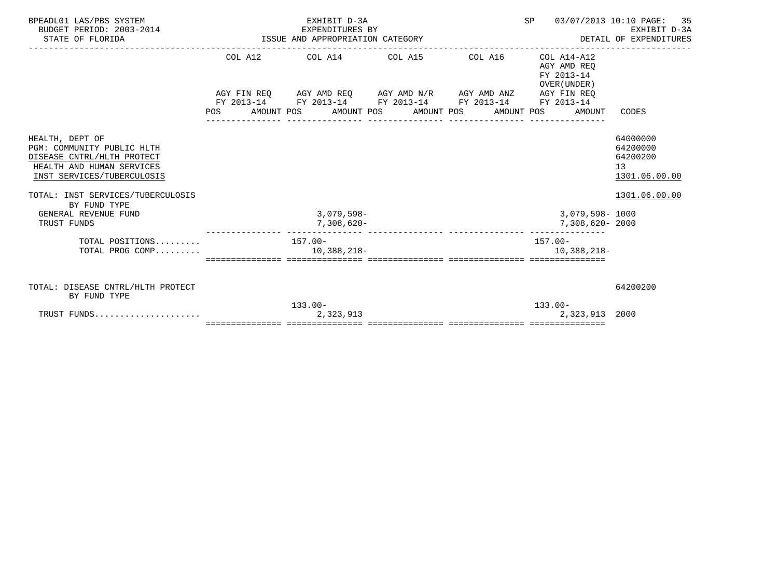| BPEADL01 LAS/PBS SYSTEM<br>BUDGET PERIOD: 2003-2014<br>STATE OF FLORIDA                                                                | EXHIBIT D-3A                                                | SP<br>03/07/2013 10:10 PAGE: 35<br>EXPENDITURES BY EXPENDITURES BY EXPENDITURES BY DETAIL OF EXPENDITURES<br>DETAIL OF EXPENDITURES ISSUE AND APPROPRIATION CATEGORY |                                                              |                                                         |
|----------------------------------------------------------------------------------------------------------------------------------------|-------------------------------------------------------------|----------------------------------------------------------------------------------------------------------------------------------------------------------------------|--------------------------------------------------------------|---------------------------------------------------------|
|                                                                                                                                        | COL A12 COL A14 COL A15 COL A16 COL A14-A12                 |                                                                                                                                                                      | AGY AMD REO<br>FY 2013-14<br>OVER (UNDER)                    |                                                         |
|                                                                                                                                        | AGY FIN REQ AGY AMD REQ AGY AMD N/R AGY AMD ANZ AGY FIN REQ |                                                                                                                                                                      |                                                              |                                                         |
|                                                                                                                                        | FY 2013-14 FY 2013-14 FY 2013-14 FY 2013-14 FY 2013-14      |                                                                                                                                                                      | POS AMOUNT POS AMOUNT POS AMOUNT POS AMOUNT POS AMOUNT CODES |                                                         |
| HEALTH, DEPT OF<br>PGM: COMMUNITY PUBLIC HLTH<br>DISEASE CNTRL/HLTH PROTECT<br>HEALTH AND HUMAN SERVICES<br>INST SERVICES/TUBERCULOSIS |                                                             |                                                                                                                                                                      |                                                              | 64000000<br>64200000<br>64200200<br>13<br>1301.06.00.00 |
| TOTAL: INST SERVICES/TUBERCULOSIS<br>BY FUND TYPE                                                                                      |                                                             |                                                                                                                                                                      |                                                              | 1301.06.00.00                                           |
| GENERAL REVENUE FUND                                                                                                                   | $3,079,598-$                                                |                                                                                                                                                                      | 3,079,598-1000                                               |                                                         |
| TRUST FUNDS                                                                                                                            | 7,308,620-                                                  |                                                                                                                                                                      | 7,308,620-2000                                               |                                                         |
| TOTAL POSITIONS $157.00-$<br>TOTAL PROG COMP $10,388,218-$                                                                             |                                                             |                                                                                                                                                                      | 157.00-<br>10,388,218-                                       |                                                         |
| TOTAL: DISEASE CNTRL/HLTH PROTECT<br>BY FUND TYPE                                                                                      |                                                             |                                                                                                                                                                      |                                                              | 64200200                                                |
|                                                                                                                                        | $133.00 -$                                                  |                                                                                                                                                                      | $133.00 -$                                                   |                                                         |
| TRUST FUNDS                                                                                                                            | 2,323,913                                                   |                                                                                                                                                                      | 2,323,913 2000                                               |                                                         |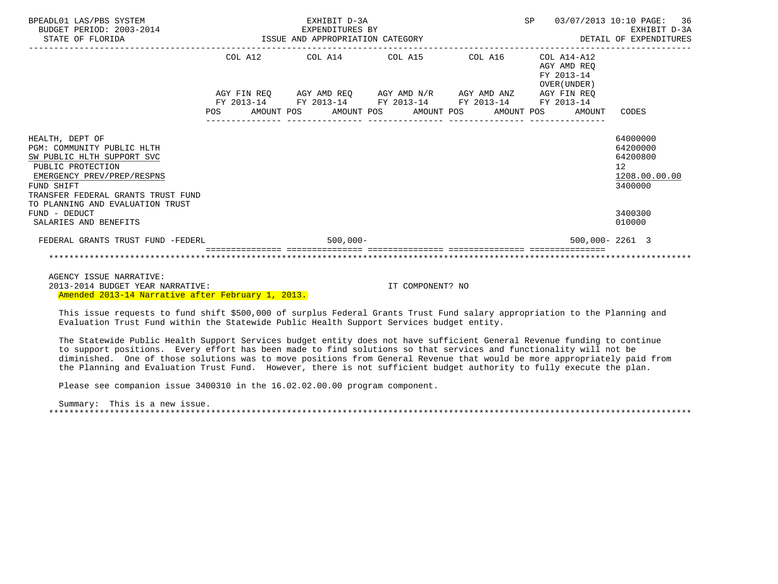| BPEADL01 LAS/PBS SYSTEM<br>BUDGET PERIOD: 2003-2014<br>STATE OF FLORIDA                                                                                                            | EXHIBIT D-3A<br>EXPENDITURES BY<br>ISSUE AND APPROPRIATION CATEGORY |            |  |                                                                                                                                               |  |  |  | <b>SP</b> |  | 03/07/2013 10:10 PAGE: 36<br>EXHIBIT D-3A<br>DETAIL OF EXPENDITURES |                                                                    |
|------------------------------------------------------------------------------------------------------------------------------------------------------------------------------------|---------------------------------------------------------------------|------------|--|-----------------------------------------------------------------------------------------------------------------------------------------------|--|--|--|-----------|--|---------------------------------------------------------------------|--------------------------------------------------------------------|
|                                                                                                                                                                                    |                                                                     |            |  | COL A12 COL A14 COL A15                                                                                                                       |  |  |  | COL A16   |  | $COL A14 - A12$<br>AGY AMD REO<br>FY 2013-14<br>OVER (UNDER)        |                                                                    |
|                                                                                                                                                                                    | POS                                                                 | FY 2013-14 |  | AGY FIN REQ 6GY AMD REQ 6GY AMD N/R 6GY AMD ANZ<br>FY 2013-14 FY 2013-14 FY 2013-14 FY 2013-14<br>AMOUNT POS AMOUNT POS AMOUNT POS AMOUNT POS |  |  |  |           |  | AGY FIN REO<br>AMOUNT                                               | CODES                                                              |
| HEALTH, DEPT OF<br>PGM: COMMUNITY PUBLIC HLTH<br>SW PUBLIC HLTH SUPPORT SVC<br>PUBLIC PROTECTION<br>EMERGENCY PREV/PREP/RESPNS<br>FUND SHIFT<br>TRANSFER FEDERAL GRANTS TRUST FUND |                                                                     |            |  |                                                                                                                                               |  |  |  |           |  |                                                                     | 64000000<br>64200000<br>64200800<br>12<br>1208.00.00.00<br>3400000 |
| TO PLANNING AND EVALUATION TRUST<br>FUND - DEDUCT<br>SALARIES AND BENEFITS                                                                                                         |                                                                     |            |  |                                                                                                                                               |  |  |  |           |  |                                                                     | 3400300<br>010000                                                  |
| FEDERAL GRANTS TRUST FUND -FEDERL                                                                                                                                                  |                                                                     |            |  | $500,000 -$                                                                                                                                   |  |  |  |           |  | $500.000 - 2261$ 3                                                  |                                                                    |
|                                                                                                                                                                                    |                                                                     |            |  |                                                                                                                                               |  |  |  |           |  |                                                                     |                                                                    |

 AGENCY ISSUE NARRATIVE: 2013-2014 BUDGET YEAR NARRATIVE: IT COMPONENT? NO Amended 2013-14 Narrative after February 1, 2013.

 This issue requests to fund shift \$500,000 of surplus Federal Grants Trust Fund salary appropriation to the Planning and Evaluation Trust Fund within the Statewide Public Health Support Services budget entity.

 The Statewide Public Health Support Services budget entity does not have sufficient General Revenue funding to continue to support positions. Every effort has been made to find solutions so that services and functionality will not be diminished. One of those solutions was to move positions from General Revenue that would be more appropriately paid from the Planning and Evaluation Trust Fund. However, there is not sufficient budget authority to fully execute the plan.

Please see companion issue 3400310 in the 16.02.02.00.00 program component.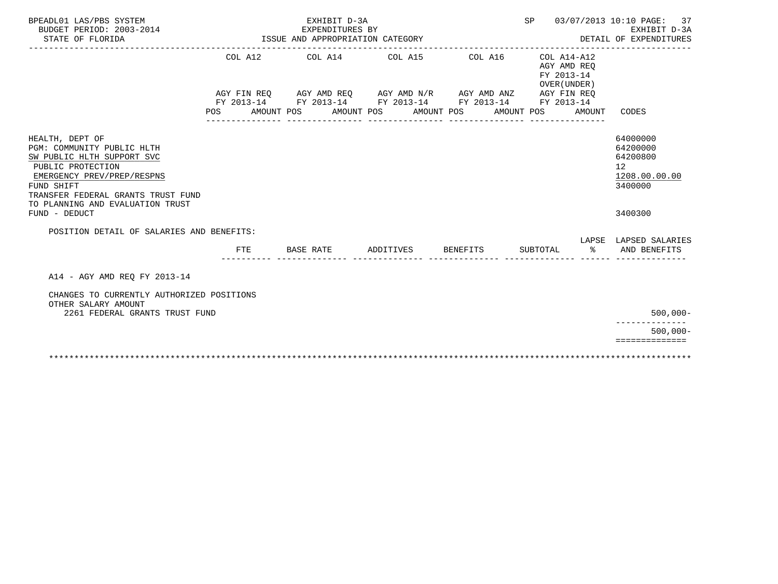| BPEADL01 LAS/PBS SYSTEM<br>BUDGET PERIOD: 2003-2014<br>STATE OF FLORIDA                                                                                                                                                                 |            |  |            | EXHIBIT D-3A<br>EXPENDITURES BY<br>ISSUE AND APPROPRIATION CATEGORY |  |                                                                                                                                                |          | 03/07/2013 10:10 PAGE:<br>SP<br>37<br>EXHIBIT D-3A<br>DETAIL OF EXPENDITURES |          |                           |                                                                                            |  |
|-----------------------------------------------------------------------------------------------------------------------------------------------------------------------------------------------------------------------------------------|------------|--|------------|---------------------------------------------------------------------|--|------------------------------------------------------------------------------------------------------------------------------------------------|----------|------------------------------------------------------------------------------|----------|---------------------------|--------------------------------------------------------------------------------------------|--|
|                                                                                                                                                                                                                                         |            |  |            | COL A12 COL A14 COL A15                                             |  |                                                                                                                                                |          | COL A16 COL A14-A12                                                          |          | AGY AMD REO<br>FY 2013-14 |                                                                                            |  |
|                                                                                                                                                                                                                                         | <b>POS</b> |  | AMOUNT POS |                                                                     |  | AGY FIN REO AGY AMD REO AGY AMD N/R AGY AMD ANZ AGY FIN REO<br>FY 2013-14 FY 2013-14 FY 2013-14 FY 2013-14 FY 2013-14<br>AMOUNT POS AMOUNT POS |          | AMOUNT POS<br>________________                                               |          | OVER (UNDER)<br>AMOUNT    | CODES                                                                                      |  |
| HEALTH, DEPT OF<br>PGM: COMMUNITY PUBLIC HLTH<br>SW PUBLIC HLTH SUPPORT SVC<br>PUBLIC PROTECTION<br>EMERGENCY PREV/PREP/RESPNS<br>FUND SHIFT<br>TRANSFER FEDERAL GRANTS TRUST FUND<br>TO PLANNING AND EVALUATION TRUST<br>FUND - DEDUCT |            |  |            |                                                                     |  |                                                                                                                                                |          |                                                                              |          |                           | 64000000<br>64200000<br>64200800<br>12 <sup>°</sup><br>1208.00.00.00<br>3400000<br>3400300 |  |
| POSITION DETAIL OF SALARIES AND BENEFITS:                                                                                                                                                                                               |            |  |            |                                                                     |  |                                                                                                                                                |          |                                                                              |          |                           |                                                                                            |  |
|                                                                                                                                                                                                                                         | FTE        |  | BASE RATE  |                                                                     |  | ADDITIVES                                                                                                                                      | BENEFITS |                                                                              | SUBTOTAL | နွ                        | LAPSE LAPSED SALARIES<br>AND BENEFITS                                                      |  |
| A14 - AGY AMD REO FY 2013-14                                                                                                                                                                                                            |            |  |            |                                                                     |  |                                                                                                                                                |          |                                                                              |          |                           |                                                                                            |  |
| CHANGES TO CURRENTLY AUTHORIZED POSITIONS<br>OTHER SALARY AMOUNT<br>2261 FEDERAL GRANTS TRUST FUND                                                                                                                                      |            |  |            |                                                                     |  |                                                                                                                                                |          |                                                                              |          |                           | $500,000 -$                                                                                |  |
|                                                                                                                                                                                                                                         |            |  |            |                                                                     |  |                                                                                                                                                |          |                                                                              |          |                           | $500.000 -$                                                                                |  |
|                                                                                                                                                                                                                                         |            |  |            |                                                                     |  |                                                                                                                                                |          |                                                                              |          |                           | ==============                                                                             |  |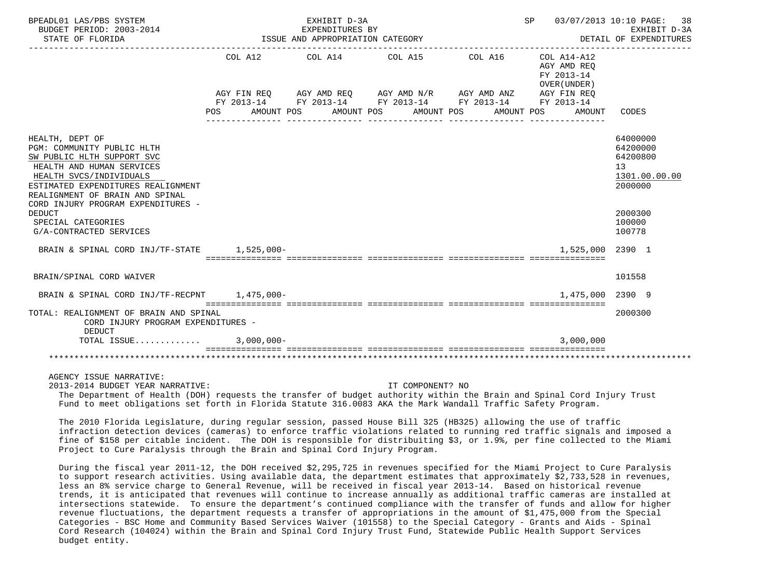| BPEADL01 LAS/PBS SYSTEM<br>BUDGET PERIOD: 2003-2014<br>STATE OF FLORIDA                                                                                                                                                                            |               | EXHIBIT D-3A<br>EXPENDITURES BY<br>ISSUE AND APPROPRIATION CATEGORY |                                                                                                                                                                                                  |            | SP<br>03/07/2013 10:10 PAGE: 38<br>EXHIBIT D-3A<br>DETAIL OF EXPENDITURES<br>---------------------------------- |                                                                    |  |  |
|----------------------------------------------------------------------------------------------------------------------------------------------------------------------------------------------------------------------------------------------------|---------------|---------------------------------------------------------------------|--------------------------------------------------------------------------------------------------------------------------------------------------------------------------------------------------|------------|-----------------------------------------------------------------------------------------------------------------|--------------------------------------------------------------------|--|--|
|                                                                                                                                                                                                                                                    | POS           | AMOUNT POS                                                          | COL A12 COL A14 COL A15 COL A16 COL A14-A12<br>AGY FIN REQ AGY AMD REQ AGY AMD N/R AGY AMD ANZ AGY FIN REQ<br>FY 2013-14 FY 2013-14 FY 2013-14 FY 2013-14 FY 2013-14<br>AMOUNT POS<br>AMOUNT POS | AMOUNT POS | AGY AMD REO<br>FY 2013-14<br>OVER (UNDER)<br>AMOUNT                                                             | CODES                                                              |  |  |
| HEALTH, DEPT OF<br>PGM: COMMUNITY PUBLIC HLTH<br>SW PUBLIC HLTH SUPPORT SVC<br>HEALTH AND HUMAN SERVICES<br>HEALTH SVCS/INDIVIDUALS<br>ESTIMATED EXPENDITURES REALIGNMENT<br>REALIGNMENT OF BRAIN AND SPINAL<br>CORD INJURY PROGRAM EXPENDITURES - |               |                                                                     |                                                                                                                                                                                                  |            |                                                                                                                 | 64000000<br>64200000<br>64200800<br>13<br>1301.00.00.00<br>2000000 |  |  |
| <b>DEDUCT</b><br>SPECIAL CATEGORIES<br>G/A-CONTRACTED SERVICES                                                                                                                                                                                     |               |                                                                     |                                                                                                                                                                                                  |            |                                                                                                                 | 2000300<br>100000<br>100778                                        |  |  |
| BRAIN & SPINAL CORD INJ/TF-STATE 1,525,000-                                                                                                                                                                                                        |               |                                                                     |                                                                                                                                                                                                  |            | 1,525,000 2390 1                                                                                                |                                                                    |  |  |
| BRAIN/SPINAL CORD WAIVER                                                                                                                                                                                                                           |               |                                                                     |                                                                                                                                                                                                  |            |                                                                                                                 | 101558                                                             |  |  |
| BRAIN & SPINAL CORD INJ/TF-RECPNT 1.475.000-                                                                                                                                                                                                       |               |                                                                     |                                                                                                                                                                                                  |            | 1.475.000                                                                                                       | 2390 9                                                             |  |  |
| TOTAL: REALIGNMENT OF BRAIN AND SPINAL<br>CORD INJURY PROGRAM EXPENDITURES -<br><b>DEDUCT</b>                                                                                                                                                      |               |                                                                     |                                                                                                                                                                                                  |            |                                                                                                                 | 2000300                                                            |  |  |
| TOTAL ISSUE                                                                                                                                                                                                                                        | $3,000,000 -$ |                                                                     |                                                                                                                                                                                                  |            | 3,000,000                                                                                                       |                                                                    |  |  |
|                                                                                                                                                                                                                                                    |               |                                                                     |                                                                                                                                                                                                  |            |                                                                                                                 |                                                                    |  |  |

AGENCY ISSUE NARRATIVE:

2013-2014 BUDGET YEAR NARRATIVE: IT COMPONENT? NO

 The Department of Health (DOH) requests the transfer of budget authority within the Brain and Spinal Cord Injury Trust Fund to meet obligations set forth in Florida Statute 316.0083 AKA the Mark Wandall Traffic Safety Program.

 The 2010 Florida Legislature, during regular session, passed House Bill 325 (HB325) allowing the use of traffic infraction detection devices (cameras) to enforce traffic violations related to running red traffic signals and imposed a fine of \$158 per citable incident. The DOH is responsible for distribuiting \$3, or 1.9%, per fine collected to the Miami Project to Cure Paralysis through the Brain and Spinal Cord Injury Program.

 During the fiscal year 2011-12, the DOH received \$2,295,725 in revenues specified for the Miami Project to Cure Paralysis to support research activities. Using available data, the department estimates that approximately \$2,733,528 in revenues, less an 8% service charge to General Revenue, will be received in fiscal year 2013-14. Based on historical revenue trends, it is anticipated that revenues will continue to increase annually as additional traffic cameras are installed at intersections statewide. To ensure the department's continued compliance with the transfer of funds and allow for higher revenue fluctuations, the department requests a transfer of appropriations in the amount of \$1,475,000 from the Special Categories - BSC Home and Community Based Services Waiver (101558) to the Special Category - Grants and Aids - Spinal Cord Research (104024) within the Brain and Spinal Cord Injury Trust Fund, Statewide Public Health Support Services budget entity.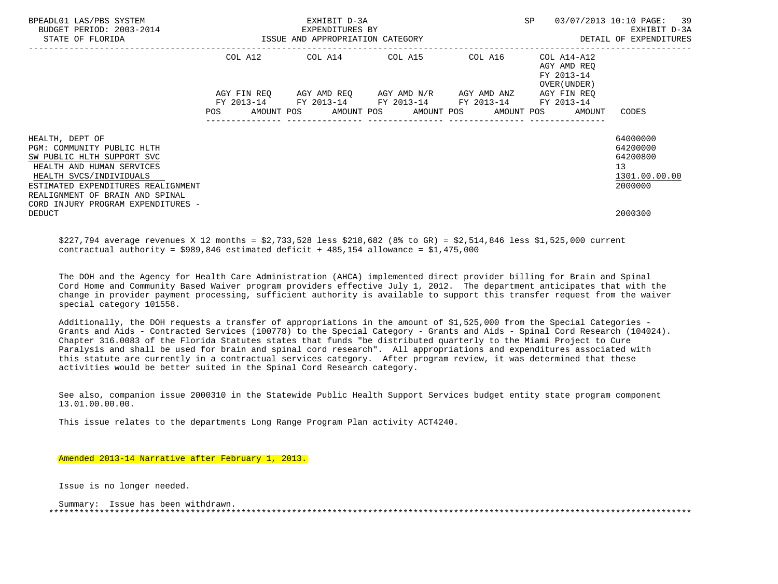| BPEADL01 LAS/PBS SYSTEM<br>BUDGET PERIOD: 2003-2014<br>STATE OF FLORIDA                                                             | EXHIBIT D-3A<br>EXPENDITURES BY<br>ISSUE AND APPROPRIATION CATEGORY                                                                                      | SP<br>03/07/2013 10:10 PAGE: 39<br>EXHIBIT D-3A<br>DETAIL OF EXPENDITURES |                                                           |                                                         |  |  |
|-------------------------------------------------------------------------------------------------------------------------------------|----------------------------------------------------------------------------------------------------------------------------------------------------------|---------------------------------------------------------------------------|-----------------------------------------------------------|---------------------------------------------------------|--|--|
|                                                                                                                                     | COL A12 COL A14 COL A15 COL A16                                                                                                                          |                                                                           | COL A14-A12<br>AGY AMD REO<br>FY 2013-14<br>OVER (UNDER ) |                                                         |  |  |
|                                                                                                                                     | AGY FIN REQ AGY AMD REQ AGY AMD N/R AGY AMD ANZ<br>FY 2013-14 FY 2013-14 FY 2013-14 FY 2013-14<br>POS AMOUNT POS AMOUNT POS AMOUNT POS AMOUNT POS AMOUNT |                                                                           | AGY FIN REO<br>FY 2013-14                                 | CODES                                                   |  |  |
| HEALTH, DEPT OF<br>PGM: COMMUNITY PUBLIC HLTH<br>SW PUBLIC HLTH SUPPORT SVC<br>HEALTH AND HUMAN SERVICES<br>HEALTH SVCS/INDIVIDUALS |                                                                                                                                                          |                                                                           |                                                           | 64000000<br>64200000<br>64200800<br>13<br>1301.00.00.00 |  |  |
| ESTIMATED EXPENDITURES REALIGNMENT<br>REALIGNMENT OF BRAIN AND SPINAL<br>CORD INJURY PROGRAM EXPENDITURES -<br><b>DEDUCT</b>        |                                                                                                                                                          |                                                                           |                                                           | 2000000<br>2000300                                      |  |  |

 \$227,794 average revenues X 12 months = \$2,733,528 less \$218,682 (8% to GR) = \$2,514,846 less \$1,525,000 current contractual authority =  $$989,846$  estimated deficit + 485,154 allowance =  $$1,475,000$ 

 The DOH and the Agency for Health Care Administration (AHCA) implemented direct provider billing for Brain and Spinal Cord Home and Community Based Waiver program providers effective July 1, 2012. The department anticipates that with the change in provider payment processing, sufficient authority is available to support this transfer request from the waiver special category 101558.

 Additionally, the DOH requests a transfer of appropriations in the amount of \$1,525,000 from the Special Categories - Grants and Aids - Contracted Services (100778) to the Special Category - Grants and Aids - Spinal Cord Research (104024). Chapter 316.0083 of the Florida Statutes states that funds "be distributed quarterly to the Miami Project to Cure Paralysis and shall be used for brain and spinal cord research". All appropriations and expenditures associated with this statute are currently in a contractual services category. After program review, it was determined that these activities would be better suited in the Spinal Cord Research category.

 See also, companion issue 2000310 in the Statewide Public Health Support Services budget entity state program component 13.01.00.00.00.

This issue relates to the departments Long Range Program Plan activity ACT4240.

## Amended 2013-14 Narrative after February 1, 2013.

Issue is no longer needed.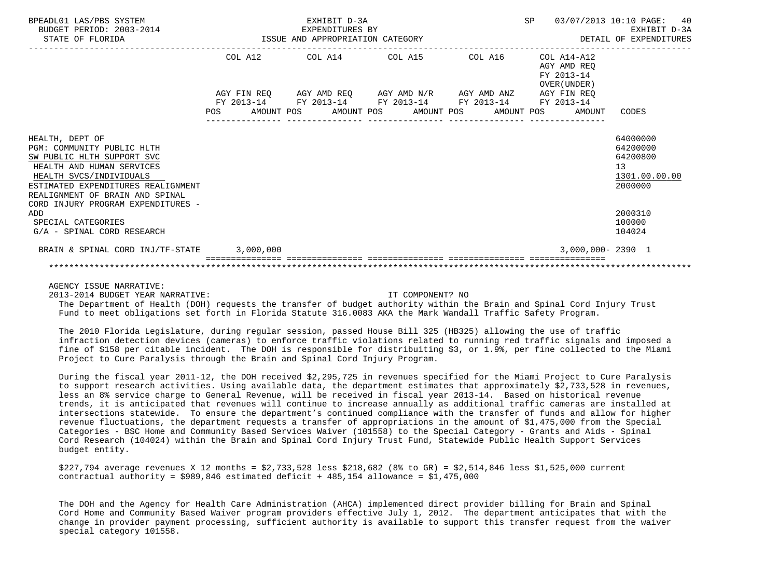| BPEADL01 LAS/PBS SYSTEM<br>BUDGET PERIOD: 2003-2014<br>STATE OF FLORIDA                                                                                                                                      |            | EXHIBIT D-3A<br>EXPENDITURES BY<br>ISSUE AND APPROPRIATION CATEGORY                                                                |  | <b>SP</b>  | 40<br>03/07/2013 10:10 PAGE:<br>EXHIBIT D-3A<br>DETAIL OF EXPENDITURES |                                                                    |
|--------------------------------------------------------------------------------------------------------------------------------------------------------------------------------------------------------------|------------|------------------------------------------------------------------------------------------------------------------------------------|--|------------|------------------------------------------------------------------------|--------------------------------------------------------------------|
|                                                                                                                                                                                                              |            | COL A12 COL A14 COL A15                                                                                                            |  | COL A16    | COL A14-A12<br>AGY AMD REO<br>FY 2013-14<br>OVER (UNDER)               |                                                                    |
|                                                                                                                                                                                                              | <b>POS</b> | AGY FIN REO AGY AMD REO AGY AMD N/R AGY AMD ANZ<br>FY 2013-14 FY 2013-14 FY 2013-14 FY 2013-14<br>AMOUNT POS AMOUNT POS AMOUNT POS |  | AMOUNT POS | AGY FIN REO<br>FY 2013-14<br>AMOUNT                                    | CODES                                                              |
| HEALTH, DEPT OF<br>PGM: COMMUNITY PUBLIC HLTH<br>SW PUBLIC HLTH SUPPORT SVC<br>HEALTH AND HUMAN SERVICES<br>HEALTH SVCS/INDIVIDUALS<br>ESTIMATED EXPENDITURES REALIGNMENT<br>REALIGNMENT OF BRAIN AND SPINAL |            |                                                                                                                                    |  |            |                                                                        | 64000000<br>64200000<br>64200800<br>13<br>1301.00.00.00<br>2000000 |
| CORD INJURY PROGRAM EXPENDITURES -<br>ADD<br>SPECIAL CATEGORIES<br>G/A - SPINAL CORD RESEARCH                                                                                                                |            |                                                                                                                                    |  |            |                                                                        | 2000310<br>100000<br>104024                                        |
| BRAIN & SPINAL CORD INJ/TF-STATE 3,000,000                                                                                                                                                                   |            |                                                                                                                                    |  |            | 3,000,000-2390 1                                                       |                                                                    |

AGENCY ISSUE NARRATIVE:

2013-2014 BUDGET YEAR NARRATIVE: IT COMPONENT? NO

 The Department of Health (DOH) requests the transfer of budget authority within the Brain and Spinal Cord Injury Trust Fund to meet obligations set forth in Florida Statute 316.0083 AKA the Mark Wandall Traffic Safety Program.

 The 2010 Florida Legislature, during regular session, passed House Bill 325 (HB325) allowing the use of traffic infraction detection devices (cameras) to enforce traffic violations related to running red traffic signals and imposed a fine of \$158 per citable incident. The DOH is responsible for distribuiting \$3, or 1.9%, per fine collected to the Miami Project to Cure Paralysis through the Brain and Spinal Cord Injury Program.

 During the fiscal year 2011-12, the DOH received \$2,295,725 in revenues specified for the Miami Project to Cure Paralysis to support research activities. Using available data, the department estimates that approximately \$2,733,528 in revenues, less an 8% service charge to General Revenue, will be received in fiscal year 2013-14. Based on historical revenue trends, it is anticipated that revenues will continue to increase annually as additional traffic cameras are installed at intersections statewide. To ensure the department's continued compliance with the transfer of funds and allow for higher revenue fluctuations, the department requests a transfer of appropriations in the amount of \$1,475,000 from the Special Categories - BSC Home and Community Based Services Waiver (101558) to the Special Category - Grants and Aids - Spinal Cord Research (104024) within the Brain and Spinal Cord Injury Trust Fund, Statewide Public Health Support Services budget entity.

 \$227,794 average revenues X 12 months = \$2,733,528 less \$218,682 (8% to GR) = \$2,514,846 less \$1,525,000 current contractual authority =  $$989,846$  estimated deficit + 485,154 allowance =  $$1,475,000$ 

 The DOH and the Agency for Health Care Administration (AHCA) implemented direct provider billing for Brain and Spinal Cord Home and Community Based Waiver program providers effective July 1, 2012. The department anticipates that with the change in provider payment processing, sufficient authority is available to support this transfer request from the waiver special category 101558.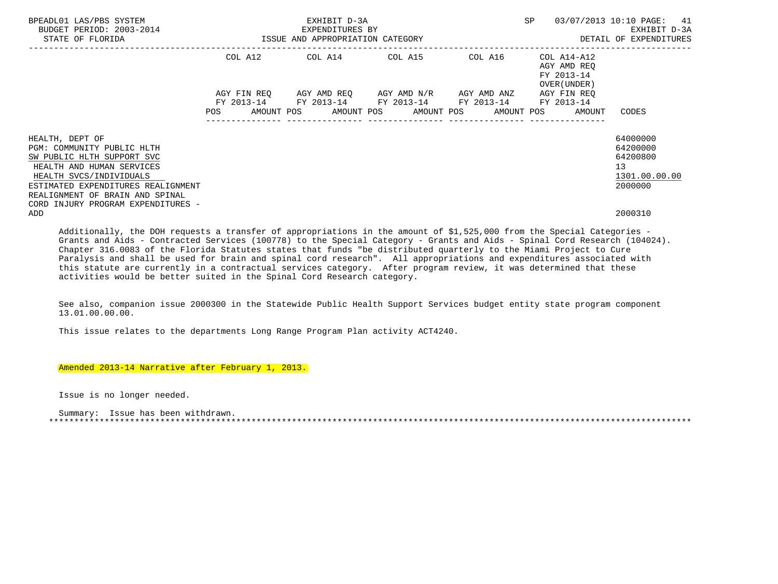| BPEADL01 LAS/PBS SYSTEM<br>BUDGET PERIOD: 2003-2014<br>STATE OF FLORIDA                                                                                                                                      |                           | EXHIBIT D-3A<br>EXPENDITURES BY<br>ISSUE AND APPROPRIATION CATEGORY |                                     | 03/07/2013 10:10 PAGE: 41<br>SP<br>EXHIBIT D-3A<br>DETAIL OF EXPENDITURES |                                                                                 |                                                                    |  |  |
|--------------------------------------------------------------------------------------------------------------------------------------------------------------------------------------------------------------|---------------------------|---------------------------------------------------------------------|-------------------------------------|---------------------------------------------------------------------------|---------------------------------------------------------------------------------|--------------------------------------------------------------------|--|--|
|                                                                                                                                                                                                              |                           | COL A12 COL A14 COL A15 COL A16                                     |                                     |                                                                           | COL A14-A12<br>AGY AMD REO<br>FY 2013-14<br>OVER (UNDER)                        |                                                                    |  |  |
|                                                                                                                                                                                                              | AGY FIN REO<br>FY 2013-14 | FY 2013-14 FY 2013-14 FY 2013-14                                    | AGY AMD REQ AGY AMD N/R AGY AMD ANZ |                                                                           | AGY FIN REO<br>FY 2013-14<br>AMOUNT POS AMOUNT POS AMOUNT POS AMOUNT POS AMOUNT | CODES                                                              |  |  |
| HEALTH, DEPT OF<br>PGM: COMMUNITY PUBLIC HLTH<br>SW PUBLIC HLTH SUPPORT SVC<br>HEALTH AND HUMAN SERVICES<br>HEALTH SVCS/INDIVIDUALS<br>ESTIMATED EXPENDITURES REALIGNMENT<br>REALIGNMENT OF BRAIN AND SPINAL |                           |                                                                     |                                     |                                                                           |                                                                                 | 64000000<br>64200000<br>64200800<br>13<br>1301.00.00.00<br>2000000 |  |  |
| CORD INJURY PROGRAM EXPENDITURES -<br>ADD                                                                                                                                                                    |                           |                                                                     |                                     |                                                                           |                                                                                 | 2000310                                                            |  |  |

 Additionally, the DOH requests a transfer of appropriations in the amount of \$1,525,000 from the Special Categories - Grants and Aids - Contracted Services (100778) to the Special Category - Grants and Aids - Spinal Cord Research (104024). Chapter 316.0083 of the Florida Statutes states that funds "be distributed quarterly to the Miami Project to Cure Paralysis and shall be used for brain and spinal cord research". All appropriations and expenditures associated with this statute are currently in a contractual services category. After program review, it was determined that these activities would be better suited in the Spinal Cord Research category.

 See also, companion issue 2000300 in the Statewide Public Health Support Services budget entity state program component 13.01.00.00.00.

This issue relates to the departments Long Range Program Plan activity ACT4240.

Amended 2013-14 Narrative after February 1, 2013.

Issue is no longer needed.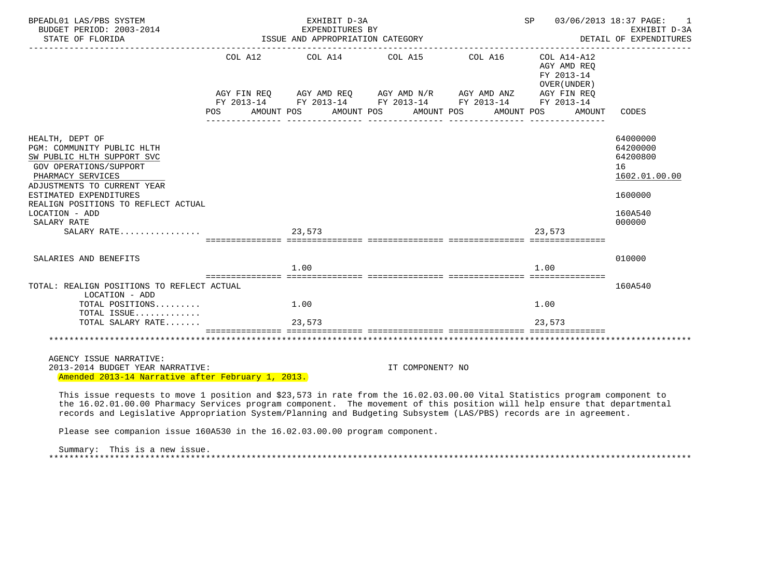| BPEADL01 LAS/PBS SYSTEM<br>BUDGET PERIOD: 2003-2014<br>STATE OF FLORIDA                                                                                          |      | EXHIBIT D-3A<br>EXPENDITURES BY<br>ISSUE AND APPROPRIATION CATEGORY |                                                                                                                                                                                               | SP         | 03/06/2013 18:37 PAGE:<br>1<br>EXHIBIT D-3A<br>DETAIL OF EXPENDITURES |                                                         |
|------------------------------------------------------------------------------------------------------------------------------------------------------------------|------|---------------------------------------------------------------------|-----------------------------------------------------------------------------------------------------------------------------------------------------------------------------------------------|------------|-----------------------------------------------------------------------|---------------------------------------------------------|
|                                                                                                                                                                  | POS. | AMOUNT POS                                                          | COL A12 COL A14 COL A15 COL A16 COL A14-A12<br>AGY FIN REQ AGY AMD REQ AGY AMD N/R AGY AMD ANZ AGY FIN REQ<br>FY 2013-14 FY 2013-14 FY 2013-14 FY 2013-14 FY 2013-14<br>AMOUNT POS AMOUNT POS | AMOUNT POS | AGY AMD REO<br>FY 2013-14<br>OVER (UNDER)<br>AMOUNT                   | CODES                                                   |
|                                                                                                                                                                  |      |                                                                     |                                                                                                                                                                                               |            |                                                                       |                                                         |
| HEALTH, DEPT OF<br>PGM: COMMUNITY PUBLIC HLTH<br>SW PUBLIC HLTH SUPPORT SVC<br><b>GOV OPERATIONS/SUPPORT</b><br>PHARMACY SERVICES<br>ADJUSTMENTS TO CURRENT YEAR |      |                                                                     |                                                                                                                                                                                               |            |                                                                       | 64000000<br>64200000<br>64200800<br>16<br>1602.01.00.00 |
| ESTIMATED EXPENDITURES                                                                                                                                           |      |                                                                     |                                                                                                                                                                                               |            |                                                                       | 1600000                                                 |
| REALIGN POSITIONS TO REFLECT ACTUAL<br>LOCATION - ADD<br>SALARY RATE                                                                                             |      |                                                                     |                                                                                                                                                                                               |            |                                                                       | 160A540<br>000000                                       |
| SALARY RATE                                                                                                                                                      |      | 23,573                                                              | stationalisest sooraalisesta asteolooleesta asteolooleesta asteolooleesta                                                                                                                     |            | 23.573                                                                |                                                         |
| SALARIES AND BENEFITS                                                                                                                                            |      |                                                                     |                                                                                                                                                                                               |            |                                                                       | 010000                                                  |
|                                                                                                                                                                  |      | 1.00                                                                |                                                                                                                                                                                               |            | 1.00                                                                  |                                                         |
| TOTAL: REALIGN POSITIONS TO REFLECT ACTUAL<br>LOCATION - ADD                                                                                                     |      |                                                                     |                                                                                                                                                                                               |            |                                                                       | 160A540                                                 |
| TOTAL POSITIONS<br>TOTAL ISSUE                                                                                                                                   |      | 1.00                                                                |                                                                                                                                                                                               |            | 1.00                                                                  |                                                         |
| TOTAL SALARY RATE                                                                                                                                                |      | 23,573                                                              |                                                                                                                                                                                               |            | 23,573                                                                |                                                         |
|                                                                                                                                                                  |      |                                                                     |                                                                                                                                                                                               |            |                                                                       |                                                         |
| AGENCY ISSUE NARRATIVE:                                                                                                                                          |      |                                                                     |                                                                                                                                                                                               |            |                                                                       |                                                         |
| 2013-2014 BUDGET YEAR NARRATIVE:                                                                                                                                 |      |                                                                     | IT COMPONENT? NO                                                                                                                                                                              |            |                                                                       |                                                         |
| Amended 2013-14 Narrative after February 1, 2013.                                                                                                                |      |                                                                     |                                                                                                                                                                                               |            |                                                                       |                                                         |
| This issue requests to move 1 position and \$23,573 in rate from the 16.02.03.00.00 Vital Statistics program component to                                        |      |                                                                     |                                                                                                                                                                                               |            |                                                                       |                                                         |
| the 16.02.01.00.00 Pharmacy Services program component. The movement of this position will help ensure that departmental                                         |      |                                                                     |                                                                                                                                                                                               |            |                                                                       |                                                         |

records and Legislative Appropriation System/Planning and Budgeting Subsystem (LAS/PBS) records are in agreement.

Please see companion issue 160A530 in the 16.02.03.00.00 program component.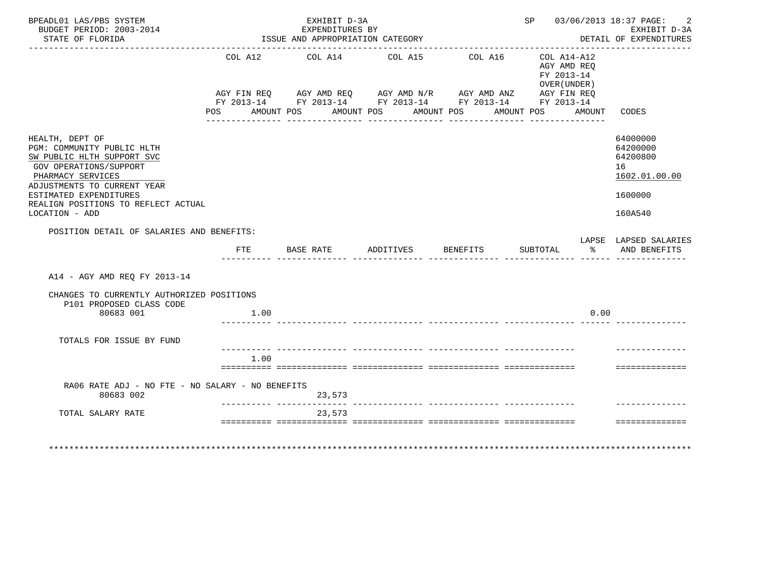| BPEADL01 LAS/PBS SYSTEM<br>BUDGET PERIOD: 2003-2014<br>STATE OF FLORIDA                                                                                   | EXHIBIT D-3A<br>EXPENDITURES BY<br>ISSUE AND APPROPRIATION CATEGORY |      |                           |                     |            |                                       |                 |  | SP 03/06/2013 18:37 PAGE:<br>-2<br>EXHIBIT D-3A<br>DETAIL OF EXPENDITURES<br><u> - - - - - - - - - - -</u>                                                             |        |                                                         |
|-----------------------------------------------------------------------------------------------------------------------------------------------------------|---------------------------------------------------------------------|------|---------------------------|---------------------|------------|---------------------------------------|-----------------|--|------------------------------------------------------------------------------------------------------------------------------------------------------------------------|--------|---------------------------------------------------------|
|                                                                                                                                                           | POS                                                                 |      | AMOUNT POS                |                     | AMOUNT POS | COL A12 COL A14 COL A15<br>AMOUNT POS | COL A16         |  | COL A14-A12<br>AGY AMD REO<br>FY 2013-14<br>OVER (UNDER)<br>AGY FIN REQ AGY AMD REQ AGY AMD N/R AGY AMD ANZ AGY FIN REQ FY 2013-14 FY 2013-14 FY 2013-14<br>AMOUNT POS | AMOUNT | CODES                                                   |
| HEALTH, DEPT OF<br>PGM: COMMUNITY PUBLIC HLTH<br>SW PUBLIC HLTH SUPPORT SVC<br>GOV OPERATIONS/SUPPORT<br>PHARMACY SERVICES<br>ADJUSTMENTS TO CURRENT YEAR |                                                                     |      |                           |                     |            |                                       |                 |  |                                                                                                                                                                        |        | 64000000<br>64200000<br>64200800<br>16<br>1602.01.00.00 |
| ESTIMATED EXPENDITURES<br>REALIGN POSITIONS TO REFLECT ACTUAL<br>LOCATION - ADD                                                                           |                                                                     |      |                           |                     |            |                                       |                 |  |                                                                                                                                                                        |        | 1600000<br>160A540                                      |
| POSITION DETAIL OF SALARIES AND BENEFITS:                                                                                                                 |                                                                     |      |                           |                     |            |                                       |                 |  |                                                                                                                                                                        |        |                                                         |
|                                                                                                                                                           | FTE                                                                 |      |                           | BASE RATE ADDITIVES |            |                                       | <b>BENEFITS</b> |  | SUBTOTAL                                                                                                                                                               | ွေ     | LAPSE LAPSED SALARIES<br>AND BENEFITS                   |
| A14 - AGY AMD REO FY 2013-14                                                                                                                              |                                                                     |      |                           |                     |            |                                       |                 |  |                                                                                                                                                                        |        |                                                         |
| CHANGES TO CURRENTLY AUTHORIZED POSITIONS                                                                                                                 |                                                                     |      |                           |                     |            |                                       |                 |  |                                                                                                                                                                        |        |                                                         |
| P101 PROPOSED CLASS CODE<br>80683 001                                                                                                                     |                                                                     | 1.00 |                           |                     |            |                                       |                 |  |                                                                                                                                                                        | 0.00   |                                                         |
| TOTALS FOR ISSUE BY FUND                                                                                                                                  |                                                                     |      |                           |                     |            |                                       |                 |  |                                                                                                                                                                        |        |                                                         |
|                                                                                                                                                           |                                                                     | 1.00 |                           |                     |            |                                       |                 |  |                                                                                                                                                                        |        | ==============                                          |
|                                                                                                                                                           |                                                                     |      |                           |                     |            |                                       |                 |  |                                                                                                                                                                        |        |                                                         |
| RA06 RATE ADJ - NO FTE - NO SALARY - NO BENEFITS<br>80683 002                                                                                             |                                                                     |      | _________________________ | 23,573              |            |                                       |                 |  |                                                                                                                                                                        |        |                                                         |
| TOTAL SALARY RATE                                                                                                                                         |                                                                     |      |                           | 23,573              |            |                                       |                 |  |                                                                                                                                                                        |        |                                                         |
|                                                                                                                                                           |                                                                     |      |                           |                     |            |                                       |                 |  |                                                                                                                                                                        |        | ---------------                                         |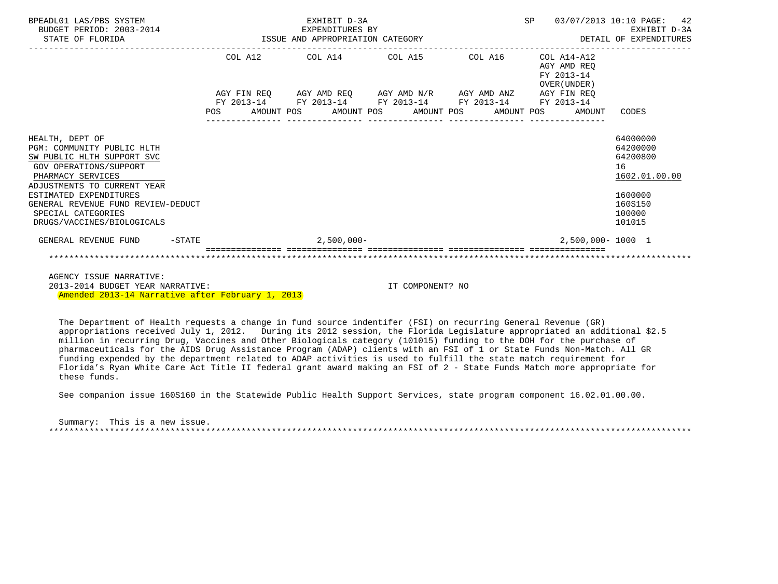| BPEADL01 LAS/PBS SYSTEM<br>BUDGET PERIOD: 2003-2014<br>STATE OF FLORIDA                                                                                                                                                                                                       |           | EXHIBIT D-3A<br>3-2014 EXPENDITURES BY<br>ISSUE AND APPROPRIATION CATEGORY |  |  |               |                                 |                                                             |  |  |  |                                                              | SP 03/07/2013 10:10 PAGE: 42<br>EXHIBIT D-3A<br>DETAIL OF EXPENDITURES                            |  |  |
|-------------------------------------------------------------------------------------------------------------------------------------------------------------------------------------------------------------------------------------------------------------------------------|-----------|----------------------------------------------------------------------------|--|--|---------------|---------------------------------|-------------------------------------------------------------|--|--|--|--------------------------------------------------------------|---------------------------------------------------------------------------------------------------|--|--|
|                                                                                                                                                                                                                                                                               |           |                                                                            |  |  |               | COL A12 COL A14 COL A15 COL A16 |                                                             |  |  |  | COL A14-A12<br>AGY AMD REO<br>FY 2013-14<br>OVER (UNDER)     |                                                                                                   |  |  |
|                                                                                                                                                                                                                                                                               |           |                                                                            |  |  |               |                                 | AGY FIN REQ AGY AMD REQ AGY AMD N/R AGY AMD ANZ AGY FIN REQ |  |  |  |                                                              |                                                                                                   |  |  |
|                                                                                                                                                                                                                                                                               |           |                                                                            |  |  |               |                                 | FY 2013-14 FY 2013-14 FY 2013-14 FY 2013-14 FY 2013-14      |  |  |  | POS AMOUNT POS AMOUNT POS AMOUNT POS AMOUNT POS AMOUNT CODES |                                                                                                   |  |  |
| HEALTH, DEPT OF<br>PGM: COMMUNITY PUBLIC HLTH<br>SW PUBLIC HLTH SUPPORT SVC<br>GOV OPERATIONS/SUPPORT<br>PHARMACY SERVICES<br>ADJUSTMENTS TO CURRENT YEAR<br>ESTIMATED EXPENDITURES<br>GENERAL REVENUE FUND REVIEW-DEDUCT<br>SPECIAL CATEGORIES<br>DRUGS/VACCINES/BIOLOGICALS |           |                                                                            |  |  |               |                                 |                                                             |  |  |  |                                                              | 64000000<br>64200000<br>64200800<br>16<br>1602.01.00.00<br>1600000<br>160S150<br>100000<br>101015 |  |  |
| GENERAL REVENUE FUND                                                                                                                                                                                                                                                          | $-$ STATE |                                                                            |  |  | $2,500,000 -$ |                                 |                                                             |  |  |  | 2,500,000-1000 1                                             |                                                                                                   |  |  |
|                                                                                                                                                                                                                                                                               |           |                                                                            |  |  |               |                                 |                                                             |  |  |  |                                                              |                                                                                                   |  |  |
| AGENCY ISSUE NARRATIVE:                                                                                                                                                                                                                                                       |           |                                                                            |  |  |               |                                 |                                                             |  |  |  |                                                              |                                                                                                   |  |  |

 2013-2014 BUDGET YEAR NARRATIVE: IT COMPONENT? NO Amended 2013-14 Narrative after February 1, 2013

 The Department of Health requests a change in fund source indentifer (FSI) on recurring General Revenue (GR) appropriations received July 1, 2012. During its 2012 session, the Florida Legislature appropriated an additional \$2.5 million in recurring Drug, Vaccines and Other Biologicals category (101015) funding to the DOH for the purchase of pharmaceuticals for the AIDS Drug Assistance Program (ADAP) clients with an FSI of 1 or State Funds Non-Match. All GR funding expended by the department related to ADAP activities is used to fulfill the state match requirement for Florida's Ryan White Care Act Title II federal grant award making an FSI of 2 - State Funds Match more appropriate for these funds.

See companion issue 160S160 in the Statewide Public Health Support Services, state program component 16.02.01.00.00.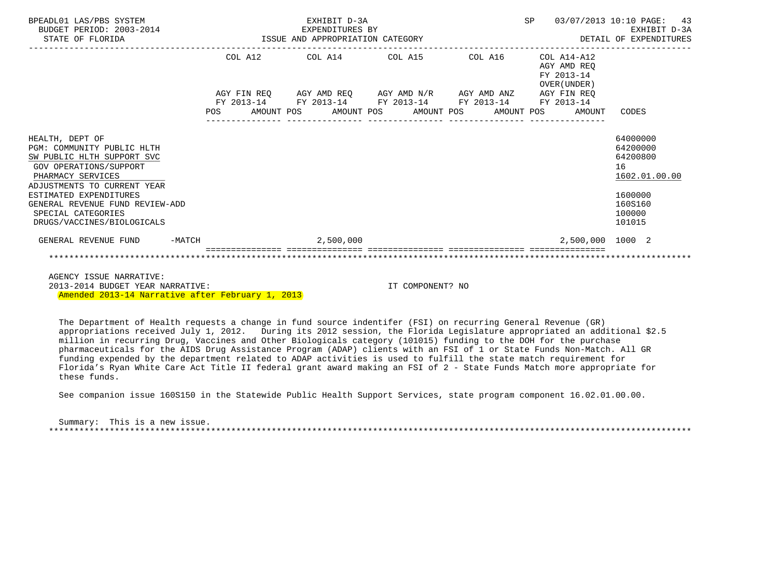| BPEADL01 LAS/PBS SYSTEM<br>BUDGET PERIOD: 2003-2014<br>STATE OF FLORIDA                                                                                   |          | EXHIBIT D-3A<br>EXPENDITURES BY<br>ISSUE AND APPROPRIATION CATEGORY |  |  |                              |  |                                                                                                                                         |  |  |  |                                                              | SP 03/07/2013 10:10 PAGE: 43<br>EXHIBIT D-3A<br>DETAIL OF EXPENDITURES |  |
|-----------------------------------------------------------------------------------------------------------------------------------------------------------|----------|---------------------------------------------------------------------|--|--|------------------------------|--|-----------------------------------------------------------------------------------------------------------------------------------------|--|--|--|--------------------------------------------------------------|------------------------------------------------------------------------|--|
|                                                                                                                                                           |          |                                                                     |  |  |                              |  | $COL A12$ $COL A14$ $COL A15$ $COL A16$ $COL A14-A12$                                                                                   |  |  |  | AGY AMD REO<br>FY 2013-14<br>OVER (UNDER)                    |                                                                        |  |
|                                                                                                                                                           |          |                                                                     |  |  |                              |  | $AGY \texttt{ FIN REQ} \qquad \texttt{AGY AMD REQ} \qquad \texttt{AGY AMD N/R} \qquad \texttt{AGY AMD ANZ} \qquad \texttt{AGY FIN REQ}$ |  |  |  |                                                              |                                                                        |  |
|                                                                                                                                                           |          |                                                                     |  |  | ---------------              |  | FY 2013-14 FY 2013-14 FY 2013-14 FY 2013-14 FY 2013-14                                                                                  |  |  |  | POS AMOUNT POS AMOUNT POS AMOUNT POS AMOUNT POS AMOUNT CODES |                                                                        |  |
| HEALTH, DEPT OF<br>PGM: COMMUNITY PUBLIC HLTH<br>SW PUBLIC HLTH SUPPORT SVC<br>GOV OPERATIONS/SUPPORT<br>PHARMACY SERVICES<br>ADJUSTMENTS TO CURRENT YEAR |          |                                                                     |  |  |                              |  |                                                                                                                                         |  |  |  |                                                              | 64000000<br>64200000<br>64200800<br>16<br>1602.01.00.00                |  |
| ESTIMATED EXPENDITURES<br>GENERAL REVENUE FUND REVIEW-ADD<br>SPECIAL CATEGORIES<br>DRUGS/VACCINES/BIOLOGICALS                                             |          |                                                                     |  |  |                              |  |                                                                                                                                         |  |  |  |                                                              | 1600000<br>160S160<br>100000<br>101015                                 |  |
| GENERAL REVENUE FUND                                                                                                                                      | $-MATCH$ |                                                                     |  |  | 2,500,000                    |  |                                                                                                                                         |  |  |  | 2,500,000 1000 2                                             |                                                                        |  |
|                                                                                                                                                           |          |                                                                     |  |  | ============================ |  |                                                                                                                                         |  |  |  |                                                              |                                                                        |  |
| AGENCY ISSUE NARRATIVE:                                                                                                                                   |          |                                                                     |  |  |                              |  |                                                                                                                                         |  |  |  |                                                              |                                                                        |  |

 2013-2014 BUDGET YEAR NARRATIVE: IT COMPONENT? NO Amended 2013-14 Narrative after February 1, 2013

 The Department of Health requests a change in fund source indentifer (FSI) on recurring General Revenue (GR) appropriations received July 1, 2012. During its 2012 session, the Florida Legislature appropriated an additional \$2.5 million in recurring Drug, Vaccines and Other Biologicals category (101015) funding to the DOH for the purchase pharmaceuticals for the AIDS Drug Assistance Program (ADAP) clients with an FSI of 1 or State Funds Non-Match. All GR funding expended by the department related to ADAP activities is used to fulfill the state match requirement for Florida's Ryan White Care Act Title II federal grant award making an FSI of 2 - State Funds Match more appropriate for these funds.

See companion issue 160S150 in the Statewide Public Health Support Services, state program component 16.02.01.00.00.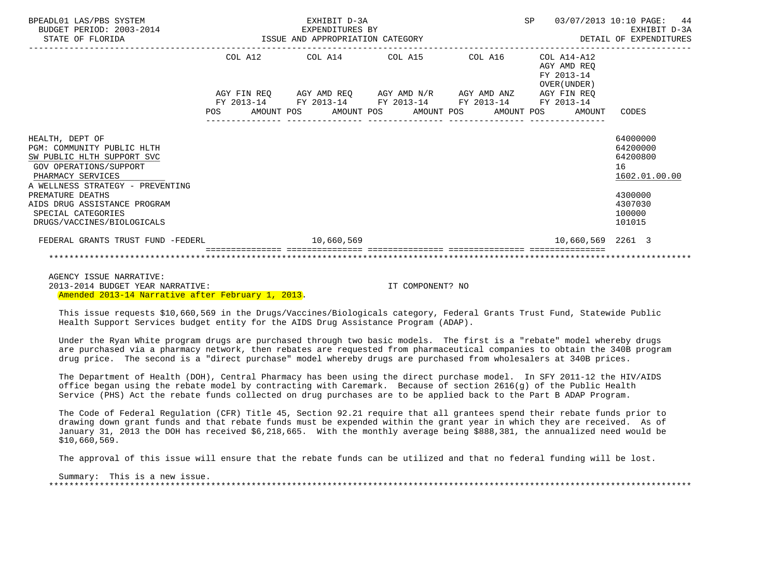| BPEADL01 LAS/PBS SYSTEM<br>BUDGET PERIOD: 2003-2014<br>STATE OF FLORIDA                                                                                                                                                                                                | EXHIBIT D-3A<br>-2014 EXPENDITURES BY<br>ISSUE AND APPROPRIATION CATEGORY |  |  |                                                                                                           |  |                                        |  |         | <b>SP</b> | 03/07/2013 10:10 PAGE:                                   |                                                                                                   | 44<br>EXHIBIT D-3A<br>DETAIL OF EXPENDITURES |
|------------------------------------------------------------------------------------------------------------------------------------------------------------------------------------------------------------------------------------------------------------------------|---------------------------------------------------------------------------|--|--|-----------------------------------------------------------------------------------------------------------|--|----------------------------------------|--|---------|-----------|----------------------------------------------------------|---------------------------------------------------------------------------------------------------|----------------------------------------------|
|                                                                                                                                                                                                                                                                        |                                                                           |  |  | COL A12 COL A14 COL A15                                                                                   |  |                                        |  | COL A16 |           | COL A14-A12<br>AGY AMD REO<br>FY 2013-14<br>OVER (UNDER) |                                                                                                   |                                              |
|                                                                                                                                                                                                                                                                        |                                                                           |  |  | AGY FIN REQ AGY AMD REQ AGY AMD N/R AGY AMD ANZ AGY FIN REQ                                               |  |                                        |  |         |           |                                                          |                                                                                                   |                                              |
|                                                                                                                                                                                                                                                                        |                                                                           |  |  | FY 2013-14 FY 2013-14 FY 2013-14 FY 2013-14 FY 2013-14<br>POS AMOUNT POS AMOUNT POS AMOUNT POS AMOUNT POS |  | ______________________________________ |  |         |           | AMOUNT                                                   | CODES                                                                                             |                                              |
| HEALTH, DEPT OF<br>PGM: COMMUNITY PUBLIC HLTH<br>SW PUBLIC HLTH SUPPORT SVC<br>GOV OPERATIONS/SUPPORT<br>PHARMACY SERVICES<br>A WELLNESS STRATEGY - PREVENTING<br>PREMATURE DEATHS<br>AIDS DRUG ASSISTANCE PROGRAM<br>SPECIAL CATEGORIES<br>DRUGS/VACCINES/BIOLOGICALS |                                                                           |  |  |                                                                                                           |  |                                        |  |         |           |                                                          | 64000000<br>64200000<br>64200800<br>16<br>1602.01.00.00<br>4300000<br>4307030<br>100000<br>101015 |                                              |
| FEDERAL GRANTS TRUST FUND -FEDERL                                                                                                                                                                                                                                      |                                                                           |  |  | 10,660,569                                                                                                |  |                                        |  |         |           | 10,660,569 2261 3                                        |                                                                                                   |                                              |
|                                                                                                                                                                                                                                                                        |                                                                           |  |  |                                                                                                           |  |                                        |  |         |           |                                                          |                                                                                                   |                                              |

 AGENCY ISSUE NARRATIVE: 2013-2014 BUDGET YEAR NARRATIVE: IT COMPONENT? NO Amended 2013-14 Narrative after February 1, 2013.

 This issue requests \$10,660,569 in the Drugs/Vaccines/Biologicals category, Federal Grants Trust Fund, Statewide Public Health Support Services budget entity for the AIDS Drug Assistance Program (ADAP).

 Under the Ryan White program drugs are purchased through two basic models. The first is a "rebate" model whereby drugs are purchased via a pharmacy network, then rebates are requested from pharmaceutical companies to obtain the 340B program drug price. The second is a "direct purchase" model whereby drugs are purchased from wholesalers at 340B prices.

 The Department of Health (DOH), Central Pharmacy has been using the direct purchase model. In SFY 2011-12 the HIV/AIDS office began using the rebate model by contracting with Caremark. Because of section 2616(g) of the Public Health Service (PHS) Act the rebate funds collected on drug purchases are to be applied back to the Part B ADAP Program.

 The Code of Federal Regulation (CFR) Title 45, Section 92.21 require that all grantees spend their rebate funds prior to drawing down grant funds and that rebate funds must be expended within the grant year in which they are received. As of January 31, 2013 the DOH has received \$6,218,665. With the monthly average being \$888,381, the annualized need would be \$10,660,569.

The approval of this issue will ensure that the rebate funds can be utilized and that no federal funding will be lost.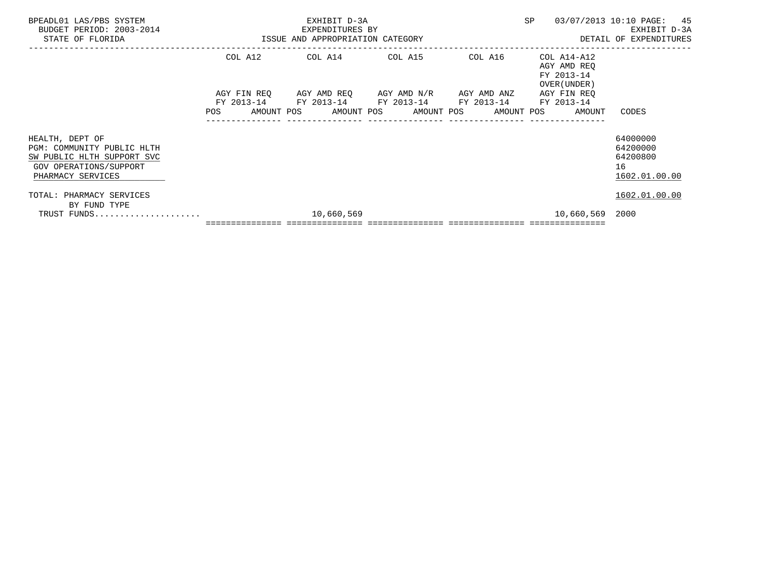| BPEADL01 LAS/PBS SYSTEM<br>BUDGET PERIOD: 2003-2014<br>STATE OF FLORIDA                                                    |                             | EXHIBIT D-3A<br>EXPENDITURES BY<br>ISSUE AND APPROPRIATION CATEGORY | SP                                                        | 03/07/2013 10:10 PAGE: 45<br>EXHIBIT D-3A<br>DETAIL OF EXPENDITURES |                                                                         |                                                         |
|----------------------------------------------------------------------------------------------------------------------------|-----------------------------|---------------------------------------------------------------------|-----------------------------------------------------------|---------------------------------------------------------------------|-------------------------------------------------------------------------|---------------------------------------------------------|
|                                                                                                                            | COL A12<br>AGY FIN REQ      | COL A14 COL A15                                                     | AGY AMD REQ AGY AMD N/R AGY AMD ANZ                       | COL A16                                                             | COL A14-A12<br>AGY AMD REQ<br>FY 2013-14<br>OVER (UNDER)<br>AGY FIN REQ |                                                         |
|                                                                                                                            | FY 2013-14<br>POS           | AMOUNT POS                                                          | FY 2013-14 FY 2013-14 FY 2013-14<br>AMOUNT POS AMOUNT POS | AMOUNT POS                                                          | FY 2013-14<br>AMOUNT                                                    | CODES                                                   |
| HEALTH, DEPT OF<br>PGM: COMMUNITY PUBLIC HLTH<br>SW PUBLIC HLTH SUPPORT SVC<br>GOV OPERATIONS/SUPPORT<br>PHARMACY SERVICES |                             |                                                                     |                                                           |                                                                     |                                                                         | 64000000<br>64200000<br>64200800<br>16<br>1602.01.00.00 |
| TOTAL: PHARMACY SERVICES<br>BY FUND TYPE<br>TRUST FUNDS                                                                    |                             | 10,660,569                                                          |                                                           |                                                                     | 10,660,569                                                              | 1602.01.00.00<br>2000                                   |
|                                                                                                                            | =========================== |                                                                     |                                                           |                                                                     |                                                                         |                                                         |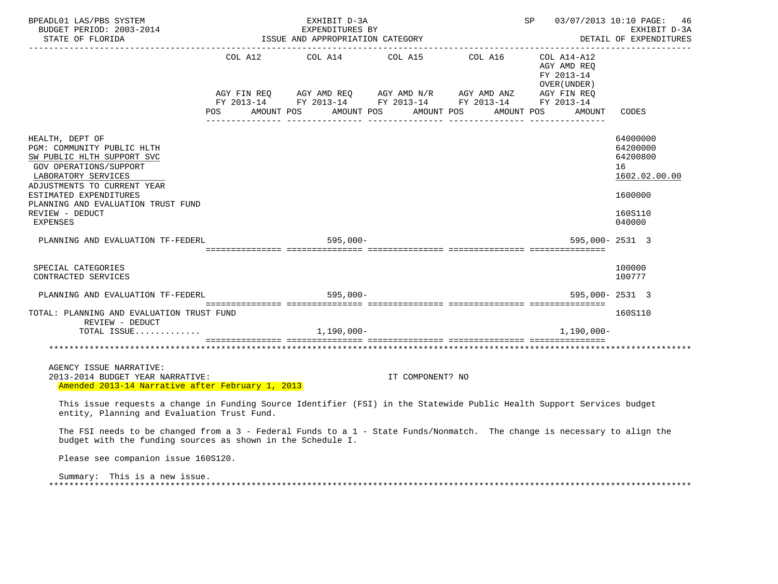| BPEADL01 LAS/PBS SYSTEM<br>BUDGET PERIOD: 2003-2014 EXPENDITURES BY<br>STATE OF FLORIDA STATE OF STATE OF STATE OF STATE OF STATE AND APPROPRIATION CATEGORY                                                                                               | EXHIBIT D-3A                                        | SP 03/07/2013 10:10 PAGE: 46 | EXHIBIT D-3A<br>DETAIL OF EXPENDITURES |                                            |                                                                                         |
|------------------------------------------------------------------------------------------------------------------------------------------------------------------------------------------------------------------------------------------------------------|-----------------------------------------------------|------------------------------|----------------------------------------|--------------------------------------------|-----------------------------------------------------------------------------------------|
|                                                                                                                                                                                                                                                            | COL A12 $COL$ A14 $COL$ A15 $COL$ A16 $COL$ A14-A12 |                              |                                        | AGY AMD REQ<br>FY 2013-14<br>OVER (UNDER ) |                                                                                         |
|                                                                                                                                                                                                                                                            |                                                     |                              |                                        |                                            | CODES                                                                                   |
| HEALTH, DEPT OF<br>PGM: COMMUNITY PUBLIC HLTH<br>SW PUBLIC HLTH SUPPORT SVC<br>GOV OPERATIONS/SUPPORT<br>LABORATORY SERVICES<br>ADJUSTMENTS TO CURRENT YEAR<br>ESTIMATED EXPENDITURES<br>PLANNING AND EVALUATION TRUST FUND<br>REVIEW - DEDUCT<br>EXPENSES |                                                     |                              |                                        |                                            | 64000000<br>64200000<br>64200800<br>16<br>1602.02.00.00<br>1600000<br>160S110<br>040000 |
| PLANNING AND EVALUATION TF-FEDERL                                                                                                                                                                                                                          | 595,000-                                            |                              |                                        | 595,000-2531 3                             |                                                                                         |
| SPECIAL CATEGORIES<br>CONTRACTED SERVICES                                                                                                                                                                                                                  |                                                     |                              |                                        |                                            | 100000<br>100777                                                                        |
| PLANNING AND EVALUATION TF-FEDERL 595,000-                                                                                                                                                                                                                 |                                                     |                              |                                        | 595,000-2531 3                             |                                                                                         |
| TOTAL: PLANNING AND EVALUATION TRUST FUND<br>REVIEW - DEDUCT<br>TOTAL ISSUE                                                                                                                                                                                | $1,190,000-$                                        |                              |                                        | 1,190,000-                                 | 160S110                                                                                 |
|                                                                                                                                                                                                                                                            |                                                     |                              |                                        |                                            |                                                                                         |
| AGENCY ISSUE NARRATIVE:<br>2013-2014 BUDGET YEAR NARRATIVE:<br>Amended 2013-14 Narrative after February 1, 2013                                                                                                                                            |                                                     | IT COMPONENT? NO             |                                        |                                            |                                                                                         |
| This issue requests a change in Funding Source Identifier (FSI) in the Statewide Public Health Support Services budget<br>entity, Planning and Evaluation Trust Fund.                                                                                      |                                                     |                              |                                        |                                            |                                                                                         |
| The FSI needs to be changed from a 3 - Federal Funds to a 1 - State Funds/Nonmatch. The change is necessary to align the<br>budget with the funding sources as shown in the Schedule I.                                                                    |                                                     |                              |                                        |                                            |                                                                                         |
| Please see companion issue 160S120.                                                                                                                                                                                                                        |                                                     |                              |                                        |                                            |                                                                                         |
| Summary: This is a new issue.                                                                                                                                                                                                                              |                                                     |                              |                                        |                                            |                                                                                         |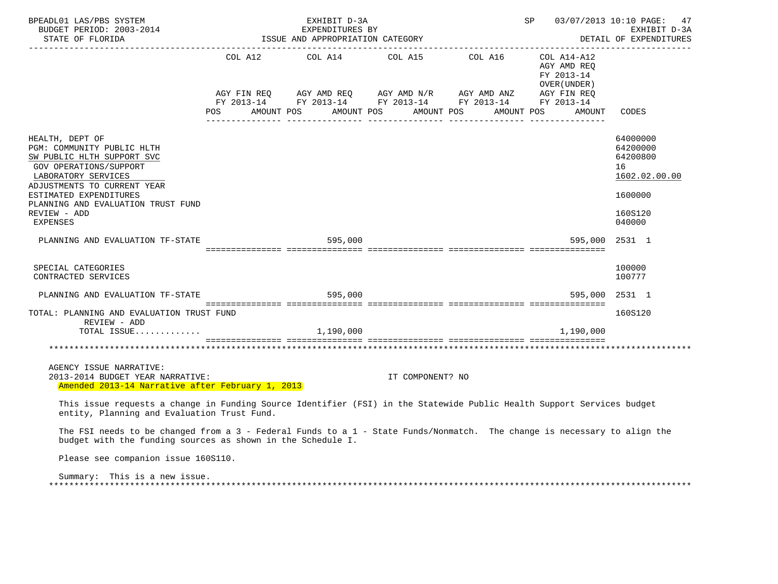| BPEADL01 LAS/PBS SYSTEM<br>BUDGET PERIOD: 2003-2014 EXPENDITURES BY<br>STATE OF FLORIDA STATE OF STATE OF STATE OF STATE OF STATES AND APPROPRIATION CATEGORY                                                                                           |                                                                            | EXHIBIT D-3A                                                                                                                                                                                                                                                                                                                                                    |                  | SP 03/07/2013 10:10 PAGE: 47<br>EXHIBIT D-3A<br>DETAIL OF EXPENDITURES |                                                                                         |
|---------------------------------------------------------------------------------------------------------------------------------------------------------------------------------------------------------------------------------------------------------|----------------------------------------------------------------------------|-----------------------------------------------------------------------------------------------------------------------------------------------------------------------------------------------------------------------------------------------------------------------------------------------------------------------------------------------------------------|------------------|------------------------------------------------------------------------|-----------------------------------------------------------------------------------------|
|                                                                                                                                                                                                                                                         |                                                                            | $\begin{tabular}{lllllllllll} \multicolumn{2}{l}{{\text{COL A14}} } & \multicolumn{2}{c}{\text{COL A15}} & \multicolumn{2}{c}{\text{COL A16}} & \multicolumn{2}{c}{\text{COL A14-A12}}\\ \multicolumn{2}{c}{\text{COL A14}} & \multicolumn{2}{c}{\text{COL A15}} & \multicolumn{2}{c}{\text{COL A16}} & \multicolumn{2}{c}{\text{COL A14-A12}}\\ \end{tabular}$ |                  | AGY AMD REQ<br>FY 2013-14<br>OVER ( UNDER )                            |                                                                                         |
|                                                                                                                                                                                                                                                         |                                                                            |                                                                                                                                                                                                                                                                                                                                                                 |                  |                                                                        | CODES                                                                                   |
| HEALTH, DEPT OF<br>PGM: COMMUNITY PUBLIC HLTH<br>SW PUBLIC HLTH SUPPORT SVC<br>GOV OPERATIONS/SUPPORT<br>LABORATORY SERVICES<br>ADJUSTMENTS TO CURRENT YEAR<br>ESTIMATED EXPENDITURES<br>PLANNING AND EVALUATION TRUST FUND<br>REVIEW - ADD<br>EXPENSES |                                                                            |                                                                                                                                                                                                                                                                                                                                                                 |                  |                                                                        | 64000000<br>64200000<br>64200800<br>16<br>1602.02.00.00<br>1600000<br>160S120<br>040000 |
| PLANNING AND EVALUATION TF-STATE                                                                                                                                                                                                                        | adoodoodoodood adoodoodoodood adoodoodoodood adoodoodoodood adoodoodoodood | 595,000                                                                                                                                                                                                                                                                                                                                                         |                  | 595,000                                                                | 2531 1                                                                                  |
| SPECIAL CATEGORIES<br>CONTRACTED SERVICES                                                                                                                                                                                                               |                                                                            |                                                                                                                                                                                                                                                                                                                                                                 |                  |                                                                        | 100000<br>100777                                                                        |
| PLANNING AND EVALUATION TF-STATE 595,000                                                                                                                                                                                                                |                                                                            |                                                                                                                                                                                                                                                                                                                                                                 |                  | 595,000                                                                | 2531 1                                                                                  |
| TOTAL: PLANNING AND EVALUATION TRUST FUND<br>REVIEW - ADD                                                                                                                                                                                               |                                                                            |                                                                                                                                                                                                                                                                                                                                                                 |                  |                                                                        | 160S120                                                                                 |
| TOTAL ISSUE                                                                                                                                                                                                                                             |                                                                            | 1,190,000                                                                                                                                                                                                                                                                                                                                                       |                  | 1,190,000                                                              |                                                                                         |
| AGENCY ISSUE NARRATIVE:<br>2013-2014 BUDGET YEAR NARRATIVE:<br>Amended 2013-14 Narrative after February 1, 2013                                                                                                                                         |                                                                            |                                                                                                                                                                                                                                                                                                                                                                 | IT COMPONENT? NO |                                                                        |                                                                                         |
| This issue requests a change in Funding Source Identifier (FSI) in the Statewide Public Health Support Services budget<br>entity, Planning and Evaluation Trust Fund.                                                                                   |                                                                            |                                                                                                                                                                                                                                                                                                                                                                 |                  |                                                                        |                                                                                         |
| The FSI needs to be changed from a 3 - Federal Funds to a 1 - State Funds/Nonmatch. The change is necessary to align the<br>budget with the funding sources as shown in the Schedule I.                                                                 |                                                                            |                                                                                                                                                                                                                                                                                                                                                                 |                  |                                                                        |                                                                                         |
| Please see companion issue 160S110.                                                                                                                                                                                                                     |                                                                            |                                                                                                                                                                                                                                                                                                                                                                 |                  |                                                                        |                                                                                         |
| Summary: This is a new issue.                                                                                                                                                                                                                           |                                                                            |                                                                                                                                                                                                                                                                                                                                                                 |                  |                                                                        |                                                                                         |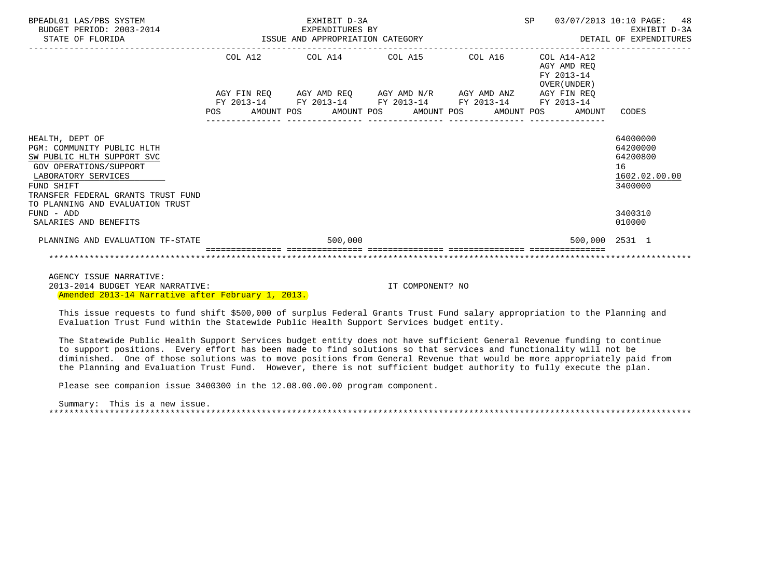| BPEADL01 LAS/PBS SYSTEM<br>BUDGET PERIOD: 2003-2014<br>STATE OF FLORIDA                                                                                                                                                     |                       | EXHIBIT D-3A<br>EXPENDITURES BY<br>ISSUE AND APPROPRIATION CATEGORY                                    | <b>SP</b><br>03/07/2013 10:10 PAGE: | 48<br>EXHIBIT D-3A<br>DETAIL OF EXPENDITURES |                                                                         |                                                                    |
|-----------------------------------------------------------------------------------------------------------------------------------------------------------------------------------------------------------------------------|-----------------------|--------------------------------------------------------------------------------------------------------|-------------------------------------|----------------------------------------------|-------------------------------------------------------------------------|--------------------------------------------------------------------|
|                                                                                                                                                                                                                             | COL A12<br>FY 2013-14 | COL A14 COL A15<br>AGY FIN REQ 6GY AMD REQ 6GY AMD N/R 6GY AMD ANZ<br>FY 2013-14 FY 2013-14 FY 2013-14 |                                     | COL A16                                      | COL A14-A12<br>AGY AMD REO<br>FY 2013-14<br>OVER (UNDER)<br>AGY FIN REO |                                                                    |
|                                                                                                                                                                                                                             | <b>POS</b>            | AMOUNT POS<br>AMOUNT POS                                                                               | AMOUNT POS                          | AMOUNT POS                                   | FY 2013-14<br>AMOUNT                                                    | CODES                                                              |
| HEALTH, DEPT OF<br>PGM: COMMUNITY PUBLIC HLTH<br>SW PUBLIC HLTH SUPPORT SVC<br><b>GOV OPERATIONS/SUPPORT</b><br>LABORATORY SERVICES<br>FUND SHIFT<br>TRANSFER FEDERAL GRANTS TRUST FUND<br>TO PLANNING AND EVALUATION TRUST |                       |                                                                                                        |                                     |                                              |                                                                         | 64000000<br>64200000<br>64200800<br>16<br>1602.02.00.00<br>3400000 |
| $FUND - ADD$<br>SALARIES AND BENEFITS                                                                                                                                                                                       |                       |                                                                                                        |                                     |                                              |                                                                         | 3400310<br>010000                                                  |
| PLANNING AND EVALUATION TF-STATE                                                                                                                                                                                            |                       | 500,000                                                                                                |                                     |                                              | 500,000 2531 1                                                          |                                                                    |
|                                                                                                                                                                                                                             |                       |                                                                                                        |                                     |                                              |                                                                         |                                                                    |

 AGENCY ISSUE NARRATIVE: 2013-2014 BUDGET YEAR NARRATIVE: IT COMPONENT? NO Amended 2013-14 Narrative after February 1, 2013.

 This issue requests to fund shift \$500,000 of surplus Federal Grants Trust Fund salary appropriation to the Planning and Evaluation Trust Fund within the Statewide Public Health Support Services budget entity.

 The Statewide Public Health Support Services budget entity does not have sufficient General Revenue funding to continue to support positions. Every effort has been made to find solutions so that services and functionality will not be diminished. One of those solutions was to move positions from General Revenue that would be more appropriately paid from the Planning and Evaluation Trust Fund. However, there is not sufficient budget authority to fully execute the plan.

Please see companion issue 3400300 in the 12.08.00.00.00 program component.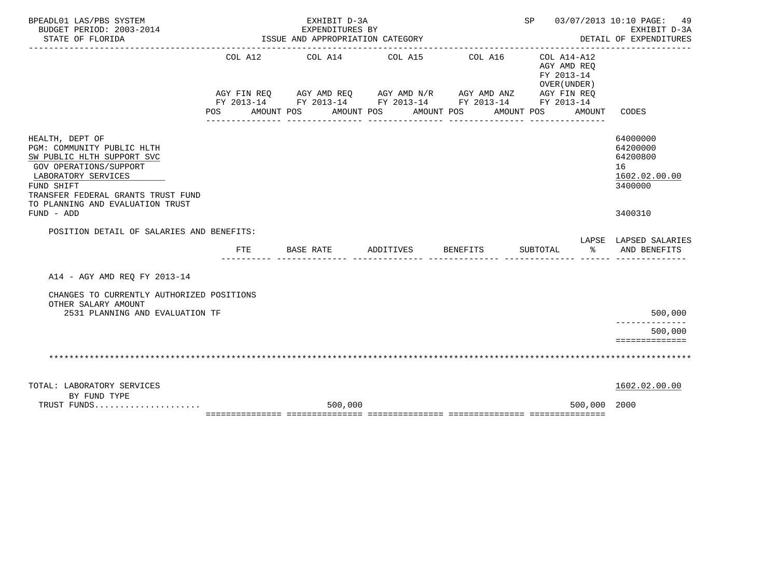| BPEADL01 LAS/PBS SYSTEM<br>BUDGET PERIOD: 2003-2014                                                                                                                              |            | EXHIBIT D-3A<br>EXPENDITURES BY<br>ISSUE AND APPROPRIATION CATEGORY |                               |                                                                                                                                                | SP 03/07/2013 10:10 PAGE: 49                                                     | EXHIBIT D-3A                                                       |
|----------------------------------------------------------------------------------------------------------------------------------------------------------------------------------|------------|---------------------------------------------------------------------|-------------------------------|------------------------------------------------------------------------------------------------------------------------------------------------|----------------------------------------------------------------------------------|--------------------------------------------------------------------|
| STATE OF FLORIDA                                                                                                                                                                 |            |                                                                     |                               |                                                                                                                                                |                                                                                  | DETAIL OF EXPENDITURES                                             |
|                                                                                                                                                                                  | POS FOR    | COL A12 COL A14 COL A15<br>AMOUNT POS                               | AMOUNT POS<br>_______________ | COL A16<br>AGY FIN REQ AGY AMD REQ AGY AMD N/R AGY AMD ANZ AGY FIN REQ<br>FY 2013-14 FY 2013-14 FY 2013-14 FY 2013-14 FY 2013-14<br>AMOUNT POS | COL A14-A12<br>AGY AMD REO<br>FY 2013-14<br>OVER (UNDER)<br>AMOUNT POS<br>AMOUNT | CODES                                                              |
| HEALTH, DEPT OF<br>PGM: COMMUNITY PUBLIC HLTH<br>SW PUBLIC HLTH SUPPORT SVC<br>GOV OPERATIONS/SUPPORT<br>LABORATORY SERVICES<br>FUND SHIFT<br>TRANSFER FEDERAL GRANTS TRUST FUND |            |                                                                     |                               |                                                                                                                                                |                                                                                  | 64000000<br>64200000<br>64200800<br>16<br>1602.02.00.00<br>3400000 |
| TO PLANNING AND EVALUATION TRUST<br>FUND - ADD                                                                                                                                   |            |                                                                     |                               |                                                                                                                                                |                                                                                  | 3400310                                                            |
| POSITION DETAIL OF SALARIES AND BENEFITS:                                                                                                                                        |            |                                                                     |                               |                                                                                                                                                |                                                                                  |                                                                    |
|                                                                                                                                                                                  | <b>FTE</b> |                                                                     | BASE RATE ADDITIVES BENEFITS  |                                                                                                                                                | SUBTOTAL<br>$rac{1}{6}$                                                          | LAPSE LAPSED SALARIES<br>AND BENEFITS                              |
| A14 - AGY AMD REQ FY 2013-14                                                                                                                                                     |            |                                                                     |                               |                                                                                                                                                |                                                                                  |                                                                    |
| CHANGES TO CURRENTLY AUTHORIZED POSITIONS<br>OTHER SALARY AMOUNT                                                                                                                 |            |                                                                     |                               |                                                                                                                                                |                                                                                  |                                                                    |
| 2531 PLANNING AND EVALUATION TF                                                                                                                                                  |            |                                                                     |                               |                                                                                                                                                |                                                                                  | 500,000                                                            |
|                                                                                                                                                                                  |            |                                                                     |                               |                                                                                                                                                |                                                                                  | 500,000<br>==============                                          |
|                                                                                                                                                                                  |            |                                                                     |                               |                                                                                                                                                |                                                                                  |                                                                    |
| TOTAL: LABORATORY SERVICES<br>BY FUND TYPE                                                                                                                                       |            |                                                                     |                               |                                                                                                                                                |                                                                                  | 1602.02.00.00                                                      |
| TRUST FUNDS                                                                                                                                                                      |            | 500,000                                                             |                               |                                                                                                                                                | 500,000 2000                                                                     |                                                                    |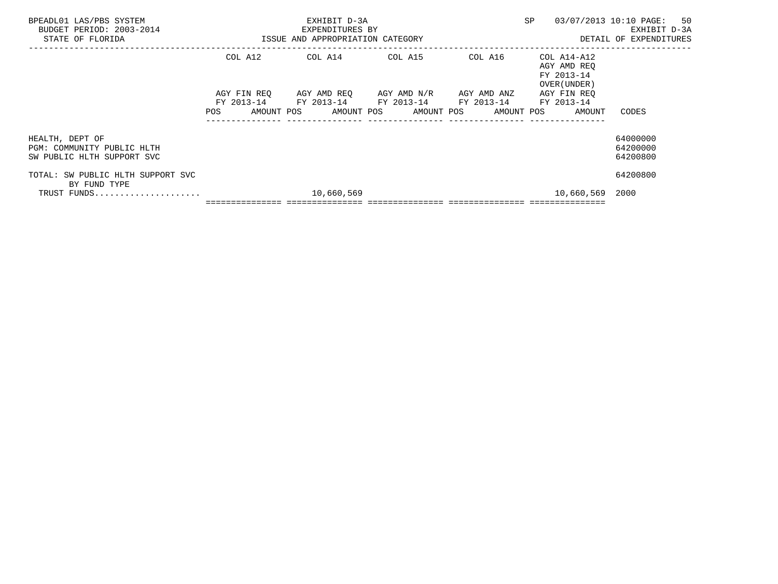| BPEADL01 LAS/PBS SYSTEM<br>BUDGET PERIOD: 2003-2014<br>STATE OF FLORIDA     | ISSUE AND APPROPRIATION CATEGORY | EXHIBIT D-3A<br>EXPENDITURES BY | SP                                          | 03/07/2013 10:10 PAGE: 50<br>EXHIBIT D-3A<br>DETAIL OF EXPENDITURES                                   |                                                          |                                  |
|-----------------------------------------------------------------------------|----------------------------------|---------------------------------|---------------------------------------------|-------------------------------------------------------------------------------------------------------|----------------------------------------------------------|----------------------------------|
|                                                                             | COL A12                          | COL A14 COL A15                 |                                             | COL A16                                                                                               | COL A14-A12<br>AGY AMD REO<br>FY 2013-14<br>OVER (UNDER) |                                  |
|                                                                             | AGY FIN REO<br>FY 2013-14        |                                 | AGY AMD REO     AGY AMD N/R     AGY AMD ANZ | FY 2013-14 FY 2013-14 FY 2013-14 FY 2013-14<br>POS AMOUNT POS AMOUNT POS AMOUNT POS AMOUNT POS AMOUNT | AGY FIN REO                                              | CODES                            |
| HEALTH, DEPT OF<br>PGM: COMMUNITY PUBLIC HLTH<br>SW PUBLIC HLTH SUPPORT SVC |                                  |                                 |                                             |                                                                                                       |                                                          | 64000000<br>64200000<br>64200800 |
| TOTAL: SW PUBLIC HLTH SUPPORT SVC<br>BY FUND TYPE                           |                                  |                                 |                                             |                                                                                                       |                                                          | 64200800                         |
| TRUST FUNDS                                                                 |                                  | 10,660,569                      |                                             |                                                                                                       | 10,660,569                                               | 2000                             |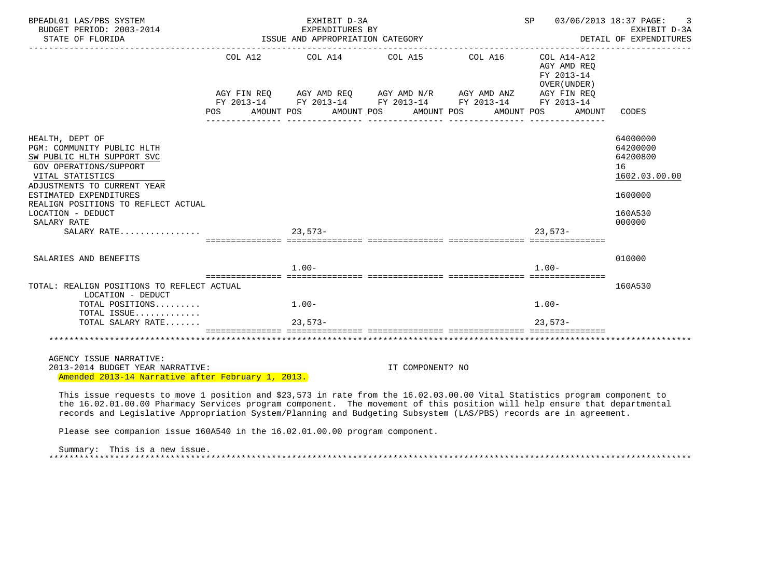| BPEADL01 LAS/PBS SYSTEM<br>BUDGET PERIOD: 2003-2014<br>STATE OF FLORIDA                                                                                                                                                                                                                                                                                                    | EXHIBIT D-3A<br>EXPENDITURES BY<br>ISSUE AND APPROPRIATION CATEGORY | 03/06/2013 18:37 PAGE:<br>SP<br>3<br>EXHIBIT D-3A<br>DETAIL OF EXPENDITURES                                                                                                                      |                                                                                  |                                                                                         |
|----------------------------------------------------------------------------------------------------------------------------------------------------------------------------------------------------------------------------------------------------------------------------------------------------------------------------------------------------------------------------|---------------------------------------------------------------------|--------------------------------------------------------------------------------------------------------------------------------------------------------------------------------------------------|----------------------------------------------------------------------------------|-----------------------------------------------------------------------------------------|
|                                                                                                                                                                                                                                                                                                                                                                            |                                                                     | COL A12 COL A14 COL A15 COL A16 COL A14-A12<br>AGY FIN REQ AGY AMD REQ AGY AMD N/R AGY AMD ANZ<br>FY 2013-14 FY 2013-14 FY 2013-14 FY 2013-14 FY 2013-14<br>POS AMOUNT POS AMOUNT POS AMOUNT POS | AGY AMD REO<br>FY 2013-14<br>OVER (UNDER)<br>AGY FIN REQ<br>AMOUNT POS<br>AMOUNT | CODES                                                                                   |
| HEALTH, DEPT OF<br>PGM: COMMUNITY PUBLIC HLTH<br>SW PUBLIC HLTH SUPPORT SVC<br>GOV OPERATIONS/SUPPORT<br>VITAL STATISTICS<br>ADJUSTMENTS TO CURRENT YEAR<br>ESTIMATED EXPENDITURES<br>REALIGN POSITIONS TO REFLECT ACTUAL<br>LOCATION - DEDUCT<br>SALARY RATE                                                                                                              |                                                                     |                                                                                                                                                                                                  |                                                                                  | 64000000<br>64200000<br>64200800<br>16<br>1602.03.00.00<br>1600000<br>160A530<br>000000 |
|                                                                                                                                                                                                                                                                                                                                                                            |                                                                     |                                                                                                                                                                                                  | $23.573-$                                                                        |                                                                                         |
| SALARIES AND BENEFITS                                                                                                                                                                                                                                                                                                                                                      | $1.00 -$                                                            |                                                                                                                                                                                                  | $1.00 -$                                                                         | 010000                                                                                  |
| TOTAL: REALIGN POSITIONS TO REFLECT ACTUAL<br>LOCATION - DEDUCT                                                                                                                                                                                                                                                                                                            |                                                                     |                                                                                                                                                                                                  |                                                                                  | 160A530                                                                                 |
| TOTAL POSITIONS<br>TOTAL ISSUE                                                                                                                                                                                                                                                                                                                                             | $1.00 -$                                                            |                                                                                                                                                                                                  | $1.00 -$                                                                         |                                                                                         |
| TOTAL SALARY RATE                                                                                                                                                                                                                                                                                                                                                          | $23.573-$                                                           |                                                                                                                                                                                                  | $23.573-$                                                                        |                                                                                         |
|                                                                                                                                                                                                                                                                                                                                                                            |                                                                     |                                                                                                                                                                                                  |                                                                                  |                                                                                         |
| AGENCY ISSUE NARRATIVE:<br>2013-2014 BUDGET YEAR NARRATIVE:<br>Amended 2013-14 Narrative after February 1, 2013.                                                                                                                                                                                                                                                           |                                                                     | IT COMPONENT? NO                                                                                                                                                                                 |                                                                                  |                                                                                         |
| This issue requests to move 1 position and \$23,573 in rate from the 16.02.03.00.00 Vital Statistics program component to<br>the 16.02.01.00.00 Pharmacy Services program component. The movement of this position will help ensure that departmental<br>records and Legislative Appropriation System/Planning and Budgeting Subsystem (LAS/PBS) records are in agreement. |                                                                     |                                                                                                                                                                                                  |                                                                                  |                                                                                         |

Please see companion issue 160A540 in the 16.02.01.00.00 program component.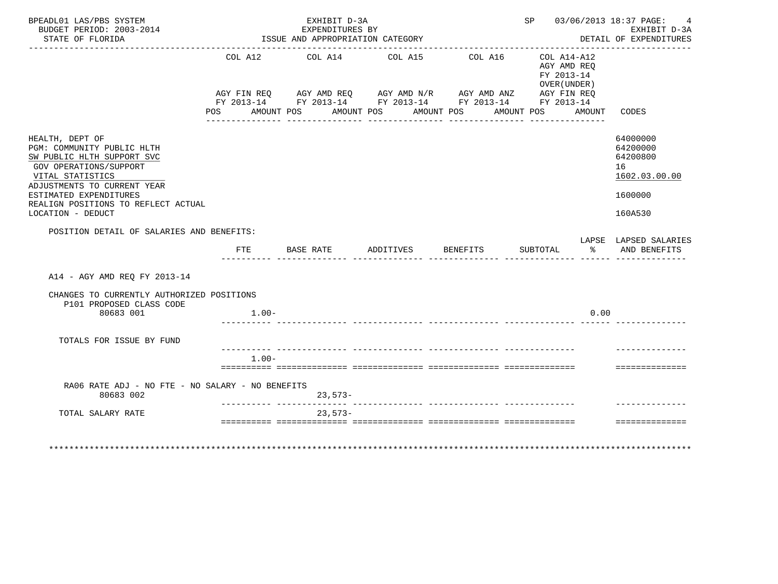| BPEADL01 LAS/PBS SYSTEM<br>BUDGET PERIOD: 2003-2014<br>STATE OF FLORIDA                                                                                  |                    | EXHIBIT D-3A<br>EXPENDITURES BY<br>ISSUE AND APPROPRIATION CATEGORY                                                                   |                          |                       | SP 03/06/2013 18:37 PAGE:                                          | 4<br>EXHIBIT D-3A<br>DETAIL OF EXPENDITURES<br>والمامات والمامات والماد |
|----------------------------------------------------------------------------------------------------------------------------------------------------------|--------------------|---------------------------------------------------------------------------------------------------------------------------------------|--------------------------|-----------------------|--------------------------------------------------------------------|-------------------------------------------------------------------------|
|                                                                                                                                                          | AGY FIN REQ<br>POS | COL A12 COL A14 COL A15<br>AGY FIN REQ AGY AMD REQ AGY AMD N/R AGY AMD ANZ AGY FIN REQ FY 2013-14 FY 2013-14 FY 2013-14<br>AMOUNT POS | AMOUNT POS<br>AMOUNT POS | COL A16<br>AMOUNT POS | COL A14-A12<br>AGY AMD REQ<br>FY 2013-14<br>OVER (UNDER)<br>AMOUNT | CODES                                                                   |
| HEALTH, DEPT OF<br>PGM: COMMUNITY PUBLIC HLTH<br>SW PUBLIC HLTH SUPPORT SVC<br>GOV OPERATIONS/SUPPORT<br>VITAL STATISTICS<br>ADJUSTMENTS TO CURRENT YEAR |                    |                                                                                                                                       |                          |                       |                                                                    | 64000000<br>64200000<br>64200800<br>16<br>1602.03.00.00                 |
| ESTIMATED EXPENDITURES<br>REALIGN POSITIONS TO REFLECT ACTUAL<br>LOCATION - DEDUCT                                                                       |                    |                                                                                                                                       |                          |                       |                                                                    | 1600000<br>160A530                                                      |
| POSITION DETAIL OF SALARIES AND BENEFITS:                                                                                                                |                    |                                                                                                                                       |                          |                       |                                                                    |                                                                         |
|                                                                                                                                                          | FTE                | BASE RATE ADDITIVES BENEFITS                                                                                                          |                          |                       | SUBTOTAL % AND BENEFITS                                            | LAPSE LAPSED SALARIES                                                   |
| A14 - AGY AMD REO FY 2013-14                                                                                                                             |                    |                                                                                                                                       |                          |                       |                                                                    |                                                                         |
| CHANGES TO CURRENTLY AUTHORIZED POSITIONS                                                                                                                |                    |                                                                                                                                       |                          |                       |                                                                    |                                                                         |
| P101 PROPOSED CLASS CODE<br>80683 001                                                                                                                    | $1.00-$            |                                                                                                                                       |                          |                       | 0.00                                                               |                                                                         |
| TOTALS FOR ISSUE BY FUND                                                                                                                                 |                    |                                                                                                                                       |                          |                       |                                                                    |                                                                         |
|                                                                                                                                                          | $1.00 -$           |                                                                                                                                       |                          |                       |                                                                    | ==============                                                          |
|                                                                                                                                                          |                    |                                                                                                                                       |                          |                       |                                                                    |                                                                         |
| RA06 RATE ADJ - NO FTE - NO SALARY - NO BENEFITS<br>80683 002                                                                                            |                    | 23,573-                                                                                                                               |                          |                       |                                                                    |                                                                         |
| TOTAL SALARY RATE                                                                                                                                        |                    | $23,573-$                                                                                                                             |                          |                       |                                                                    |                                                                         |
|                                                                                                                                                          |                    |                                                                                                                                       |                          |                       |                                                                    |                                                                         |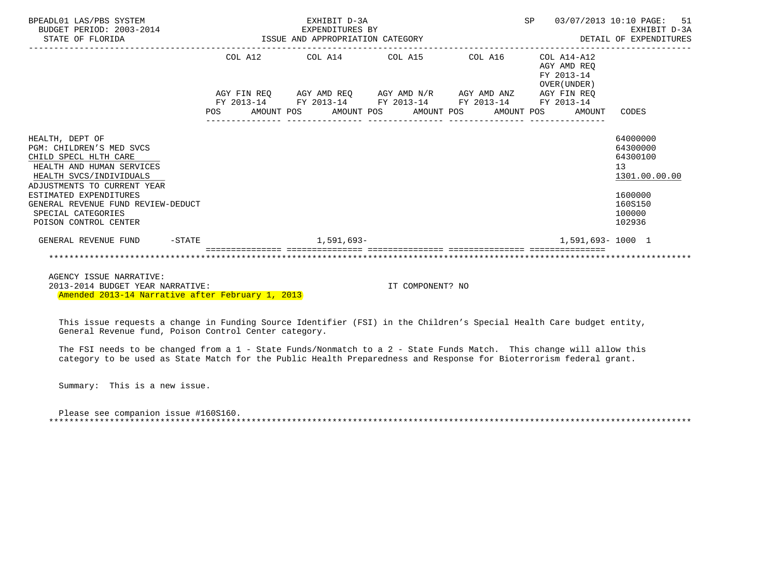| BPEADL01 LAS/PBS SYSTEM                                                                                                                                                                                                                                                    | EXHIBIT D-3A |  |  |                                                             |  |  |  |  |                                                              | SP 03/07/2013 10:10 PAGE: 51<br>EXHIBIT D-3A<br>DETAIL OF EXPENDITURES                            |
|----------------------------------------------------------------------------------------------------------------------------------------------------------------------------------------------------------------------------------------------------------------------------|--------------|--|--|-------------------------------------------------------------|--|--|--|--|--------------------------------------------------------------|---------------------------------------------------------------------------------------------------|
|                                                                                                                                                                                                                                                                            |              |  |  | COL A12 COL A14 COL A15 COL A16                             |  |  |  |  | COL A14-A12<br>AGY AMD REO<br>FY 2013-14<br>OVER (UNDER )    |                                                                                                   |
|                                                                                                                                                                                                                                                                            |              |  |  | AGY FIN REQ AGY AMD REQ AGY AMD N/R AGY AMD ANZ AGY FIN REQ |  |  |  |  |                                                              |                                                                                                   |
|                                                                                                                                                                                                                                                                            |              |  |  | FY 2013-14 FY 2013-14 FY 2013-14 FY 2013-14 FY 2013-14      |  |  |  |  |                                                              |                                                                                                   |
|                                                                                                                                                                                                                                                                            |              |  |  | ________________                                            |  |  |  |  | POS AMOUNT POS AMOUNT POS AMOUNT POS AMOUNT POS AMOUNT CODES |                                                                                                   |
| HEALTH, DEPT OF<br>PGM: CHILDREN'S MED SVCS<br>CHILD SPECL HLTH CARE<br>HEALTH AND HUMAN SERVICES<br>HEALTH SVCS/INDIVIDUALS<br>ADJUSTMENTS TO CURRENT YEAR<br>ESTIMATED EXPENDITURES<br>GENERAL REVENUE FUND REVIEW-DEDUCT<br>SPECIAL CATEGORIES<br>POISON CONTROL CENTER |              |  |  |                                                             |  |  |  |  |                                                              | 64000000<br>64300000<br>64300100<br>13<br>1301.00.00.00<br>1600000<br>160S150<br>100000<br>102936 |
| GENERAL REVENUE FUND -STATE                                                                                                                                                                                                                                                |              |  |  | $1,591,693-$                                                |  |  |  |  | 1,591,693-1000 1                                             |                                                                                                   |
|                                                                                                                                                                                                                                                                            |              |  |  |                                                             |  |  |  |  |                                                              |                                                                                                   |
| AGENCY ISSUE NARRATIVE:                                                                                                                                                                                                                                                    |              |  |  |                                                             |  |  |  |  |                                                              |                                                                                                   |

 2013-2014 BUDGET YEAR NARRATIVE: IT COMPONENT? NO Amended 2013-14 Narrative after February 1, 2013

 This issue requests a change in Funding Source Identifier (FSI) in the Children's Special Health Care budget entity, General Revenue fund, Poison Control Center category.

 The FSI needs to be changed from a 1 - State Funds/Nonmatch to a 2 - State Funds Match. This change will allow this category to be used as State Match for the Public Health Preparedness and Response for Bioterrorism federal grant.

Summary: This is a new issue.

 Please see companion issue #160S160. \*\*\*\*\*\*\*\*\*\*\*\*\*\*\*\*\*\*\*\*\*\*\*\*\*\*\*\*\*\*\*\*\*\*\*\*\*\*\*\*\*\*\*\*\*\*\*\*\*\*\*\*\*\*\*\*\*\*\*\*\*\*\*\*\*\*\*\*\*\*\*\*\*\*\*\*\*\*\*\*\*\*\*\*\*\*\*\*\*\*\*\*\*\*\*\*\*\*\*\*\*\*\*\*\*\*\*\*\*\*\*\*\*\*\*\*\*\*\*\*\*\*\*\*\*\*\*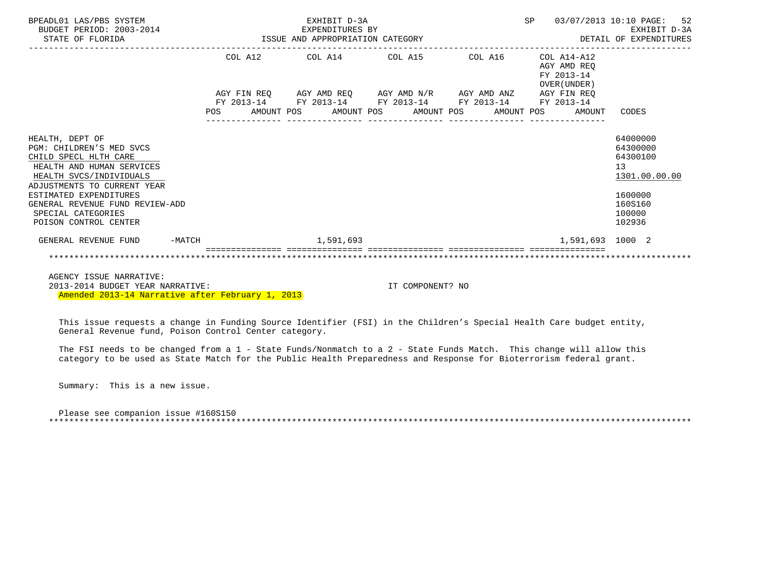| BPEADL01 LAS/PBS SYSTEM<br>BUDGET PERIOD: 2003-2014<br>STATE OF FLORIDA                                                                 | EXHIBIT D-3A |  |  |                                                             |  |                                        |  |  |                                                              | SP 03/07/2013 10:10 PAGE: 52                            |
|-----------------------------------------------------------------------------------------------------------------------------------------|--------------|--|--|-------------------------------------------------------------|--|----------------------------------------|--|--|--------------------------------------------------------------|---------------------------------------------------------|
|                                                                                                                                         |              |  |  | COL A12 COL A14 COL A15 COL A16 COL A14-A12                 |  |                                        |  |  | AGY AMD REO<br>FY 2013-14<br>OVER (UNDER)                    |                                                         |
|                                                                                                                                         |              |  |  | AGY FIN REQ AGY AMD REQ AGY AMD N/R AGY AMD ANZ AGY FIN REQ |  |                                        |  |  |                                                              |                                                         |
|                                                                                                                                         |              |  |  | FY 2013-14 FY 2013-14 FY 2013-14 FY 2013-14 FY 2013-14      |  | ______________________________________ |  |  | POS AMOUNT POS AMOUNT POS AMOUNT POS AMOUNT POS AMOUNT CODES |                                                         |
| HEALTH, DEPT OF<br>PGM: CHILDREN'S MED SVCS<br>CHILD SPECL HLTH CARE<br>HEALTH AND HUMAN SERVICES<br>HEALTH SVCS/INDIVIDUALS            |              |  |  |                                                             |  |                                        |  |  |                                                              | 64000000<br>64300000<br>64300100<br>13<br>1301.00.00.00 |
| ADJUSTMENTS TO CURRENT YEAR<br>ESTIMATED EXPENDITURES<br>GENERAL REVENUE FUND REVIEW-ADD<br>SPECIAL CATEGORIES<br>POISON CONTROL CENTER |              |  |  |                                                             |  |                                        |  |  |                                                              | 1600000<br>160S160<br>100000<br>102936                  |
| GENERAL REVENUE FUND -MATCH                                                                                                             |              |  |  | 1,591,693                                                   |  |                                        |  |  | 1,591,693 1000 2                                             |                                                         |
|                                                                                                                                         |              |  |  |                                                             |  |                                        |  |  |                                                              |                                                         |
| AGENCY ISSUE NARRATIVE:                                                                                                                 |              |  |  |                                                             |  |                                        |  |  |                                                              |                                                         |

 2013-2014 BUDGET YEAR NARRATIVE: IT COMPONENT? NO Amended 2013-14 Narrative after February 1, 2013

 This issue requests a change in Funding Source Identifier (FSI) in the Children's Special Health Care budget entity, General Revenue fund, Poison Control Center category.

 The FSI needs to be changed from a 1 - State Funds/Nonmatch to a 2 - State Funds Match. This change will allow this category to be used as State Match for the Public Health Preparedness and Response for Bioterrorism federal grant.

Summary: This is a new issue.

 Please see companion issue #160S150 \*\*\*\*\*\*\*\*\*\*\*\*\*\*\*\*\*\*\*\*\*\*\*\*\*\*\*\*\*\*\*\*\*\*\*\*\*\*\*\*\*\*\*\*\*\*\*\*\*\*\*\*\*\*\*\*\*\*\*\*\*\*\*\*\*\*\*\*\*\*\*\*\*\*\*\*\*\*\*\*\*\*\*\*\*\*\*\*\*\*\*\*\*\*\*\*\*\*\*\*\*\*\*\*\*\*\*\*\*\*\*\*\*\*\*\*\*\*\*\*\*\*\*\*\*\*\*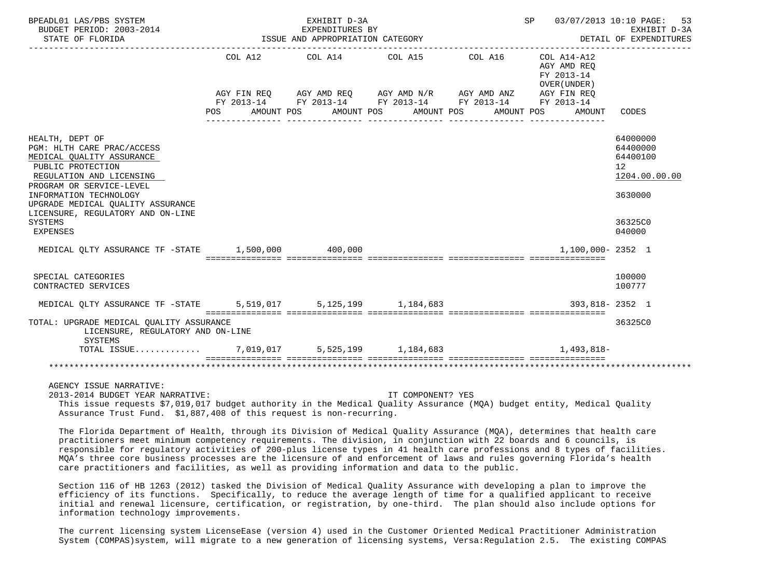| BPEADL01 LAS/PBS SYSTEM<br>BUDGET PERIOD: 2003-2014<br>STATE OF FLORIDA                                                                                                                                                                                                                   |                                      | EXHIBIT D-3A<br>EXPENDITURES BY<br>ISSUE AND APPROPRIATION CATEGORY | SP 03/07/2013 10:10 PAGE: | 53<br>EXHIBIT D-3A<br>DETAIL OF EXPENDITURES |                                                                   |                                                                                                      |
|-------------------------------------------------------------------------------------------------------------------------------------------------------------------------------------------------------------------------------------------------------------------------------------------|--------------------------------------|---------------------------------------------------------------------|---------------------------|----------------------------------------------|-------------------------------------------------------------------|------------------------------------------------------------------------------------------------------|
|                                                                                                                                                                                                                                                                                           | POS AMOUNT POS AMOUNT POS AMOUNT POS | COL A12 COL A14 COL A15 COL A16 COL A14-A12                         |                           |                                              | AGY AMD REO<br>FY 2013-14<br>OVER (UNDER)<br>AMOUNT POS<br>AMOUNT | CODES                                                                                                |
| HEALTH, DEPT OF<br>PGM: HLTH CARE PRAC/ACCESS<br>MEDICAL QUALITY ASSURANCE<br>PUBLIC PROTECTION<br>REGULATION AND LICENSING<br>PROGRAM OR SERVICE-LEVEL<br>INFORMATION TECHNOLOGY<br>UPGRADE MEDICAL OUALITY ASSURANCE<br>LICENSURE, REGULATORY AND ON-LINE<br><b>SYSTEMS</b><br>EXPENSES |                                      |                                                                     |                           |                                              |                                                                   | 64000000<br>64400000<br>64400100<br>12 <sup>°</sup><br>1204.00.00.00<br>3630000<br>36325C0<br>040000 |
| MEDICAL QLTY ASSURANCE TF -STATE 1,500,000 400,000                                                                                                                                                                                                                                        |                                      |                                                                     |                           |                                              | 1,100,000-2352 1                                                  |                                                                                                      |
| SPECIAL CATEGORIES<br>CONTRACTED SERVICES                                                                                                                                                                                                                                                 |                                      |                                                                     |                           |                                              |                                                                   | 100000<br>100777                                                                                     |
| MEDICAL QLTY ASSURANCE TF -STATE 5,519,017 5,125,199 1,184,683                                                                                                                                                                                                                            |                                      |                                                                     |                           |                                              | 393,818-2352 1                                                    |                                                                                                      |
| TOTAL: UPGRADE MEDICAL OUALITY ASSURANCE<br>LICENSURE, REGULATORY AND ON-LINE<br>SYSTEMS                                                                                                                                                                                                  |                                      |                                                                     |                           |                                              |                                                                   | 36325C0                                                                                              |
| TOTAL ISSUE 7,019,017 5,525,199 1,184,683                                                                                                                                                                                                                                                 |                                      |                                                                     |                           |                                              | $1.493.818-$                                                      |                                                                                                      |
|                                                                                                                                                                                                                                                                                           |                                      |                                                                     |                           |                                              |                                                                   |                                                                                                      |
| AGENCY ISSUE NARRATIVE:<br>2013-2014 BUDGET YEAR NARRATIVE:<br>This issue requests \$7,019,017 budget authority in the Medical Quality Assurance (MQA) budget entity, Medical Quality<br>Assurance Trust Fund. \$1,887,408 of this request is non-recurring.                              |                                      |                                                                     | IT COMPONENT? YES         |                                              |                                                                   |                                                                                                      |

 The Florida Department of Health, through its Division of Medical Quality Assurance (MQA), determines that health care practitioners meet minimum competency requirements. The division, in conjunction with 22 boards and 6 councils, is responsible for regulatory activities of 200-plus license types in 41 health care professions and 8 types of facilities. MQA's three core business processes are the licensure of and enforcement of laws and rules governing Florida's health care practitioners and facilities, as well as providing information and data to the public.

 Section 116 of HB 1263 (2012) tasked the Division of Medical Quality Assurance with developing a plan to improve the efficiency of its functions. Specifically, to reduce the average length of time for a qualified applicant to receive initial and renewal licensure, certification, or registration, by one-third. The plan should also include options for information technology improvements.

 The current licensing system LicenseEase (version 4) used in the Customer Oriented Medical Practitioner Administration System (COMPAS)system, will migrate to a new generation of licensing systems, Versa:Regulation 2.5. The existing COMPAS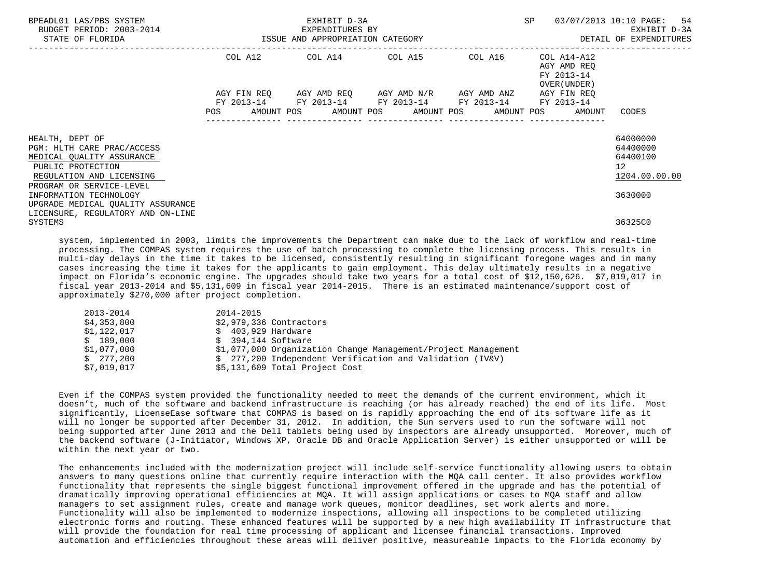| BPEADL01 LAS/PBS SYSTEM<br>BUDGET PERIOD: 2003-2014<br>STATE OF FLORIDA                                                                                 |            | EXHIBIT D-3A<br>EXPENDITURES BY<br>ISSUE AND APPROPRIATION CATEGORY                                                                                  | SP | 03/07/2013 10:10 PAGE: 54<br>EXHIBIT D-3A<br>DETAIL OF EXPENDITURES |                                                         |
|---------------------------------------------------------------------------------------------------------------------------------------------------------|------------|------------------------------------------------------------------------------------------------------------------------------------------------------|----|---------------------------------------------------------------------|---------------------------------------------------------|
|                                                                                                                                                         |            | COL A12 COL A14 COL A15 COL A16 COL A14-A12                                                                                                          |    | AGY AMD REO<br>FY 2013-14<br>OVER (UNDER)                           |                                                         |
|                                                                                                                                                         | <b>POS</b> | AGY FIN REQ AGY AMD REQ AGY AMD N/R AGY AMD ANZ<br>FY 2013-14 FY 2013-14 FY 2013-14 FY 2013-14<br>AMOUNT POS AMOUNT POS AMOUNT POS AMOUNT POS AMOUNT |    | AGY FIN REO<br>FY 2013-14                                           | CODES                                                   |
| HEALTH, DEPT OF<br>PGM: HLTH CARE PRAC/ACCESS<br>MEDICAL QUALITY ASSURANCE<br>PUBLIC PROTECTION<br>REGULATION AND LICENSING<br>PROGRAM OR SERVICE-LEVEL |            |                                                                                                                                                      |    |                                                                     | 64000000<br>64400000<br>64400100<br>12<br>1204.00.00.00 |
| INFORMATION TECHNOLOGY<br>UPGRADE MEDICAL QUALITY ASSURANCE<br>LICENSURE, REGULATORY AND ON-LINE<br>SYSTEMS                                             |            |                                                                                                                                                      |    |                                                                     | 3630000<br>36325C0                                      |

 system, implemented in 2003, limits the improvements the Department can make due to the lack of workflow and real-time processing. The COMPAS system requires the use of batch processing to complete the licensing process. This results in multi-day delays in the time it takes to be licensed, consistently resulting in significant foregone wages and in many cases increasing the time it takes for the applicants to gain employment. This delay ultimately results in a negative impact on Florida's economic engine. The upgrades should take two years for a total cost of \$12,150,626. \$7,019,017 in fiscal year 2013-2014 and \$5,131,609 in fiscal year 2014-2015. There is an estimated maintenance/support cost of approximately \$270,000 after project completion.

| 2013-2014   | 2014-2015                                                     |
|-------------|---------------------------------------------------------------|
| \$4,353,800 | $$2,979,336$ Contractors                                      |
| \$1,122,017 | $$403,929$ Hardware                                           |
| \$189.000   | $$394.144$ Software                                           |
| \$1,077,000 | \$1,077,000 Organization Change Management/Project Management |
| \$277.200   | \$ 277,200 Independent Verification and Validation (IV&V)     |
| \$7,019,017 | \$5,131,609 Total Project Cost                                |

 Even if the COMPAS system provided the functionality needed to meet the demands of the current environment, which it doesn't, much of the software and backend infrastructure is reaching (or has already reached) the end of its life. Most significantly, LicenseEase software that COMPAS is based on is rapidly approaching the end of its software life as it will no longer be supported after December 31, 2012. In addition, the Sun servers used to run the software will not being supported after June 2013 and the Dell tablets being used by inspectors are already unsupported. Moreover, much of the backend software (J-Initiator, Windows XP, Oracle DB and Oracle Application Server) is either unsupported or will be within the next year or two.

 The enhancements included with the modernization project will include self-service functionality allowing users to obtain answers to many questions online that currently require interaction with the MQA call center. It also provides workflow functionality that represents the single biggest functional improvement offered in the upgrade and has the potential of dramatically improving operational efficiencies at MQA. It will assign applications or cases to MQA staff and allow managers to set assignment rules, create and manage work queues, monitor deadlines, set work alerts and more. Functionality will also be implemented to modernize inspections, allowing all inspections to be completed utilizing electronic forms and routing. These enhanced features will be supported by a new high availability IT infrastructure that will provide the foundation for real time processing of applicant and licensee financial transactions. Improved automation and efficiencies throughout these areas will deliver positive, measureable impacts to the Florida economy by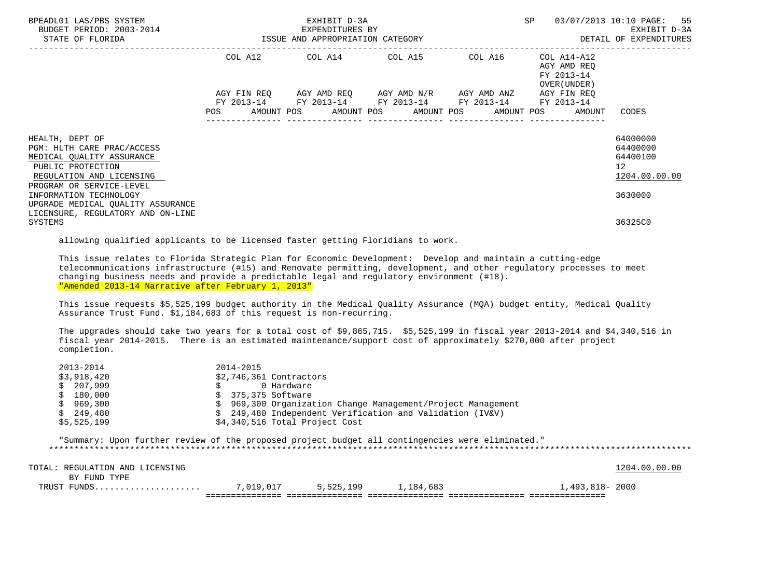| BPEADL01 LAS/PBS SYSTEM<br>BUDGET PERIOD: 2003-2014<br>-2014 EXPENDITURES BY<br>ISSUE AND APPROPRIATION CATEGORY<br>STATE OF FLORIDA                    |            |  | EXHIBIT D-3A     |                                                                                                           | SP |         | 03/07/2013 10:10 PAGE: 55<br>EXHIBIT D-3A<br>DETAIL OF EXPENDITURES |                                                                   |                                                                      |
|---------------------------------------------------------------------------------------------------------------------------------------------------------|------------|--|------------------|-----------------------------------------------------------------------------------------------------------|----|---------|---------------------------------------------------------------------|-------------------------------------------------------------------|----------------------------------------------------------------------|
|                                                                                                                                                         |            |  |                  | COL A12 COL A14 COL A15                                                                                   |    | COL A16 |                                                                     | COL A14-A12<br>AGY AMD REO<br>FY 2013-14<br>OVER (UNDER )         |                                                                      |
|                                                                                                                                                         | <b>POS</b> |  | ________________ | AGY FIN REO AGY AMD REO AGY AMD N/R AGY AMD ANZ<br>FY 2013-14 FY 2013-14 FY 2013-14 FY 2013-14 FY 2013-14 |    |         |                                                                     | AGY FIN REO<br>AMOUNT POS AMOUNT POS AMOUNT POS AMOUNT POS AMOUNT | CODES                                                                |
| HEALTH, DEPT OF<br>PGM: HLTH CARE PRAC/ACCESS<br>MEDICAL OUALITY ASSURANCE<br>PUBLIC PROTECTION<br>REGULATION AND LICENSING<br>PROGRAM OR SERVICE-LEVEL |            |  |                  |                                                                                                           |    |         |                                                                     |                                                                   | 64000000<br>64400000<br>64400100<br>12 <sup>°</sup><br>1204.00.00.00 |
| INFORMATION TECHNOLOGY<br>UPGRADE MEDICAL QUALITY ASSURANCE<br>LICENSURE, REGULATORY AND ON-LINE                                                        |            |  |                  |                                                                                                           |    |         |                                                                     |                                                                   | 3630000                                                              |
| SYSTEMS                                                                                                                                                 |            |  |                  |                                                                                                           |    |         |                                                                     |                                                                   | 36325C0                                                              |

allowing qualified applicants to be licensed faster getting Floridians to work.

 This issue relates to Florida Strategic Plan for Economic Development: Develop and maintain a cutting-edge telecommunications infrastructure (#15) and Renovate permitting, development, and other regulatory processes to meet changing business needs and provide a predictable legal and regulatory environment (#18). "Amended 2013-14 Narrative after February 1, 2013"

 This issue requests \$5,525,199 budget authority in the Medical Quality Assurance (MQA) budget entity, Medical Quality Assurance Trust Fund. \$1,184,683 of this request is non-recurring.

 The upgrades should take two years for a total cost of \$9,865,715. \$5,525,199 in fiscal year 2013-2014 and \$4,340,516 in fiscal year 2014-2015. There is an estimated maintenance/support cost of approximately \$270,000 after project completion.

|    | 2013-2014   | 2014-2015                                                       |
|----|-------------|-----------------------------------------------------------------|
|    | \$3,918,420 | $$2,746,361$ Contractors                                        |
|    | \$207,999   | 0 Hardware                                                      |
|    | \$180,000   | \$ 375,375 Software                                             |
| S. | 969,300     | 969,300 Organization Change Management/Project Management<br>S. |
|    | \$249,480   | \$ 249,480 Independent Verification and Validation (IV&V)       |
|    | \$5,525,199 | \$4,340,516 Total Project Cost                                  |

 "Summary: Upon further review of the proposed project budget all contingencies were eliminated." \*\*\*\*\*\*\*\*\*\*\*\*\*\*\*\*\*\*\*\*\*\*\*\*\*\*\*\*\*\*\*\*\*\*\*\*\*\*\*\*\*\*\*\*\*\*\*\*\*\*\*\*\*\*\*\*\*\*\*\*\*\*\*\*\*\*\*\*\*\*\*\*\*\*\*\*\*\*\*\*\*\*\*\*\*\*\*\*\*\*\*\*\*\*\*\*\*\*\*\*\*\*\*\*\*\*\*\*\*\*\*\*\*\*\*\*\*\*\*\*\*\*\*\*\*\*\*

| TOTAL: REGULATION AND LICENSING |           |           |           |                 | 1204.00.00.00 |
|---------------------------------|-----------|-----------|-----------|-----------------|---------------|
| BY FUND TYPE                    |           |           |           |                 |               |
| TRUST FUNDS                     | 7.019.017 | 5,525,199 | 1,184,683 | 1,493,818- 2000 |               |
|                                 |           |           |           |                 |               |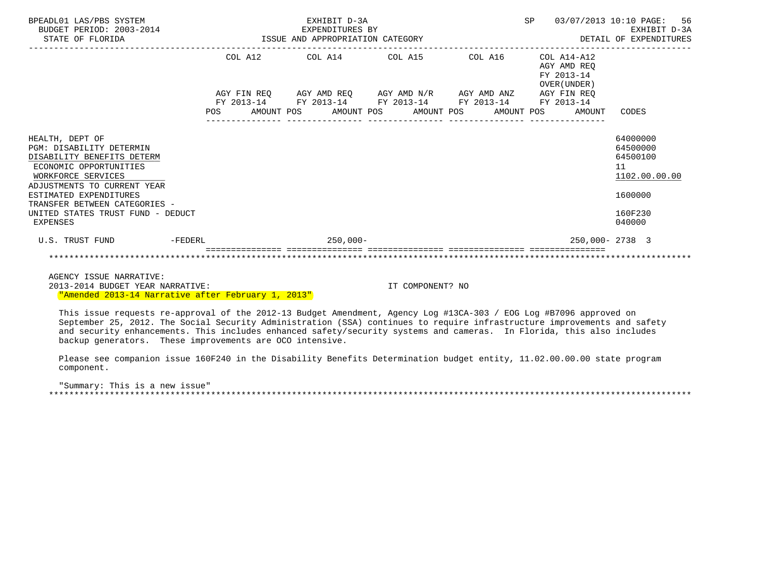| BPEADL01 LAS/PBS SYSTEM<br>BUDGET PERIOD: 2003-2014<br>STATE OF FLORIDA                                                                                                                                                                                                     |         |            | EXHIBIT D-3A<br>EXPENDITURES BY<br>ISSUE AND APPROPRIATION CATEGORY | SP                                                                                                | 03/07/2013 10:10 PAGE: 56<br>EXHIBIT D-3A<br>DETAIL OF EXPENDITURES |                                                          |                                                                                         |
|-----------------------------------------------------------------------------------------------------------------------------------------------------------------------------------------------------------------------------------------------------------------------------|---------|------------|---------------------------------------------------------------------|---------------------------------------------------------------------------------------------------|---------------------------------------------------------------------|----------------------------------------------------------|-----------------------------------------------------------------------------------------|
|                                                                                                                                                                                                                                                                             |         | COL A12    | COL A14 COL A15                                                     |                                                                                                   | COL A16                                                             | COL A14-A12<br>AGY AMD REO<br>FY 2013-14<br>OVER (UNDER) |                                                                                         |
|                                                                                                                                                                                                                                                                             | POS     | FY 2013-14 | AMOUNT POS AMOUNT POS                                               | AGY FIN REQ 6GY AMD REQ 6GY AMD N/R 6GY AMD ANZ<br>FY 2013-14 FY 2013-14 FY 2013-14<br>AMOUNT POS | AMOUNT POS                                                          | AGY FIN REQ<br>FY 2013-14<br>AMOUNT                      | CODES                                                                                   |
| HEALTH, DEPT OF<br><b>PGM: DISABILITY DETERMIN</b><br>DISABILITY BENEFITS DETERM<br>ECONOMIC OPPORTUNITIES<br>WORKFORCE SERVICES<br>ADJUSTMENTS TO CURRENT YEAR<br>ESTIMATED EXPENDITURES<br>TRANSFER BETWEEN CATEGORIES -<br>UNITED STATES TRUST FUND - DEDUCT<br>EXPENSES |         |            |                                                                     |                                                                                                   |                                                                     |                                                          | 64000000<br>64500000<br>64500100<br>11<br>1102.00.00.00<br>1600000<br>160F230<br>040000 |
| U.S. TRUST FUND                                                                                                                                                                                                                                                             | -FEDERL |            | $250,000-$                                                          |                                                                                                   |                                                                     | 250,000-2738 3                                           |                                                                                         |
|                                                                                                                                                                                                                                                                             |         |            |                                                                     |                                                                                                   |                                                                     |                                                          |                                                                                         |

 AGENCY ISSUE NARRATIVE: 2013-2014 BUDGET YEAR NARRATIVE: IT COMPONENT? NO "Amended 2013-14 Narrative after February 1, 2013"

 This issue requests re-approval of the 2012-13 Budget Amendment, Agency Log #13CA-303 / EOG Log #B7096 approved on September 25, 2012. The Social Security Administration (SSA) continues to require infrastructure improvements and safety and security enhancements. This includes enhanced safety/security systems and cameras. In Florida, this also includes backup generators. These improvements are OCO intensive.

 Please see companion issue 160F240 in the Disability Benefits Determination budget entity, 11.02.00.00.00 state program component.